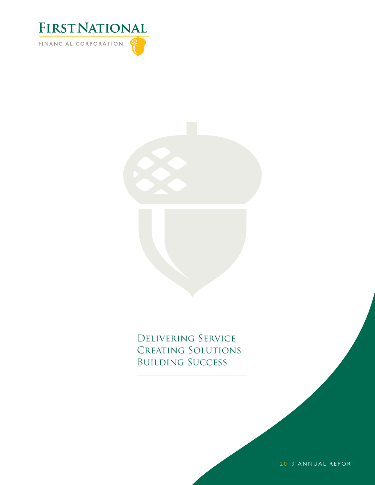

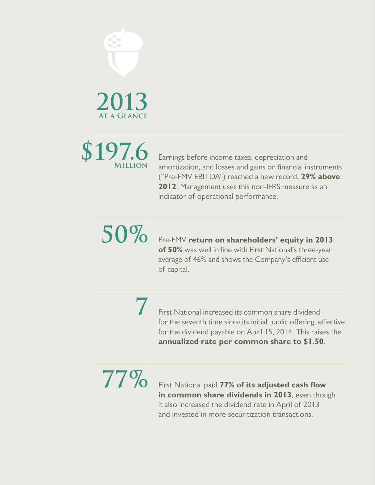



Earnings before income taxes, depreciation and amortization, and losses and gains on financial instruments ("Pre-FMV EBITDA") reached a new record, **29% above 2012**. Management uses this non-IFRS measure as an indicator of operational performance.

# **50%**

Pre-FMV **return on shareholders' equity in 2013 of 50%** was well in line with First National's three-year average of 46% and shows the Company's efficient use of capital.

**7**

First National increased its common share dividend for the seventh time since its initial public offering, effective for the dividend payable on April 15, 2014. This raises the **annualized rate per common share to \$1.50**.



First National paid 77% of its adjusted cash flow **in common share dividends in 2013**, even though it also increased the dividend rate in April of 2013 and invested in more securitization transactions.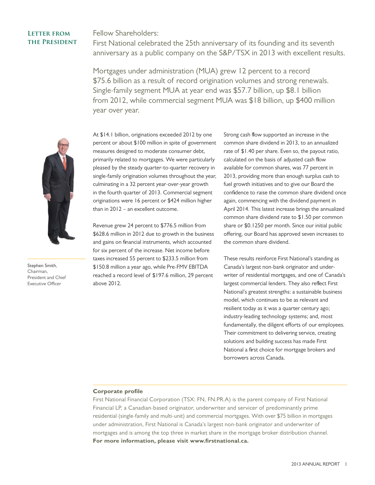# **Letter from the President**

Fellow Shareholders:

First National celebrated the 25th anniversary of its founding and its seventh anniversary as a public company on the S&P/TSX in 2013 with excellent results.

Mortgages under administration (MUA) grew 12 percent to a record \$75.6 billion as a result of record origination volumes and strong renewals. Single-family segment MUA at year end was \$57.7 billion, up \$8.1 billion from 2012, while commercial segment MUA was \$18 billion, up \$400 million year over year.



Stephen Smith, Chairman, President and Chief Executive Officer

At \$14.1 billion, originations exceeded 2012 by one percent or about \$100 million in spite of government measures designed to moderate consumer debt, primarily related to mortgages. We were particularly pleased by the steady quarter-to-quarter recovery in single-family origination volumes throughout the year, culminating in a 32 percent year-over-year growth in the fourth quarter of 2013. Commercial segment originations were 16 percent or \$424 million higher than in 2012 – an excellent outcome.

Revenue grew 24 percent to \$776.5 million from \$628.6 million in 2012 due to growth in the business and gains on financial instruments, which accounted for six percent of the increase. Net income before taxes increased 55 percent to \$233.5 million from \$150.8 million a year ago, while Pre-FMV EBITDA reached a record level of \$197.6 million, 29 percent above 2012.

Strong cash flow supported an increase in the common share dividend in 2013, to an annualized rate of \$1.40 per share. Even so, the payout ratio, calculated on the basis of adjusted cash flow available for common shares, was 77 percent in 2013, providing more than enough surplus cash to fuel growth initiatives and to give our Board the confidence to raise the common share dividend once again, commencing with the dividend payment in April 2014. This latest increase brings the annualized common share dividend rate to \$1.50 per common share or \$0.1250 per month. Since our initial public offering, our Board has approved seven increases to the common share dividend.

These results reinforce First National's standing as Canada's largest non-bank originator and underwriter of residential mortgages, and one of Canada's largest commercial lenders. They also reflect First National's greatest strengths: a sustainable business model, which continues to be as relevant and resilient today as it was a quarter century ago; industry-leading technology systems; and, most fundamentally, the diligent efforts of our employees. Their commitment to delivering service, creating solutions and building success has made First National a first choice for mortgage brokers and borrowers across Canada.

## **Corporate profile**

First National Financial Corporation (TSX: FN, FN.PR.A) is the parent company of First National Financial LP, a Canadian-based originator, underwriter and servicer of predominantly prime residential (single-family and multi-unit) and commercial mortgages. With over \$75 billion in mortgages under administration, First National is Canada's largest non-bank originator and underwriter of mortgages and is among the top three in market share in the mortgage broker distribution channel. For more information, please visit www.firstnational.ca.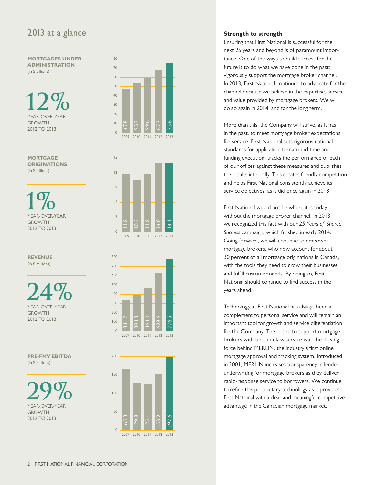## 2013 at a glance Discussion and

**MORTGAGES UNDER ADMINISTRATION** (in \$ billions)



**MORTGAGE ORIGINATIONS** (in \$ billions)

**1%** YEAR-OVER-YEAR GROWTH 2012 TO 2013

**REVENUE** (in \$ millions)

**24%** YEAR-OVER-YEAR GROWTH 2012 TO 2013

**PRE-FMV EBITDA** (in \$ millions)

**29%** YEAR-OVER-YEAR GROWTH 2012 TO 2013









## **Strength to strength**

Ensuring that First National is successful for the next 25 years and beyond is of paramount importance. One of the ways to build success for the future is to do what we have done in the past: vigorously support the mortgage broker channel. In 2013, First National continued to advocate for the channel because we believe in the expertise, service and value provided by mortgage brokers. We will do so again in 2014, and for the long term.

More than this, the Company will strive, as it has in the past, to meet mortgage broker expectations for service. First National sets rigorous national standards for application turnaround time and funding execution, tracks the performance of each of our offices against these measures and publishes the results internally. This creates friendly competition and helps First National consistently achieve its service objectives, as it did once again in 2013.

First National would not be where it is today without the mortgage broker channel. In 2013, we recognized this fact with our *25 Years of Shared*  Success campaign, which finished in early 2014. Going forward, we will continue to empower mortgage brokers, who now account for about 30 percent of all mortgage originations in Canada, with the tools they need to grow their businesses and fulfill customer needs. By doing so, First National should continue to find success in the years ahead.

Technology at First National has always been a complement to personal service and will remain an important tool for growth and service differentiation for the Company. The desire to support mortgage brokers with best-in-class service was the driving force behind MERLIN, the industry's first online mortgage approval and tracking system. Introduced in 2001, MERLIN increases transparency in lender underwriting for mortgage brokers as they deliver rapid-response service to borrowers. We continue to refine this proprietary technology as it provides First National with a clear and meaningful competitive advantage in the Canadian mortgage market.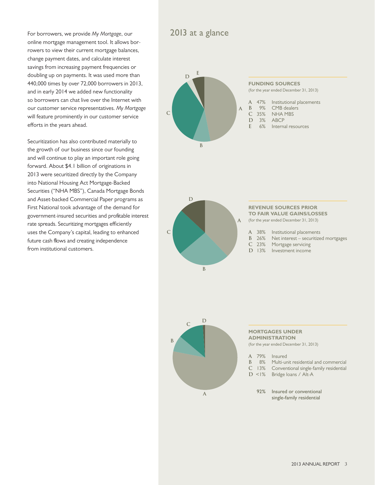For borrowers, we provide *My Mortgage*, our online mortgage management tool. It allows borrowers to view their current mortgage balances, change payment dates, and calculate interest savings from increasing payment frequencies or doubling up on payments. It was used more than 440,000 times by over 72,000 borrowers in 2013, and in early 2014 we added new functionality so borrowers can chat live over the Internet with our customer service representatives. *My Mortgage* will feature prominently in our customer service efforts in the years ahead.

Securitization has also contributed materially to the growth of our business since our founding and will continue to play an important role going forward. About \$4.1 billion of originations in 2013 were securitized directly by the Company into National Housing Act Mortgage-Backed Securities ("NHA MBS"), Canada Mortgage Bonds and Asset-backed Commercial Paper programs as First National took advantage of the demand for government-insured securities and profitable interest rate spreads. Securitizing mortgages efficiently uses the Company's capital, leading to enhanced future cash flows and creating independence from institutional customers.

# 2013 at a glance



**FUNDING SOURCES** (for the year ended December 31, 2013) **A** 47% Institutional placements **B** 9% CMB dealers **C** 35% NHA MBS

 $D$  3%

**E** 6% Internal resources

**D A C B**

#### **REVENUE SOURCES PRIOR TO FAIR VALUE GAINS/LOSSES** (for the year ended December 31, 2013)

| A | 38% | Institutional placements |  |
|---|-----|--------------------------|--|
|---|-----|--------------------------|--|

- **B** 26% Net interest securitized mortgages
- **C** 23% Mortgage servicing
- **D** 13% Investment income



#### **MORTGAGES UNDER ADMINISTRATION**

(for the year ended December 31, 2013)

|  | A 79% Insured                                |
|--|----------------------------------------------|
|  | B 8% Multi-unit residential and commercial   |
|  | C 13% Conventional single-family residential |
|  | $D \leq 1\%$ Bridge loans / Alt-A            |
|  |                                              |
|  |                                              |

 92% Insured or conventional single-family residential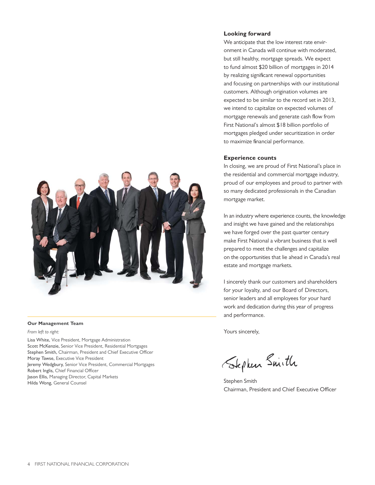

#### **Our Management Team**

*From left to right:* 

Lisa White, Vice President, Mortgage Administration Scott McKenzie, Senior Vice President, Residential Mortgages Stephen Smith, Chairman, President and Chief Executive Officer Moray Tawse, Executive Vice President Jeremy Wedgbury, Senior Vice President, Commercial Mortgages Robert Inglis, Chief Financial Officer Jason Ellis, Managing Director, Capital Markets Hilda Wong, General Counsel

## **Looking forward**

We anticipate that the low interest rate environment in Canada will continue with moderated, but still healthy, mortgage spreads. We expect to fund almost \$20 billion of mortgages in 2014 by realizing significant renewal opportunities and focusing on partnerships with our institutional customers. Although origination volumes are expected to be similar to the record set in 2013, we intend to capitalize on expected volumes of mortgage renewals and generate cash flow from First National's almost \$18 billion portfolio of mortgages pledged under securitization in order to maximize financial performance.

#### **Experience counts**

In closing, we are proud of First National's place in the residential and commercial mortgage industry, proud of our employees and proud to partner with so many dedicated professionals in the Canadian mortgage market.

In an industry where experience counts, the knowledge and insight we have gained and the relationships we have forged over the past quarter century make First National a vibrant business that is well prepared to meet the challenges and capitalize on the opportunities that lie ahead in Canada's real estate and mortgage markets.

I sincerely thank our customers and shareholders for your loyalty, and our Board of Directors, senior leaders and all employees for your hard work and dedication during this year of progress and performance.

Yours sincerely,

Stephen Smith

Stephen Smith Chairman, President and Chief Executive Officer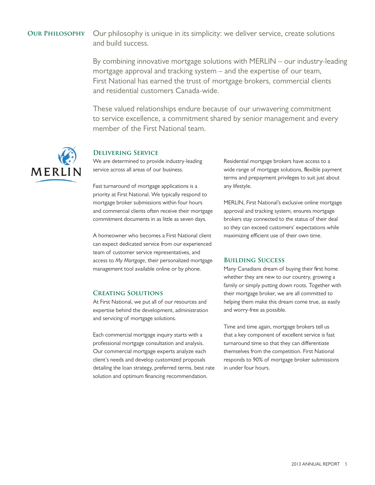# **Our Philosophy** Our philosophy is unique in its simplicity: we deliver service, create solutions and build success.

By combining innovative mortgage solutions with MERLIN – our industry-leading mortgage approval and tracking system – and the expertise of our team, First National has earned the trust of mortgage brokers, commercial clients and residential customers Canada-wide.

These valued relationships endure because of our unwavering commitment to service excellence, a commitment shared by senior management and every member of the First National team.



## **Delivering Service**

We are determined to provide industry-leading service across all areas of our business.

Fast turnaround of mortgage applications is a priority at First National. We typically respond to mortgage broker submissions within four hours and commercial clients often receive their mortgage commitment documents in as little as seven days.

A homeowner who becomes a First National client can expect dedicated service from our experienced team of customer service representatives, and access to *My Mortgage*, their personalized mortgage management tool available online or by phone.

## **Creating Solutions**

At First National, we put all of our resources and expertise behind the development, administration and servicing of mortgage solutions.

Each commercial mortgage inquiry starts with a professional mortgage consultation and analysis. Our commercial mortgage experts analyze each client's needs and develop customized proposals detailing the loan strategy, preferred terms, best rate solution and optimum financing recommendation.

Residential mortgage brokers have access to a wide range of mortgage solutions, flexible payment terms and prepayment privileges to suit just about any lifestyle.

MERLIN, First National's exclusive online mortgage approval and tracking system, ensures mortgage brokers stay connected to the status of their deal so they can exceed customers' expectations while maximizing efficient use of their own time.

## **Building Success**

Many Canadians dream of buying their first home whether they are new to our country, growing a family or simply putting down roots. Together with their mortgage broker, we are all committed to helping them make this dream come true, as easily and worry-free as possible.

Time and time again, mortgage brokers tell us that a key component of excellent service is fast turnaround time so that they can differentiate themselves from the competition. First National responds to 90% of mortgage broker submissions in under four hours.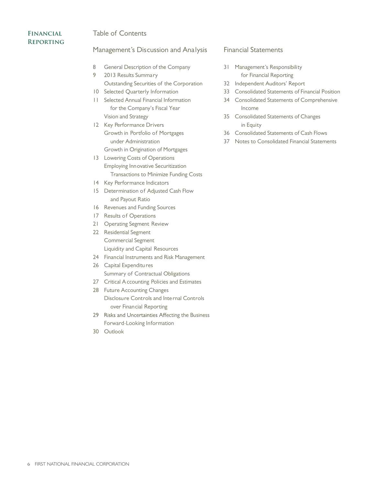# Table of Contents

# **Financial Reporting**

# Management's Discussion and Analysis

- 8 General Description of the Company
- 9 2013 Results Summary Outstanding Securities of the Corporation
- 10 Selected Quarterly Information
- 11 Selected Annual Financial Information for the Company's Fiscal Year Vision and Strategy
- 12 Key Performance Drivers Growth in Portfolio of Mortgages under Administration Growth in Origination of Mortgages
- 13 Lowering Costs of Operations Employing Innovative Securitization Transactions to Minimize Funding Costs
- 14 Key Performance Indicators
- 15 Determination of Adjusted Cash Flow and Payout Ratio
- 16 Revenues and Funding Sources
- 17 Results of Operations
- 21 Operating Segment Review
- 22 Residential Segment Commercial Segment Liquidity and Capital Resources
- 24 Financial Instruments and Risk Management
- 26 Capital Expenditu res Summary of Contractual Obligations
- 27 Critical Accounting Policies and Estimates
- 28 Future Accounting Changes Disclosure Controls and Internal Controls over Financial Reporting
- 29 Risks and Uncertainties Affecting the Business Forward-Looking Information
- 30 Outlook

# Financial Statements

- 31 Management's Responsibility for Financial Reporting
- 32 Independent Auditors' Report
- 33 Consolidated Statements of Financial Position
- 34 Consolidated Statements of Comprehensive Income
- 35 Consolidated Statements of Changes in Equity
- 36 Consolidated Statements of Cash Flows
- 37 Notes to Consolidated Financial Statements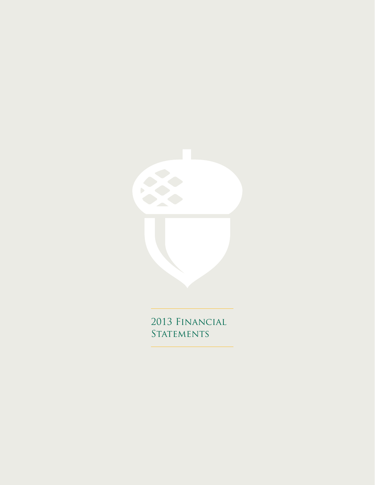

2013 Financial STATEMENTS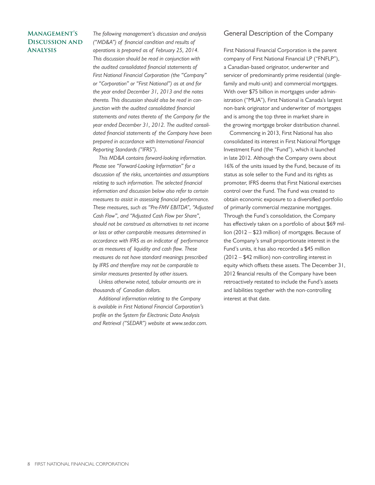*The following management's discussion and analysis ("MD&A") of financial condition and results of operations is prepared as of February 25, 2014. This discussion should be read in conjunction with*  the audited consolidated financial statements of *First National Financial Corporation (the "Company" or "Corporation" or "First National") as at and for the year ended December 31, 2013 and the notes thereto. This discussion should also be read in conjunction with the audited consolidated financial statements and notes thereto of the Company for the year ended December 31, 2012. The audited consoli*dated financial statements of the Company have been *prepared in accordance with International Financial Reporting Standards ("IFRS").*

*This MD&A contains forward-looking information. Please see "Forward-Looking Information" for a discussion of the risks, uncertainties and assumptions*  relating to such information. The selected financial *information and discussion below also refer to certain measures to assist in assessing financial performance. These measures, such as "Pre-FMV EBITDA", "Adjusted Cash Flow", and "Adjusted Cash Flow per Share", should not be construed as alternatives to net income or loss or other comparable measures determined in accordance with IFRS as an indicator of performance or as measures of liquidity and cash flow. These measures do not have standard meanings prescribed by IFRS and therefore may not be comparable to similar measures presented by other issuers.*

*Unless otherwise noted, tabular amounts are in thousands of Canadian dollars.*

*Additional information relating to the Company is available in First National Financial Corporation's profi le on the System for Electronic Data Analysis and Retrieval ("SEDAR") website at www.sedar.com.*

## General Description of the Company

First National Financial Corporation is the parent company of First National Financial LP ("FNFLP"), a Canadian-based originator, underwriter and servicer of predominantly prime residential (singlefamily and multi-unit) and commercial mortgages. With over \$75 billion in mortgages under administration ("MUA"), First National is Canada's largest non-bank originator and underwriter of mortgages and is among the top three in market share in the growing mortgage broker distribution channel.

Commencing in 2013, First National has also consolidated its interest in First National Mortgage Investment Fund (the "Fund"), which it launched in late 2012. Although the Company owns about 16% of the units issued by the Fund, because of its status as sole seller to the Fund and its rights as promoter, IFRS deems that First National exercises control over the Fund. The Fund was created to obtain economic exposure to a diversified portfolio of primarily commercial mezzanine mortgages. Through the Fund's consolidation, the Company has effectively taken on a portfolio of about \$69 million (2012 – \$23 million) of mortgages. Because of the Company's small proportionate interest in the Fund's units, it has also recorded a \$45 million (2012 – \$42 million) non-controlling interest in equity which offsets these assets. The December 31, 2012 financial results of the Company have been retroactively restated to include the Fund's assets and liabilities together with the non-controlling interest at that date.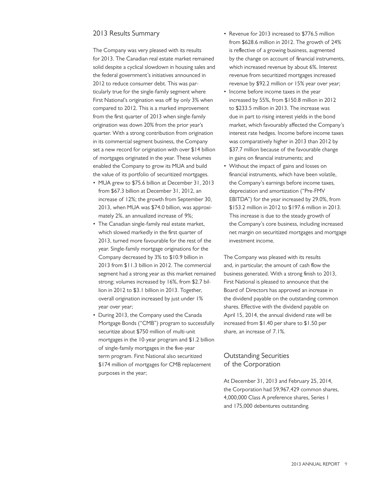## 2013 Results Summary

The Company was very pleased with its results for 2013. The Canadian real estate market remained solid despite a cyclical slowdown in housing sales and the federal government's initiatives announced in 2012 to reduce consumer debt. This was particularly true for the single-family segment where First National's origination was off by only 3% when compared to 2012. This is a marked improvement from the first quarter of 2013 when single-family origination was down 20% from the prior year's quarter. With a strong contribution from origination in its commercial segment business, the Company set a new record for origination with over \$14 billion of mortgages originated in the year. These volumes enabled the Company to grow its MUA and build the value of its portfolio of securitized mortgages.

- MUA grew to \$75.6 billion at December 31, 2013 from \$67.3 billion at December 31, 2012, an increase of 12%; the growth from September 30, 2013, when MUA was \$74.0 billion, was approximately 2%, an annualized increase of 9%;
- The Canadian single-family real estate market, which slowed markedly in the first quarter of 2013, turned more favourable for the rest of the year. Single-family mortgage originations for the Company decreased by 3% to \$10.9 billion in 2013 from \$11.3 billion in 2012. The commercial segment had a strong year as this market remained strong; volumes increased by 16%, from \$2.7 billion in 2012 to \$3.1 billion in 2013. Together, overall origination increased by just under 1% year over year;
- During 2013, the Company used the Canada Mortgage Bonds ("CMB") program to successfully securitize about \$750 million of multi-unit mortgages in the 10-year program and \$1.2 billion of single-family mortgages in the five-year term program. First National also securitized \$174 million of mortgages for CMB replacement purposes in the year;
- Revenue for 2013 increased to \$776.5 million from \$628.6 million in 2012. The growth of 24% is reflective of a growing business, augmented by the change on account of financial instruments, which increased revenue by about 6%. Interest revenue from securitized mortgages increased revenue by \$92.2 million or 15% year over year;
- Income before income taxes in the year increased by 55%, from \$150.8 million in 2012 to \$233.5 million in 2013. The increase was due in part to rising interest yields in the bond market, which favourably affected the Company's interest rate hedges. Income before income taxes was comparatively higher in 2013 than 2012 by \$37.7 million because of the favourable change in gains on financial instruments; and
- Without the impact of gains and losses on financial instruments, which have been volatile, the Company's earnings before income taxes, depreciation and amortization ("Pre-FMV EBITDA") for the year increased by 29.0%, from \$153.2 million in 2012 to \$197.6 million in 2013. This increase is due to the steady growth of the Company's core business, including increased net margin on securitized mortgages and mortgage investment income.

The Company was pleased with its results and, in particular, the amount of cash flow the business generated. With a strong finish to 2013, First National is pleased to announce that the Board of Directors has approved an increase in the dividend payable on the outstanding common shares. Effective with the dividend payable on April 15, 2014, the annual dividend rate will be increased from \$1.40 per share to \$1.50 per share, an increase of 7.1%.

## Outstanding Securities of the Corporation

At December 31, 2013 and February 25, 2014, the Corporation had 59,967,429 common shares, 4,000,000 Class A preference shares, Series 1 and 175,000 debentures outstanding.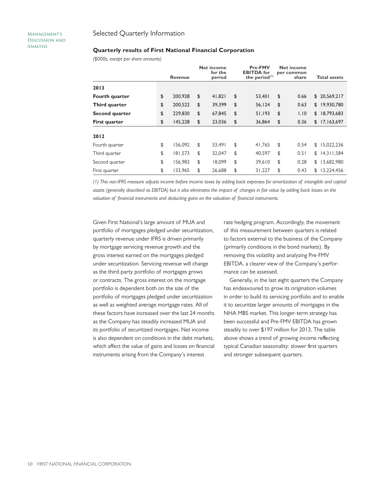## Selected Quarterly Information

#### Management's Discussion and Analysis

## **Quarterly results of First National Financial Corporation**

*(\$000s, except per share amounts)*

|                       |                |    | <b>Net income</b><br>for the |    | <b>Pre-FMV</b><br><b>EBITDA</b> for |    | <b>Net income</b>   |                     |
|-----------------------|----------------|----|------------------------------|----|-------------------------------------|----|---------------------|---------------------|
|                       | <b>Revenue</b> |    | period                       |    | the period(1)                       |    | per common<br>share | <b>Total assets</b> |
| 2013                  |                |    |                              |    |                                     |    |                     |                     |
| Fourth quarter        | \$<br>200,928  | \$ | 41,821                       | \$ | 53,401                              | \$ | 0.66                | \$20,569,217        |
| Third quarter         | \$<br>200,522  | \$ | 39,399                       | \$ | 56,124                              | \$ | 0.63                | \$<br>19,930,780    |
| <b>Second quarter</b> | \$<br>229,830  | \$ | 67,845                       | \$ | 51,193                              | \$ | 1.10                | \$<br>18,793,683    |
| <b>First quarter</b>  | \$<br>145,228  | \$ | 23,036                       | \$ | 36,864                              | \$ | 0.36                | \$<br>17,163,697    |
| 2012                  |                |    |                              |    |                                     |    |                     |                     |
| Fourth quarter        | \$<br>156.092  | \$ | 33,491                       | \$ | 41,765                              | \$ | 0.54                | \$<br>15,022,236    |
| Third quarter         | \$<br>181,573  | \$ | 32,047                       | \$ | 40,597                              | \$ | 0.51                | \$14,311,584        |
| Second quarter        | \$<br>156,983  | \$ | 18.099                       | \$ | 39,610                              | \$ | 0.28                | \$<br>13,682,980    |
| First quarter         | \$<br>133,965  | \$ | 26,688                       | \$ | 31,227                              | \$ | 0.43                | \$<br>13,224,456    |

*(1) This non-IFRS measure adjusts income before income taxes by adding back expenses for amortization of intangible and capital assets (generally described as EBITDA) but it also eliminates the impact of changes in fair value by adding back losses on the*  valuation of financial instruments and deducting gains on the valuation of financial instruments.

Given First National's large amount of MUA and portfolio of mortgages pledged under securitization, quarterly revenue under IFRS is driven primarily by mortgage servicing revenue growth and the gross interest earned on the mortgages pledged under securitization. Servicing revenue will change as the third-party portfolio of mortgages grows or contracts. The gross interest on the mortgage portfolio is dependent both on the size of the portfolio of mortgages pledged under securitization as well as weighted average mortgage rates. All of these factors have increased over the last 24 months as the Company has steadily increased MUA and its portfolio of securitized mortgages. Net income is also dependent on conditions in the debt markets, which affect the value of gains and losses on financial instruments arising from the Company's interest

rate hedging program. Accordingly, the movement of this measurement between quarters is related to factors external to the business of the Company (primarily conditions in the bond markets). By removing this volatility and analyzing Pre-FMV EBITDA, a clearer view of the Company's performance can be assessed.

Generally, in the last eight quarters the Company has endeavoured to grow its origination volumes in order to build its servicing portfolio and to enable it to securitize larger amounts of mortgages in the NHA MBS market. This longer-term strategy has been successful and Pre-FMV EBITDA has grown steadily to over \$197 million for 2013. The table above shows a trend of growing income reflecting typical Canadian seasonality: slower first quarters and stronger subsequent quarters.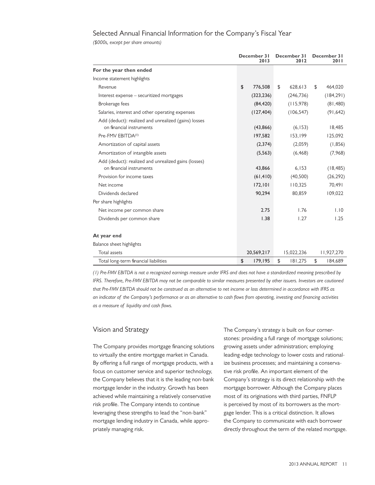# Selected Annual Financial Information for the Company's Fiscal Year

*(\$000s, except per share amounts)*

|                                                                                  | December 31<br>2013 | December 31<br>2012 | December 31<br>20 I I |
|----------------------------------------------------------------------------------|---------------------|---------------------|-----------------------|
| For the year then ended                                                          |                     |                     |                       |
| Income statement highlights                                                      |                     |                     |                       |
| Revenue                                                                          | \$<br>776,508       | \$<br>628.613       | \$<br>464.020         |
| Interest expense - securitized mortgages                                         | (323, 236)          | (246, 736)          | (184, 291)            |
| Brokerage fees                                                                   | (84, 420)           | (115,978)           | (81, 480)             |
| Salaries, interest and other operating expenses                                  | (127, 404)          | (106, 547)          | (91, 642)             |
| Add (deduct): realized and unrealized (gains) losses                             |                     |                     |                       |
| on financial instruments                                                         | (43,866)            | (6, 153)            | 18,485                |
| Pre-FMV EBITDA <sup>(1)</sup>                                                    | 197,582             | 153,199             | 125,092               |
| Amortization of capital assets                                                   | (2,374)             | (2,059)             | (1,856)               |
| Amortization of intangible assets                                                | (5, 563)            | (6, 468)            | (7,968)               |
| Add (deduct): realized and unrealized gains (losses)<br>on financial instruments | 43,866              | 6,153               | (18, 485)             |
| Provision for income taxes                                                       | (61, 410)           | (40,500)            | (26, 292)             |
| Net income                                                                       | 172.101             | 110,325             | 70.491                |
| Dividends declared                                                               | 90,294              | 80,859              | 109,022               |
| Per share highlights                                                             |                     |                     |                       |
| Net income per common share                                                      | 2.75                | 1.76                | 1.10                  |
| Dividends per common share                                                       | 1.38                | 1.27                | 1.25                  |
| At year end                                                                      |                     |                     |                       |
| Balance sheet highlights                                                         |                     |                     |                       |
| Total assets                                                                     | 20,569,217          | 15,022,236          | 11,927,270            |
| Total long-term financial liabilities                                            | \$<br>179,195       | \$<br>181,275       | \$<br>184,689         |

*(1) Pre-FMV EBITDA is not a recognized earnings measure under IFRS and does not have a standardized meaning prescribed by IFRS. Therefore, Pre-FMV EBITDA may not be comparable to similar measures presented by other issuers. Investors are cautioned that Pre-FMV EBITDA should not be construed as an alternative to net income or loss determined in accordance with IFRS as*  an indicator of the Company's performance or as an alternative to cash flows from operating, investing and financing activities *as a measure of liquidity and cash flows.* 

# Vision and Strategy

The Company provides mortgage financing solutions to virtually the entire mortgage market in Canada. By offering a full range of mortgage products, with a focus on customer service and superior technology, the Company believes that it is the leading non-bank mortgage lender in the industry. Growth has been achieved while maintaining a relatively conservative risk profile. The Company intends to continue leveraging these strengths to lead the "non-bank" mortgage lending industry in Canada, while appropriately managing risk.

The Company's strategy is built on four cornerstones: providing a full range of mortgage solutions; growing assets under administration; employing leading-edge technology to lower costs and rationalize business processes; and maintaining a conservative risk profile. An important element of the Company's strategy is its direct relationship with the mortgage borrower. Although the Company places most of its originations with third parties, FNFLP is perceived by most of its borrowers as the mortgage lender. This is a critical distinction. It allows the Company to communicate with each borrower directly throughout the term of the related mortgage.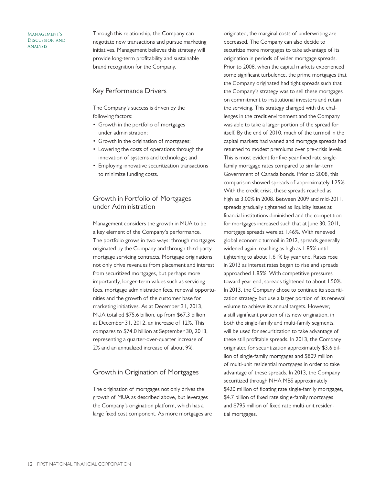Through this relationship, the Company can negotiate new transactions and pursue marketing initiatives. Management believes this strategy will provide long-term profitability and sustainable brand recognition for the Company.

# Key Performance Drivers

The Company's success is driven by the following factors:

- Growth in the portfolio of mortgages under administration;
- Growth in the origination of mortgages;
- Lowering the costs of operations through the innovation of systems and technology; and
- Employing innovative securitization transactions to minimize funding costs.

# Growth in Portfolio of Mortgages under Administration

Management considers the growth in MUA to be a key element of the Company's performance. The portfolio grows in two ways: through mortgages originated by the Company and through third-party mortgage servicing contracts. Mortgage originations not only drive revenues from placement and interest from securitized mortgages, but perhaps more importantly, longer-term values such as servicing fees, mortgage administration fees, renewal opportunities and the growth of the customer base for marketing initiatives. As at December 31, 2013, MUA totalled \$75.6 billion, up from \$67.3 billion at December 31, 2012, an increase of 12%. This compares to \$74.0 billion at September 30, 2013, representing a quarter-over-quarter increase of 2% and an annualized increase of about 9%.

## Growth in Origination of Mortgages

The origination of mortgages not only drives the growth of MUA as described above, but leverages the Company's origination platform, which has a large fixed cost component. As more mortgages are originated, the marginal costs of underwriting are decreased. The Company can also decide to securitize more mortgages to take advantage of its origination in periods of wider mortgage spreads. Prior to 2008, when the capital markets experienced some significant turbulence, the prime mortgages that the Company originated had tight spreads such that the Company's strategy was to sell these mortgages on commitment to institutional investors and retain the servicing. This strategy changed with the challenges in the credit environment and the Company was able to take a larger portion of the spread for itself. By the end of 2010, much of the turmoil in the capital markets had waned and mortgage spreads had returned to modest premiums over pre-crisis levels. This is most evident for five-year fixed rate singlefamily mortgage rates compared to similar-term Government of Canada bonds. Prior to 2008, this comparison showed spreads of approximately 1.25%. With the credit crisis, these spreads reached as high as 3.00% in 2008. Between 2009 and mid-2011, spreads gradually tightened as liquidity issues at financial institutions diminished and the competition for mortgages increased such that at June 30, 2011, mortgage spreads were at 1.46%. With renewed global economic turmoil in 2012, spreads generally widened again, reaching as high as 1.85% until tightening to about 1.61% by year end. Rates rose in 2013 as interest rates began to rise and spreads approached 1.85%. With competitive pressures toward year end, spreads tightened to about 1.50%. In 2013, the Company chose to continue its securitization strategy but use a larger portion of its renewal volume to achieve its annual targets. However, a still significant portion of its new origination, in both the single-family and multi-family segments, will be used for securitization to take advantage of these still profitable spreads. In 2013, the Company originated for securitization approximately \$3.6 billion of single-family mortgages and \$809 million of multi-unit residential mortgages in order to take advantage of these spreads. In 2013, the Company securitized through NHA MBS approximately \$420 million of floating rate single-family mortgages, \$4.7 billion of fixed rate single-family mortgages and \$795 million of fixed rate multi-unit residential mortgages.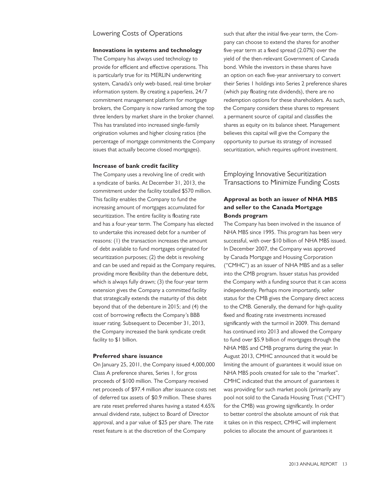# Lowering Costs of Operations

# **Innovations in systems and technology**

The Company has always used technology to provide for efficient and effective operations. This is particularly true for its MERLIN underwriting system, Canada's only web-based, real-time broker information system. By creating a paperless, 24/7 commitment management platform for mortgage brokers, the Company is now ranked among the top three lenders by market share in the broker channel. This has translated into increased single-family origination volumes and higher closing ratios (the percentage of mortgage commitments the Company issues that actually become closed mortgages).

#### **Increase of bank credit facility**

The Company uses a revolving line of credit with a syndicate of banks. At December 31, 2013, the commitment under the facility totalled \$570 million. This facility enables the Company to fund the increasing amount of mortgages accumulated for securitization. The entire facility is floating rate and has a four-year term. The Company has elected to undertake this increased debt for a number of reasons: (1) the transaction increases the amount of debt available to fund mortgages originated for securitization purposes; (2) the debt is revolving and can be used and repaid as the Company requires, providing more flexibility than the debenture debt, which is always fully drawn; (3) the four-year term extension gives the Company a committed facility that strategically extends the maturity of this debt beyond that of the debenture in 2015; and (4) the cost of borrowing reflects the Company's BBB issuer rating. Subsequent to December 31, 2013, the Company increased the bank syndicate credit facility to \$1 billion.

#### **Preferred share issuance**

On January 25, 2011, the Company issued 4,000,000 Class A preference shares, Series 1, for gross proceeds of \$100 million. The Company received net proceeds of \$97.4 million after issuance costs net of deferred tax assets of \$0.9 million. These shares are rate reset preferred shares having a stated 4.65% annual dividend rate, subject to Board of Director approval, and a par value of \$25 per share. The rate reset feature is at the discretion of the Company

such that after the initial five-year term, the Company can choose to extend the shares for another five-year term at a fixed spread (2.07%) over the yield of the then-relevant Government of Canada bond. While the investors in these shares have an option on each five-year anniversary to convert their Series 1 holdings into Series 2 preference shares (which pay floating rate dividends), there are no redemption options for these shareholders. As such, the Company considers these shares to represent a permanent source of capital and classifies the shares as equity on its balance sheet. Management believes this capital will give the Company the opportunity to pursue its strategy of increased securitization, which requires upfront investment.

Employing Innovative Securitization Transactions to Minimize Funding Costs

# **Approval as both an issuer of NHA MBS and seller to the Canada Mortgage Bonds program**

The Company has been involved in the issuance of NHA MBS since 1995. This program has been very successful, with over \$10 billion of NHA MBS issued. In December 2007, the Company was approved by Canada Mortgage and Housing Corporation ("CMHC") as an issuer of NHA MBS and as a seller into the CMB program. Issuer status has provided the Company with a funding source that it can access independently. Perhaps more importantly, seller status for the CMB gives the Company direct access to the CMB. Generally, the demand for high-quality fixed and floating rate investments increased significantly with the turmoil in 2009. This demand has continued into 2013 and allowed the Company to fund over \$5.9 billion of mortgages through the NHA MBS and CMB programs during the year. In August 2013, CMHC announced that it would be limiting the amount of guarantees it would issue on NHA MBS pools created for sale to the "market". CMHC indicated that the amount of guarantees it was providing for such market pools (primarily any pool not sold to the Canada Housing Trust ("CHT") for the CMB) was growing significantly. In order to better control the absolute amount of risk that it takes on in this respect, CMHC will implement policies to allocate the amount of guarantees it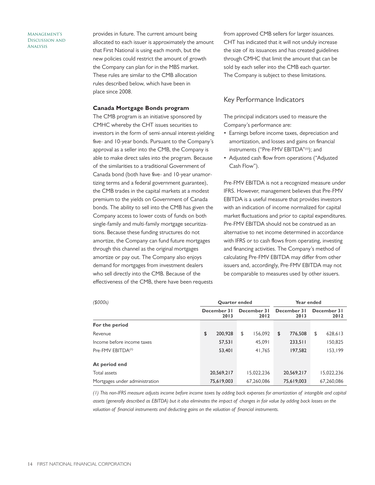provides in future. The current amount being allocated to each issuer is approximately the amount that First National is using each month, but the new policies could restrict the amount of growth the Company can plan for in the MBS market. These rules are similar to the CMB allocation rules described below, which have been in place since 2008.

#### **Canada Mortgage Bonds program**

The CMB program is an initiative sponsored by CMHC whereby the CHT issues securities to investors in the form of semi-annual interest-yielding five- and 10-year bonds. Pursuant to the Company's approval as a seller into the CMB, the Company is able to make direct sales into the program. Because of the similarities to a traditional Government of Canada bond (both have five- and 10-year unamortizing terms and a federal government guarantee), the CMB trades in the capital markets at a modest premium to the yields on Government of Canada bonds. The ability to sell into the CMB has given the Company access to lower costs of funds on both single-family and multi-family mortgage securitizations. Because these funding structures do not amortize, the Company can fund future mortgages through this channel as the original mortgages amortize or pay out. The Company also enjoys demand for mortgages from investment dealers who sell directly into the CMB. Because of the effectiveness of the CMB, there have been requests

from approved CMB sellers for larger issuances. CHT has indicated that it will not unduly increase the size of its issuances and has created guidelines through CMHC that limit the amount that can be sold by each seller into the CMB each quarter. The Company is subject to these limitations.

## Key Performance Indicators

The principal indicators used to measure the Company's performance are:

- Earnings before income taxes, depreciation and amortization, and losses and gains on financial instruments ("Pre-FMV EBITDA"(1)); and
- Adjusted cash flow from operations ("Adjusted Cash Flow").

Pre-FMV EBITDA is not a recognized measure under IFRS. However, management believes that Pre-FMV EBITDA is a useful measure that provides investors with an indication of income normalized for capital market fluctuations and prior to capital expenditures. Pre-FMV EBITDA should not be construed as an alternative to net income determined in accordance with IFRS or to cash flows from operating, investing and financing activities. The Company's method of calculating Pre-FMV EBITDA may differ from other issuers and, accordingly, Pre-FMV EBITDA may not be comparable to measures used by other issuers.

| (\$000s)                       | <b>Ouarter ended</b> |                     | Year ended |                     |    |                     |
|--------------------------------|----------------------|---------------------|------------|---------------------|----|---------------------|
|                                | December 31<br>2013  | December 31<br>2012 |            | December 31<br>2013 |    | December 31<br>2012 |
| For the period                 |                      |                     |            |                     |    |                     |
| Revenue                        | \$<br>200,928        | \$<br>156.092       | \$         | 776,508             | \$ | 628,613             |
| Income before income taxes     | 57,531               | 45,091              |            | 233,511             |    | 150,825             |
| Pre-FMV EBITDA <sup>(1)</sup>  | 53.401               | 41.765              |            | 197,582             |    | 153,199             |
| At period end                  |                      |                     |            |                     |    |                     |
| Total assets                   | 20,569,217           | 15.022.236          |            | 20,569,217          |    | 15,022,236          |
| Mortgages under administration | 75.619.003           | 67.260.086          |            | 75.619.003          |    | 67.260.086          |

*(1) This non-IFRS measure adjusts income before income taxes by adding back expenses for amortization of intangible and capital assets (generally described as EBITDA) but it also eliminates the impact of changes in fair value by adding back losses on the*  valuation of financial instruments and deducting gains on the valuation of financial instruments.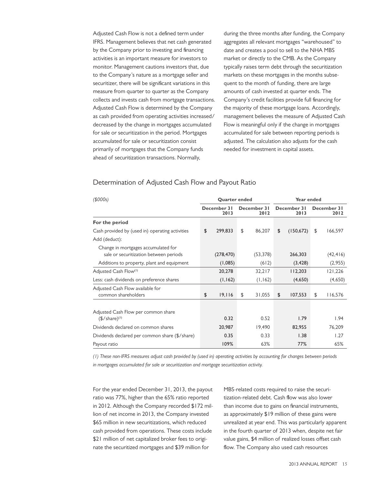Adjusted Cash Flow is not a defined term under IFRS. Management believes that net cash generated by the Company prior to investing and financing activities is an important measure for investors to monitor. Management cautions investors that, due to the Company's nature as a mortgage seller and securitizer, there will be significant variations in this measure from quarter to quarter as the Company collects and invests cash from mortgage transactions. Adjusted Cash Flow is determined by the Company as cash provided from operating activities increased/ decreased by the change in mortgages accumulated for sale or securitization in the period. Mortgages accumulated for sale or securitization consist primarily of mortgages that the Company funds ahead of securitization transactions. Normally,

during the three months after funding, the Company aggregates all relevant mortgages "warehoused" to date and creates a pool to sell to the NHA MBS market or directly to the CMB. As the Company typically raises term debt through the securitization markets on these mortgages in the months subsequent to the month of funding, there are large amounts of cash invested at quarter ends. The Company's credit facilities provide full financing for the majority of these mortgage loans. Accordingly, management believes the measure of Adjusted Cash Flow is meaningful only if the change in mortgages accumulated for sale between reporting periods is adjusted. The calculation also adjusts for the cash needed for investment in capital assets.

# Determination of Adjusted Cash Flow and Payout Ratio

| (\$000s)                                                                      | <b>Quarter ended</b> |                     |    |                     |    | Year ended          |    |                     |  |  |
|-------------------------------------------------------------------------------|----------------------|---------------------|----|---------------------|----|---------------------|----|---------------------|--|--|
|                                                                               |                      | December 31<br>2013 |    | December 31<br>2012 |    | December 31<br>2013 |    | December 31<br>2012 |  |  |
| For the period                                                                |                      |                     |    |                     |    |                     |    |                     |  |  |
| Cash provided by (used in) operating activities                               | \$                   | 299,833             | \$ | 86,207              | \$ | (150, 672)          | \$ | 166,597             |  |  |
| Add (deduct):                                                                 |                      |                     |    |                     |    |                     |    |                     |  |  |
| Change in mortgages accumulated for<br>sale or securitization between periods |                      | (278, 470)          |    | (53, 378)           |    | 266,303             |    | (42, 416)           |  |  |
| Additions to property, plant and equipment                                    |                      | (1,085)             |    | (612)               |    | (3, 428)            |    | (2,955)             |  |  |
| Adjusted Cash Flow <sup>(1)</sup>                                             |                      | 20,278              |    | 32,217              |    | 112,203             |    | 121,226             |  |  |
| Less: cash dividends on preference shares                                     |                      | (1, 162)            |    | (1, 162)            |    | (4,650)             |    | (4,650)             |  |  |
| Adjusted Cash Flow available for<br>common shareholders                       | \$                   | 19,116              | \$ | 31,055              | \$ | 107,553             | \$ | 116,576             |  |  |
|                                                                               |                      |                     |    |                     |    |                     |    |                     |  |  |
| Adjusted Cash Flow per common share<br>$(\frac{5}{\text{share}})^{(1)}$       |                      | 0.32                |    | 0.52                |    | 1.79                |    | 1.94                |  |  |
| Dividends declared on common shares                                           |                      | 20,987              |    | 19,490              |    | 82,955              |    | 76,209              |  |  |
| Dividends declared per common share (\$/share)                                |                      | 0.35                |    | 0.33                |    | 1.38                |    | 1.27                |  |  |
| Payout ratio                                                                  |                      | 109%                |    | 63%                 |    | 77%                 |    | 65%                 |  |  |

*(1) These non-IFRS measures adjust cash provided by (used in) operating activities by accounting for changes between periods in mortgages accumulated for sale or securitization and mortgage securitization activity.* 

For the year ended December 31, 2013, the payout ratio was 77%, higher than the 65% ratio reported in 2012. Although the Company recorded \$172 million of net income in 2013, the Company invested \$65 million in new securitizations, which reduced cash provided from operations. These costs include \$21 million of net capitalized broker fees to originate the securitized mortgages and \$39 million for

MBS-related costs required to raise the securitization-related debt. Cash flow was also lower than income due to gains on financial instruments, as approximately \$19 million of these gains were unrealized at year end. This was particularly apparent in the fourth quarter of 2013 when, despite net fair value gains, \$4 million of realized losses offset cash flow. The Company also used cash resources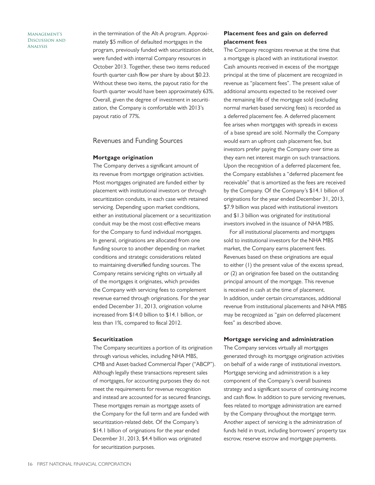in the termination of the Alt-A program. Approximately \$5 million of defaulted mortgages in the program, previously funded with securitization debt, were funded with internal Company resources in October 2013. Together, these two items reduced fourth quarter cash flow per share by about \$0.23. Without these two items, the payout ratio for the fourth quarter would have been approximately 63%. Overall, given the degree of investment in securitization, the Company is comfortable with 2013's payout ratio of 77%.

## Revenues and Funding Sources

#### **Mortgage origination**

The Company derives a significant amount of its revenue from mortgage origination activities. Most mortgages originated are funded either by placement with institutional investors or through securitization conduits, in each case with retained servicing. Depending upon market conditions, either an institutional placement or a securitization conduit may be the most cost-effective means for the Company to fund individual mortgages. In general, originations are allocated from one funding source to another depending on market conditions and strategic considerations related to maintaining diversified funding sources. The Company retains servicing rights on virtually all of the mortgages it originates, which provides the Company with servicing fees to complement revenue earned through originations. For the year ended December 31, 2013, origination volume increased from \$14.0 billion to \$14.1 billion, or less than 1%, compared to fiscal 2012.

#### **Securitization**

The Company securitizes a portion of its origination through various vehicles, including NHA MBS, CMB and Asset-backed Commercial Paper ("ABCP"). Although legally these transactions represent sales of mortgages, for accounting purposes they do not meet the requirements for revenue recognition and instead are accounted for as secured financings. These mortgages remain as mortgage assets of the Company for the full term and are funded with securitization-related debt. Of the Company's \$14.1 billion of originations for the year ended December 31, 2013, \$4.4 billion was originated for securitization purposes.

# **Placement fees and gain on deferred placement fees**

The Company recognizes revenue at the time that a mortgage is placed with an institutional investor. Cash amounts received in excess of the mortgage principal at the time of placement are recognized in revenue as "placement fees". The present value of additional amounts expected to be received over the remaining life of the mortgage sold (excluding normal market-based servicing fees) is recorded as a deferred placement fee. A deferred placement fee arises when mortgages with spreads in excess of a base spread are sold. Normally the Company would earn an upfront cash placement fee, but investors prefer paying the Company over time as they earn net interest margin on such transactions. Upon the recognition of a deferred placement fee, the Company establishes a "deferred placement fee receivable" that is amortized as the fees are received by the Company. Of the Company's \$14.1 billion of originations for the year ended December 31, 2013, \$7.9 billion was placed with institutional investors and \$1.3 billion was originated for institutional investors involved in the issuance of NHA MBS.

For all institutional placements and mortgages sold to institutional investors for the NHA MBS market, the Company earns placement fees. Revenues based on these originations are equal to either (1) the present value of the excess spread, or (2) an origination fee based on the outstanding principal amount of the mortgage. This revenue is received in cash at the time of placement. In addition, under certain circumstances, additional revenue from institutional placements and NHA MBS may be recognized as "gain on deferred placement fees" as described above.

## **Mortgage servicing and administration**

The Company services virtually all mortgages generated through its mortgage origination activities on behalf of a wide range of institutional investors. Mortgage servicing and administration is a key component of the Company's overall business strategy and a significant source of continuing income and cash flow. In addition to pure servicing revenues, fees related to mortgage administration are earned by the Company throughout the mortgage term. Another aspect of servicing is the administration of funds held in trust, including borrowers' property tax escrow, reserve escrow and mortgage payments.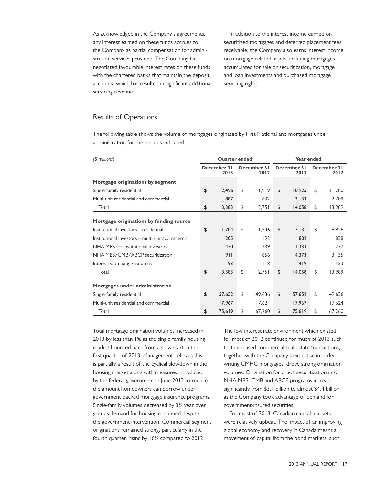As acknowledged in the Company's agreements, any interest earned on these funds accrues to the Company as partial compensation for administration services provided. The Company has negotiated favourable interest rates on these funds with the chartered banks that maintain the deposit accounts, which has resulted in significant additional servicing revenue.

In addition to the interest income earned on securitized mortgages and deferred placement fees receivable, the Company also earns interest income on mortgage-related assets, including mortgages accumulated for sale or securitization, mortgage and loan investments and purchased mortgage servicing rights.

## Results of Operations

The following table shows the volume of mortgages originated by First National and mortgages under administration for the periods indicated:

| $$$ millions)                                   | <b>Ouarter ended</b> |                     |    |                     | Year ended |                     |    |                     |
|-------------------------------------------------|----------------------|---------------------|----|---------------------|------------|---------------------|----|---------------------|
|                                                 |                      | December 31<br>2013 |    | December 31<br>2012 |            | December 31<br>2013 |    | December 31<br>2012 |
| Mortgage originations by segment                |                      |                     |    |                     |            |                     |    |                     |
| Single-family residential                       | \$                   | 2,496               | \$ | 1.919               | \$         | 10,925              | \$ | 11,280              |
| Multi-unit residential and commercial           |                      | 887                 |    | 832                 |            | 3,133               |    | 2,709               |
| Total                                           | \$                   | 3,383               | \$ | 2,751               | \$         | 14,058              | \$ | 13,989              |
| Mortgage originations by funding source         |                      |                     |    |                     |            |                     |    |                     |
| Institutional investors - residential           | \$                   | 1,704               | \$ | 1.246               | \$         | 7,131               | \$ | 8,926               |
| Institutional investors - multi-unit/commercial |                      | 205                 |    | 192                 |            | 802                 |    | 838                 |
| NHA MBS for institutional investors             |                      | 470                 |    | 339                 |            | 1,333               |    | 737                 |
| NHA MBS/CMB/ABCP securitization                 |                      | 911                 |    | 856                 |            | 4,373               |    | 3,135               |
| Internal Company resources                      |                      | 93                  |    | 118                 |            | 419                 |    | 353                 |
| Total                                           | \$                   | 3.383               | \$ | 2,751               | \$         | 14,058              | \$ | 13,989              |
| Mortgages under administration                  |                      |                     |    |                     |            |                     |    |                     |
| Single-family residential                       | \$                   | 57,652              | \$ | 49.636              | \$         | 57,652              | \$ | 49,636              |
| Multi-unit residential and commercial           |                      | 17,967              |    | 17,624              |            | 17,967              |    | 17,624              |
| Total                                           | \$                   | 75,619              | \$ | 67,260              | \$         | 75,619              | \$ | 67,260              |

Total mortgage origination volumes increased in 2013 by less than 1% as the single-family housing market bounced back from a slow start in the first quarter of 2013. Management believes this is partially a result of the cyclical slowdown in the housing market along with measures introduced by the federal government in June 2012 to reduce the amount homeowners can borrow under government-backed mortgage insurance programs. Single-family volumes decreased by 3% year over year as demand for housing continued despite the government intervention. Commercial segment originations remained strong, particularly in the fourth quarter, rising by 16% compared to 2012.

The low interest rate environment which existed for most of 2012 continued for much of 2013 such that increased commercial real estate transactions, together with the Company's expertise in underwriting CMHC mortgages, drove strong origination volumes. Origination for direct securitization into NHA MBS, CMB and ABCP programs increased significantly from \$3.1 billion to almost \$4.4 billion as the Company took advantage of demand for government-insured securities.

For most of 2013, Canadian capital markets were relatively upbeat. The impact of an improving global economy and recovery in Canada meant a movement of capital from the bond markets, such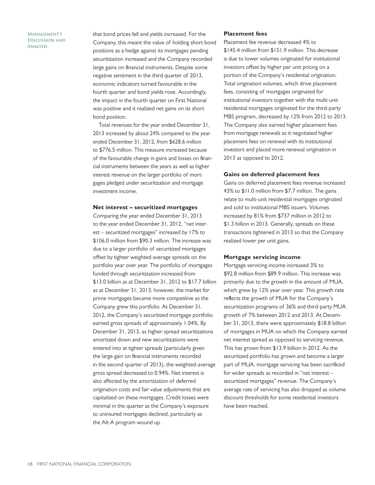that bond prices fell and yields increased. For the Company, this meant the value of holding short bond positions as a hedge against its mortgages pending securitization increased and the Company recorded large gains on financial instruments. Despite some negative sentiment in the third quarter of 2013, economic indicators turned favourable in the fourth quarter and bond yields rose. Accordingly, the impact in the fourth quarter on First National was positive and it realized net gains on its short bond position.

Total revenues for the year ended December 31, 2013 increased by about 24% compared to the year ended December 31, 2012, from \$628.6 million to \$776.5 million. This measure increased because of the favourable change in gains and losses on financial instruments between the years as well as higher interest revenue on the larger portfolio of mortgages pledged under securitization and mortgage investment income.

#### **Net interest – securitized mortgages**

Comparing the year ended December 31, 2013 to the year ended December 31, 2012, "net interest – securitized mortgages" increased by 17% to \$106.0 million from \$90.3 million. The increase was due to a larger portfolio of securitized mortgages offset by tighter weighted-average spreads on the portfolio year over year. The portfolio of mortgages funded through securitization increased from \$13.0 billion as at December 31, 2012 to \$17.7 billion as at December 31, 2013; however, the market for prime mortgages became more competitive as the Company grew this portfolio. At December 31, 2012, the Company's securitized mortgage portfolio earned gross spreads of approximately 1.04%. By December 31, 2013, as higher-spread securitizations amortized down and new securitizations were entered into at tighter spreads (particularly given the large gain on financial instruments recorded in the second quarter of 2013), the weighted-average gross spread decreased to 0.94%. Net interest is also affected by the amortization of deferred origination costs and fair value adjustments that are capitalized on these mortgages. Credit losses were minimal in the quarter as the Company's exposure to uninsured mortgages declined, particularly as the Alt-A program wound up.

## **Placement fees**

Placement fee revenue decreased 4% to \$145.4 million from \$151.9 million. This decrease is due to lower volumes originated for institutional investors offset by higher per unit pricing on a portion of the Company's residential origination. Total origination volumes, which drive placement fees, consisting of mortgages originated for institutional investors together with the multi-unit residential mortgages originated for the third-party MBS program, decreased by 12% from 2012 to 2013. The Company also earned higher placement fees from mortgage renewals as it negotiated higher placement fees on renewal with its institutional investors and placed more renewal origination in 2013 as opposed to 2012.

#### **Gains on deferred placement fees**

Gains on deferred placement fees revenue increased 43% to \$11.0 million from \$7.7 million. The gains relate to multi-unit residential mortgages originated and sold to institutional MBS issuers. Volumes increased by 81% from \$737 million in 2012 to \$1.3 billion in 2013. Generally, spreads on these transactions tightened in 2013 so that the Company realized lower per unit gains.

#### **Mortgage servicing income**

Mortgage servicing income increased 3% to \$92.8 million from \$89.9 million. This increase was primarily due to the growth in the amount of MUA, which grew by 12% year over year. This growth rate reflects the growth of MUA for the Company's securitization programs of 36% and third-party MUA growth of 7% between 2012 and 2013. At December 31, 2013, there were approximately \$18.8 billion of mortgages in MUA on which the Company earned net interest spread as opposed to servicing revenue. This has grown from \$13.9 billion in 2012. As the securitized portfolio has grown and become a larger part of MUA, mortgage servicing has been sacrificed for wider spreads as recorded in "net interest – securitized mortgages" revenue. The Company's average rate of servicing has also dropped as volume discount thresholds for some residential investors have been reached.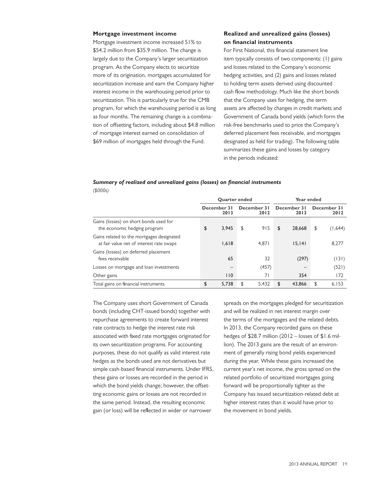#### **Mortgage investment income**

Mortgage investment income increased 51% to \$54.2 million from \$35.9 million. The change is largely due to the Company's larger securitization program. As the Company elects to securitize more of its origination, mortgages accumulated for securitization increase and earn the Company higher interest income in the warehousing period prior to securitization. This is particularly true for the CMB program, for which the warehousing period is as long as four months. The remaining change is a combination of offsetting factors, including about \$4.8 million of mortgage interest earned on consolidation of \$69 million of mortgages held through the Fund.

# **Realized and unrealized gains (losses) on fi nancial instruments**

For First National, this financial statement line item typically consists of two components: (1) gains and losses related to the Company's economic hedging activities, and (2) gains and losses related to holding term assets derived using discounted cash flow methodology. Much like the short bonds that the Company uses for hedging, the term assets are affected by changes in credit markets and Government of Canada bond yields (which form the risk-free benchmarks used to price the Company's deferred placement fees receivable, and mortgages designated as held for trading). The following table summarizes these gains and losses by category in the periods indicated:

## Summary of realized and unrealized gains (losses) on financial instruments *(\$000s)*

|                                                                                       | <b>Ouarter ended</b> |                     | Year ended |                     |    |                     |  |  |
|---------------------------------------------------------------------------------------|----------------------|---------------------|------------|---------------------|----|---------------------|--|--|
|                                                                                       | December 31<br>2013  | December 31<br>2012 |            | December 31<br>2013 |    | December 31<br>2012 |  |  |
| Gains (losses) on short bonds used for<br>the economic hedging program                | \$<br>3.945          | \$<br>915           | \$         | 28,668              | \$ | (1,644)             |  |  |
| Gains related to the mortgages designated<br>at fair value net of interest rate swaps | 1.618                | 4.871               |            | 15,141              |    | 8,277               |  |  |
| Gains (losses) on deferred placement<br>fees receivable                               | 65                   | 32                  |            | (297)               |    | (131)               |  |  |
| Losses on mortgage and loan investments                                               |                      | (457)               |            |                     |    | (521)               |  |  |
| Other gains                                                                           | 110                  | 71                  |            | 354                 |    | 172                 |  |  |
| Total gains on financial instruments                                                  | \$<br>5,738          | \$<br>5,432         | \$         | 43,866              | \$ | 6,153               |  |  |

The Company uses short Government of Canada bonds (including CHT-issued bonds) together with repurchase agreements to create forward interest rate contracts to hedge the interest rate risk associated with fixed rate mortgages originated for its own securitization programs. For accounting purposes, these do not qualify as valid interest rate hedges as the bonds used are not derivatives but simple cash-based financial instruments. Under IFRS, these gains or losses are recorded in the period in which the bond yields change; however, the offsetting economic gains or losses are not recorded in the same period. Instead, the resulting economic gain (or loss) will be reflected in wider or narrower

spreads on the mortgages pledged for securitization and will be realized in net interest margin over the terms of the mortgages and the related debts. In 2013, the Company recorded gains on these hedges of \$28.7 million (2012 – losses of \$1.6 million). The 2013 gains are the result of an environment of generally rising bond yields experienced during the year. While these gains increased the current year's net income, the gross spread on the related portfolio of securitized mortgages going forward will be proportionally tighter as the Company has issued securitization-related debt at higher interest rates than it would have prior to the movement in bond yields.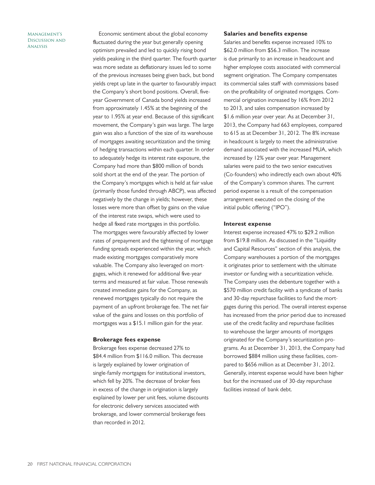Economic sentiment about the global economy fluctuated during the year but generally opening optimism prevailed and led to quickly rising bond yields peaking in the third quarter. The fourth quarter was more sedate as deflationary issues led to some of the previous increases being given back, but bond yields crept up late in the quarter to favourably impact the Company's short bond positions. Overall, fiveyear Government of Canada bond yields increased from approximately 1.45% at the beginning of the year to 1.95% at year end. Because of this significant movement, the Company's gain was large. The large gain was also a function of the size of its warehouse of mortgages awaiting securitization and the timing of hedging transactions within each quarter. In order to adequately hedge its interest rate exposure, the Company had more than \$800 million of bonds sold short at the end of the year. The portion of the Company's mortgages which is held at fair value (primarily those funded through ABCP), was affected negatively by the change in yields; however, these losses were more than offset by gains on the value of the interest rate swaps, which were used to hedge all fixed rate mortgages in this portfolio. The mortgages were favourably affected by lower rates of prepayment and the tightening of mortgage funding spreads experienced within the year, which made existing mortgages comparatively more valuable. The Company also leveraged on mortgages, which it renewed for additional five-year terms and measured at fair value. Those renewals created immediate gains for the Company, as renewed mortgages typically do not require the payment of an upfront brokerage fee. The net fair value of the gains and losses on this portfolio of mortgages was a \$15.1 million gain for the year.

#### **Brokerage fees expense**

Brokerage fees expense decreased 27% to \$84.4 million from \$116.0 million. This decrease is largely explained by lower origination of single-family mortgages for institutional investors, which fell by 20%. The decrease of broker fees in excess of the change in origination is largely explained by lower per unit fees, volume discounts for electronic delivery services associated with brokerage, and lower commercial brokerage fees than recorded in 2012.

#### **Salaries and benefits expense**

Salaries and benefits expense increased 10% to \$62.0 million from \$56.3 million. The increase is due primarily to an increase in headcount and higher employee costs associated with commercial segment origination. The Company compensates its commercial sales staff with commissions based on the profitability of originated mortgages. Commercial origination increased by 16% from 2012 to 2013, and sales compensation increased by \$1.6 million year over year. As at December 31, 2013, the Company had 663 employees, compared to 615 as at December 31, 2012. The 8% increase in headcount is largely to meet the administrative demand associated with the increased MUA, which increased by 12% year over year. Management salaries were paid to the two senior executives (Co-founders) who indirectly each own about 40% of the Company's common shares. The current period expense is a result of the compensation arrangement executed on the closing of the initial public offering ("IPO").

#### **Interest expense**

Interest expense increased 47% to \$29.2 million from \$19.8 million. As discussed in the "Liquidity and Capital Resources" section of this analysis, the Company warehouses a portion of the mortgages it originates prior to settlement with the ultimate investor or funding with a securitization vehicle. The Company uses the debenture together with a \$570 million credit facility with a syndicate of banks and 30-day repurchase facilities to fund the mortgages during this period. The overall interest expense has increased from the prior period due to increased use of the credit facility and repurchase facilities to warehouse the larger amounts of mortgages originated for the Company's securitization programs. As at December 31, 2013, the Company had borrowed \$884 million using these facilities, compared to \$656 million as at December 31, 2012. Generally, interest expense would have been higher but for the increased use of 30-day repurchase facilities instead of bank debt.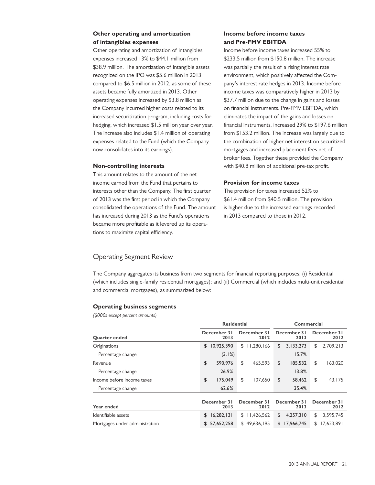# **Other operating and amortization of intangibles expenses**

Other operating and amortization of intangibles expenses increased 13% to \$44.1 million from \$38.9 million. The amortization of intangible assets recognized on the IPO was \$5.6 million in 2013 compared to \$6.5 million in 2012, as some of these assets became fully amortized in 2013. Other operating expenses increased by \$3.8 million as the Company incurred higher costs related to its increased securitization program, including costs for hedging, which increased \$1.5 million year over year. The increase also includes \$1.4 million of operating expenses related to the Fund (which the Company now consolidates into its earnings).

#### **Non-controlling interests**

This amount relates to the amount of the net income earned from the Fund that pertains to interests other than the Company. The first quarter of 2013 was the first period in which the Company consolidated the operations of the Fund. The amount has increased during 2013 as the Fund's operations became more profitable as it levered up its operations to maximize capital efficiency.

# **Income before income taxes and Pre-FMV EBITDA**

Income before income taxes increased 55% to \$233.5 million from \$150.8 million. The increase was partially the result of a rising interest rate environment, which positively affected the Company's interest rate hedges in 2013. Income before income taxes was comparatively higher in 2013 by \$37.7 million due to the change in gains and losses on financial instruments. Pre-FMV EBITDA, which eliminates the impact of the gains and losses on financial instruments, increased 29% to \$197.6 million from \$153.2 million. The increase was largely due to the combination of higher net interest on securitized mortgages and increased placement fees net of broker fees. Together these provided the Company with \$40.8 million of additional pre-tax profit.

## **Provision for income taxes**

The provision for taxes increased 52% to \$61.4 million from \$40.5 million. The provision is higher due to the increased earnings recorded in 2013 compared to those in 2012.

# Operating Segment Review

The Company aggregates its business from two segments for financial reporting purposes: (i) Residential (which includes single-family residential mortgages); and (ii) Commercial (which includes multi-unit residential and commercial mortgages), as summarized below:

## **Operating business segments**

*(\$000s except percent amounts)*

|                                | <b>Residential</b>  |                     | <b>Commercial</b>   |                     |  |  |
|--------------------------------|---------------------|---------------------|---------------------|---------------------|--|--|
| <b>Quarter ended</b>           | December 31<br>2013 | December 31<br>2012 | December 31<br>2013 | December 31<br>2012 |  |  |
| Originations                   | 10,925,390<br>\$    | 11,280,166<br>\$    | 3,133,273<br>\$     | 2,709,213<br>\$     |  |  |
| Percentage change              | $(3.1\%)$           |                     | 15.7%               |                     |  |  |
| Revenue                        | \$<br>590,976       | 465.593<br>\$       | \$<br>185,532       | \$<br>163,020       |  |  |
| Percentage change              | 26.9%               |                     | 13.8%               |                     |  |  |
| Income before income taxes     | \$<br>175.049       | 107.650<br>\$       | \$<br>58,462        | \$<br>43,175        |  |  |
| Percentage change              | 62.6%               |                     | 35.4%               |                     |  |  |
| Year ended                     | December 31<br>2013 | December 31<br>2012 | December 31<br>2013 | December 31<br>2012 |  |  |
| Identifiable assets            | 16,282,131<br>\$    | \$11.426.562        | 4.257.310<br>\$     | 3.595.745<br>\$     |  |  |
| Mortgages under administration | 57,652,258<br>S     | \$49,636,195        | 17,966,745<br>S.    | 17,623,891<br>\$    |  |  |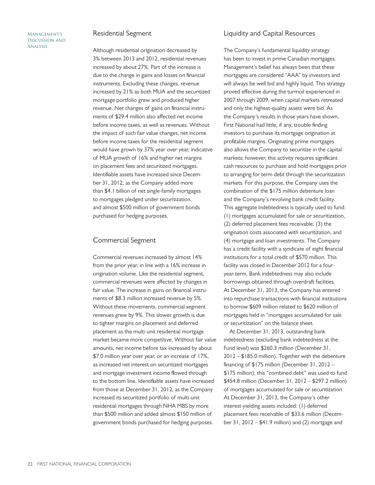## Residential Segment

Although residential origination decreased by 3% between 2013 and 2012, residential revenues increased by about 27%. Part of the increase is due to the change in gains and losses on financial instruments. Excluding these changes, revenue increased by 21% as both MUA and the securitized mortgage portfolio grew and produced higher revenue. Net changes of gains on financial instruments of \$29.4 million also affected net income before income taxes, as well as revenues. Without the impact of such fair value changes, net income before income taxes for the residential segment would have grown by 37% year over year, indicative of MUA growth of 16% and higher net margins on placement fees and securitized mortgages. Identifiable assets have increased since December 31, 2012, as the Company added more than \$4.1 billion of net single-family mortgages to mortgages pledged under securitization, and almost \$500 million of government bonds purchased for hedging purposes.

## Commercial Segment

Commercial revenues increased by almost 14% from the prior year, in line with a 16% increase in origination volume. Like the residential segment, commercial revenues were affected by changes in fair value. The increase in gains on financial instruments of \$8.3 million increased revenue by 5%. Without these movements, commercial segment revenues grew by 9%. This slower growth is due to tighter margins on placement and deferred placement as the multi-unit residential mortgage market became more competitive. Without fair value amounts, net income before tax increased by about \$7.0 million year over year, or an increase of 17%, as increased net interest on securitized mortgages and mortgage investment income flowed through to the bottom line. Identifiable assets have increased from those at December 31, 2012, as the Company increased its securitized portfolio of multi-unit residential mortgages through NHA MBS by more than \$500 million and added almost \$150 million of government bonds purchased for hedging purposes.

# Liquidity and Capital Resources

The Company's fundamental liquidity strategy has been to invest in prime Canadian mortgages. Management's belief has always been that these mortgages are considered "AAA" by investors and will always be well bid and highly liquid. This strategy proved effective during the turmoil experienced in 2007 through 2009, when capital markets retreated and only the highest-quality assets were bid. As the Company's results in those years have shown, First National had little, if any, trouble finding investors to purchase its mortgage origination at profitable margins. Originating prime mortgages also allows the Company to securitize in the capital markets; however, this activity requires significant cash resources to purchase and hold mortgages prior to arranging for term debt through the securitization markets. For this purpose, the Company uses the combination of the \$175 million debenture loan and the Company's revolving bank credit facility. This aggregate indebtedness is typically used to fund: (1) mortgages accumulated for sale or securitization, (2) deferred placement fees receivable, (3) the origination costs associated with securitization, and (4) mortgage and loan investments. The Company has a credit facility with a syndicate of eight financial institutions for a total credit of \$570 million. This facility was closed in December 2012 for a fouryear term. Bank indebtedness may also include borrowings obtained through overdraft facilities. At December 31, 2013, the Company has entered into repurchase transactions with financial institutions to borrow \$609 million related to \$620 million of mortgages held in "mortgages accumulated for sale or securitization" on the balance sheet.

At December 31, 2013, outstanding bank indebtedness (excluding bank indebtedness at the Fund level) was \$260.3 million (December 31, 2012 – \$185.0 million). Together with the debenture financing of  $$175$  million (December 31, 2012 – \$175 million), this "combined debt" was used to fund \$454.8 million (December 31, 2012 – \$297.2 million) of mortgages accumulated for sale or securitization. At December 31, 2013, the Company's other interest-yielding assets included: (1) deferred placement fees receivable of \$33.6 million (December 31, 2012 – \$41.9 million) and (2) mortgage and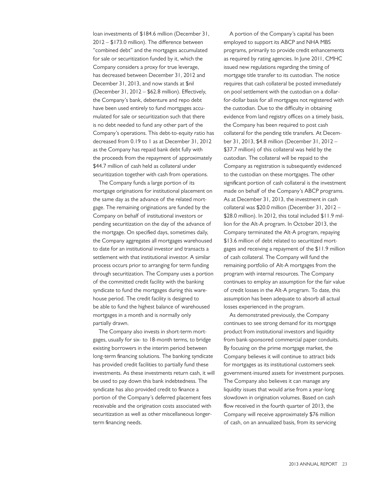loan investments of \$184.6 million (December 31,  $2012 - $173.0$  million). The difference between "combined debt" and the mortgages accumulated for sale or securitization funded by it, which the Company considers a proxy for true leverage, has decreased between December 31, 2012 and December 31, 2013, and now stands at \$nil (December 31,  $2012 - $62.8$  million). Effectively, the Company's bank, debenture and repo debt have been used entirely to fund mortgages accumulated for sale or securitization such that there is no debt needed to fund any other part of the Company's operations. This debt-to-equity ratio has decreased from 0.19 to 1 as at December 31, 2012 as the Company has repaid bank debt fully with the proceeds from the repayment of approximately \$44.7 million of cash held as collateral under securitization together with cash from operations.

The Company funds a large portion of its mortgage originations for institutional placement on the same day as the advance of the related mortgage. The remaining originations are funded by the Company on behalf of institutional investors or pending securitization on the day of the advance of the mortgage. On specified days, sometimes daily, the Company aggregates all mortgages warehoused to date for an institutional investor and transacts a settlement with that institutional investor. A similar process occurs prior to arranging for term funding through securitization. The Company uses a portion of the committed credit facility with the banking syndicate to fund the mortgages during this warehouse period. The credit facility is designed to be able to fund the highest balance of warehoused mortgages in a month and is normally only partially drawn.

The Company also invests in short-term mortgages, usually for six- to 18-month terms, to bridge existing borrowers in the interim period between long-term financing solutions. The banking syndicate has provided credit facilities to partially fund these investments. As these investments return cash, it will be used to pay down this bank indebtedness. The syndicate has also provided credit to finance a portion of the Company's deferred placement fees receivable and the origination costs associated with securitization as well as other miscellaneous longerterm financing needs.

A portion of the Company's capital has been employed to support its ABCP and NHA MBS programs, primarily to provide credit enhancements as required by rating agencies. In June 2011, CMHC issued new regulations regarding the timing of mortgage title transfer to its custodian. The notice requires that cash collateral be posted immediately on pool settlement with the custodian on a dollarfor-dollar basis for all mortgages not registered with the custodian. Due to the difficulty in obtaining evidence from land registry offices on a timely basis, the Company has been required to post cash collateral for the pending title transfers. At December 31, 2013, \$4.8 million (December 31, 2012 – \$37.7 million) of this collateral was held by the custodian. The collateral will be repaid to the Company as registration is subsequently evidenced to the custodian on these mortgages. The other significant portion of cash collateral is the investment made on behalf of the Company's ABCP programs. As at December 31, 2013, the investment in cash collateral was \$20.0 million (December 31, 2012 – \$28.0 million). In 2012, this total included \$11.9 million for the Alt-A program. In October 2013, the Company terminated the Alt-A program, repaying \$13.6 million of debt related to securitized mortgages and receiving a repayment of the \$11.9 million of cash collateral. The Company will fund the remaining portfolio of Alt-A mortgages from the program with internal resources. The Company continues to employ an assumption for the fair value of credit losses in the Alt-A program. To date, this assumption has been adequate to absorb all actual losses experienced in the program.

As demonstrated previously, the Company continues to see strong demand for its mortgage product from institutional investors and liquidity from bank-sponsored commercial paper conduits. By focusing on the prime mortgage market, the Company believes it will continue to attract bids for mortgages as its institutional customers seek government-insured assets for investment purposes. The Company also believes it can manage any liquidity issues that would arise from a year-long slowdown in origination volumes. Based on cash flow received in the fourth quarter of 2013, the Company will receive approximately \$76 million of cash, on an annualized basis, from its servicing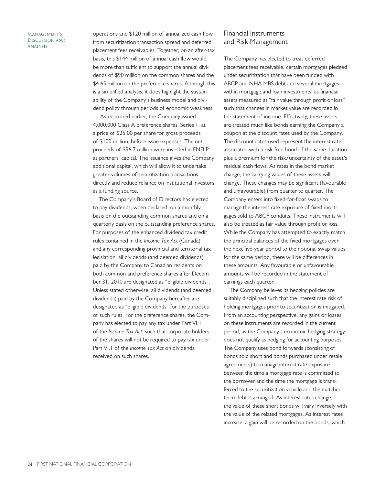operations and \$120 million of annualized cash flow from securitization transaction spread and deferred placement fees receivables. Together, on an after-tax basis, this \$144 million of annual cash flow would be more than sufficient to support the annual dividends of \$90 million on the common shares and the \$4.65 million on the preference shares. Although this is a simplified analysis, it does highlight the sustainability of the Company's business model and dividend policy through periods of economic weakness.

 As described earlier, the Company issued 4,000,000 Class A preference shares, Series 1, at a price of \$25.00 per share for gross proceeds of \$100 million, before issue expenses. The net proceeds of \$96.7 million were invested in FNFLP as partners' capital. The issuance gives the Company additional capital, which will allow it to undertake greater volumes of securitization transactions directly and reduce reliance on institutional investors as a funding source.

The Company's Board of Directors has elected to pay dividends, when declared, on a monthly basis on the outstanding common shares and on a quarterly basis on the outstanding preference shares. For purposes of the enhanced dividend tax credit rules contained in the *Income Tax Act* (Canada) and any corresponding provincial and territorial tax legislation, all dividends (and deemed dividends) paid by the Company to Canadian residents on both common and preference shares after December 31, 2010 are designated as "eligible dividends". Unless stated otherwise, all dividends (and deemed dividends) paid by the Company hereafter are designated as "eligible dividends" for the purposes of such rules. For the preference shares, the Company has elected to pay any tax under Part VI.1 of the *Income Tax Act*, such that corporate holders of the shares will not be required to pay tax under Part VI.1 of the *Income Tax Act* on dividends received on such shares.

# Financial Instruments and Risk Management

The Company has elected to treat deferred placement fees receivable, certain mortgages pledged under securitization that have been funded with ABCP and NHA MBS debt and several mortgages within mortgage and loan investments, as financial assets measured at "fair value through profit or loss" such that changes in market value are recorded in the statement of income. Effectively, these assets are treated much like bonds earning the Company a coupon at the discount rates used by the Company. The discount rates used represent the interest rate associated with a risk-free bond of the same duration plus a premium for the risk/uncertainty of the asset's residual cash flows. As rates in the bond market change, the carrying values of these assets will change. These changes may be significant (favourable and unfavourable) from quarter to quarter. The Company enters into fixed-for-float swaps to manage the interest rate exposure of fixed mortgages sold to ABCP conduits. These instruments will also be treated as fair value through profit or loss. While the Company has attempted to exactly match the principal balances of the fixed mortgages over the next five-year period to the notional swap values for the same period, there will be differences in these amounts. Any favourable or unfavourable amounts will be recorded in the statement of earnings each quarter.

The Company believes its hedging policies are suitably disciplined such that the interest rate risk of holding mortgages prior to securitization is mitigated. From an accounting perspective, any gains or losses on these instruments are recorded in the current period, as the Company's economic hedging strategy does not qualify as hedging for accounting purposes. The Company uses bond forwards (consisting of bonds sold short and bonds purchased under resale agreements) to manage interest rate exposure between the time a mortgage rate is committed to the borrower and the time the mortgage is transferred to the securitization vehicle and the matched term debt is arranged. As interest rates change, the value of these short bonds will vary inversely with the value of the related mortgages. As interest rates increase, a gain will be recorded on the bonds, which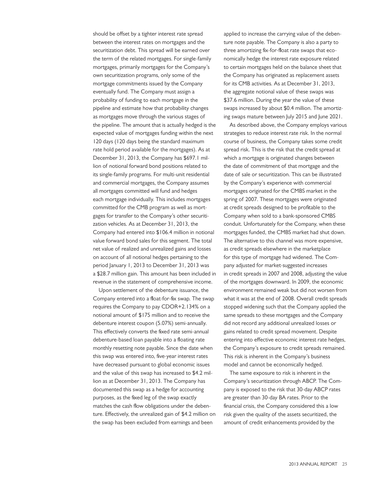should be offset by a tighter interest rate spread between the interest rates on mortgages and the securitization debt. This spread will be earned over the term of the related mortgages. For single-family mortgages, primarily mortgages for the Company's own securitization programs, only some of the mortgage commitments issued by the Company eventually fund. The Company must assign a probability of funding to each mortgage in the pipeline and estimate how that probability changes as mortgages move through the various stages of the pipeline. The amount that is actually hedged is the expected value of mortgages funding within the next 120 days (120 days being the standard maximum rate hold period available for the mortgages). As at December 31, 2013, the Company has \$697.1 million of notional forward bond positions related to its single-family programs. For multi-unit residential and commercial mortgages, the Company assumes all mortgages committed will fund and hedges each mortgage individually. This includes mortgages committed for the CMB program as well as mortgages for transfer to the Company's other securitization vehicles. As at December 31, 2013, the Company had entered into \$106.4 million in notional value forward bond sales for this segment. The total net value of realized and unrealized gains and losses on account of all notional hedges pertaining to the period January 1, 2013 to December 31, 2013 was a \$28.7 million gain. This amount has been included in revenue in the statement of comprehensive income.

Upon settlement of the debenture issuance, the Company entered into a float-for-fix swap. The swap requires the Company to pay CDOR+2.134% on a notional amount of \$175 million and to receive the debenture interest coupon (5.07%) semi-annually. This effectively converts the fixed rate semi-annual debenture-based loan payable into a floating rate monthly resetting note payable. Since the date when this swap was entered into, five-year interest rates have decreased pursuant to global economic issues and the value of this swap has increased to \$4.2 million as at December 31, 2013. The Company has documented this swap as a hedge for accounting purposes, as the fixed leg of the swap exactly matches the cash flow obligations under the debenture. Effectively, the unrealized gain of \$4.2 million on the swap has been excluded from earnings and been

applied to increase the carrying value of the debenture note payable. The Company is also a party to three amortizing fix-for-float rate swaps that economically hedge the interest rate exposure related to certain mortgages held on the balance sheet that the Company has originated as replacement assets for its CMB activities. As at December 31, 2013, the aggregate notional value of these swaps was \$37.6 million. During the year the value of these swaps increased by about \$0.4 million. The amortizing swaps mature between July 2015 and June 2021.

As described above, the Company employs various strategies to reduce interest rate risk. In the normal course of business, the Company takes some credit spread risk. This is the risk that the credit spread at which a mortgage is originated changes between the date of commitment of that mortgage and the date of sale or securitization. This can be illustrated by the Company's experience with commercial mortgages originated for the CMBS market in the spring of 2007. These mortgages were originated at credit spreads designed to be profitable to the Company when sold to a bank-sponsored CMBS conduit. Unfortunately for the Company, when these mortgages funded, the CMBS market had shut down. The alternative to this channel was more expensive, as credit spreads elsewhere in the marketplace for this type of mortgage had widened. The Company adjusted for market-suggested increases in credit spreads in 2007 and 2008, adjusting the value of the mortgages downward. In 2009, the economic environment remained weak but did not worsen from what it was at the end of 2008. Overall credit spreads stopped widening such that the Company applied the same spreads to these mortgages and the Company did not record any additional unrealized losses or gains related to credit spread movement. Despite entering into effective economic interest rate hedges, the Company's exposure to credit spreads remained. This risk is inherent in the Company's business model and cannot be economically hedged.

The same exposure to risk is inherent in the Company's securitization through ABCP. The Company is exposed to the risk that 30-day ABCP rates are greater than 30-day BA rates. Prior to the financial crisis, the Company considered this a low risk given the quality of the assets securitized, the amount of credit enhancements provided by the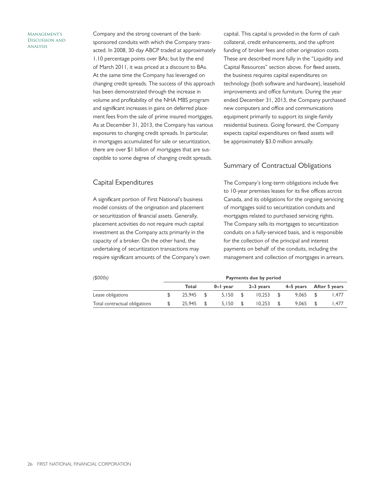Company and the strong covenant of the banksponsored conduits with which the Company transacted. In 2008, 30-day ABCP traded at approximately 1.10 percentage points over BAs; but by the end of March 2011, it was priced at a discount to BAs. At the same time the Company has leveraged on changing credit spreads. The success of this approach has been demonstrated through the increase in volume and profitability of the NHA MBS program and significant increases in gains on deferred placement fees from the sale of prime insured mortgages. As at December 31, 2013, the Company has various exposures to changing credit spreads. In particular, in mortgages accumulated for sale or securitization, there are over \$1 billion of mortgages that are susceptible to some degree of changing credit spreads.

# Capital Expenditures

A significant portion of First National's business model consists of the origination and placement or securitization of financial assets. Generally, placement activities do not require much capital investment as the Company acts primarily in the capacity of a broker. On the other hand, the undertaking of securitization transactions may require significant amounts of the Company's own capital. This capital is provided in the form of cash collateral, credit enhancements, and the upfront funding of broker fees and other origination costs. These are described more fully in the "Liquidity and Capital Resources" section above. For fixed assets, the business requires capital expenditures on technology (both software and hardware), leasehold improvements and office furniture. During the year ended December 31, 2013, the Company purchased new computers and office and communications equipment primarily to support its single-family residential business. Going forward, the Company expects capital expenditures on fixed assets will be approximately \$3.0 million annually.

# Summary of Contractual Obligations

The Company's long-term obligations include five to 10-year premises leases for its five offices across Canada, and its obligations for the ongoing servicing of mortgages sold to securitization conduits and mortgages related to purchased servicing rights. The Company sells its mortgages to securitization conduits on a fully-serviced basis, and is responsible for the collection of the principal and interest payments on behalf of the conduits, including the management and collection of mortgages in arrears.

| $($ \$000s)                   |           |              | Payments due by period |              |             |                      |
|-------------------------------|-----------|--------------|------------------------|--------------|-------------|----------------------|
|                               | Total     | $0 - 1$ year | $2 - 3$ years          |              | $4-5$ years | <b>After 5 years</b> |
| Lease obligations             | 25.945 \$ | $5.150$ \$   | $10.253$ \$            |              | $9.065$ \$  | l.477                |
| Total contractual obligations | 25.945 \$ | $5,150$ \$   | 10.253                 | $\mathbb{S}$ | $9.065$ \$  | $\mathsf{.477}$      |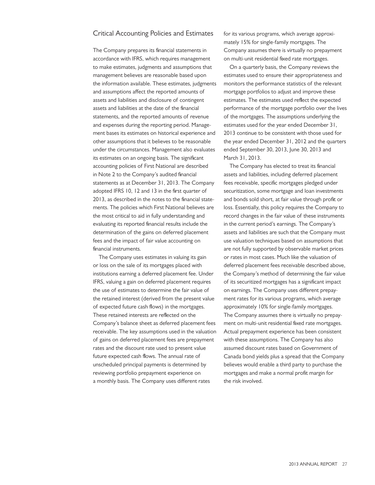## Critical Accounting Policies and Estimates

The Company prepares its financial statements in accordance with IFRS, which requires management to make estimates, judgments and assumptions that management believes are reasonable based upon the information available. These estimates, judgments and assumptions affect the reported amounts of assets and liabilities and disclosure of contingent assets and liabilities at the date of the financial statements, and the reported amounts of revenue and expenses during the reporting period. Management bases its estimates on historical experience and other assumptions that it believes to be reasonable under the circumstances. Management also evaluates its estimates on an ongoing basis. The significant accounting policies of First National are described in Note 2 to the Company's audited financial statements as at December 31, 2013. The Company adopted IFRS 10, 12 and 13 in the first quarter of 2013, as described in the notes to the financial statements. The policies which First National believes are the most critical to aid in fully understanding and evaluating its reported financial results include the determination of the gains on deferred placement fees and the impact of fair value accounting on financial instruments.

The Company uses estimates in valuing its gain or loss on the sale of its mortgages placed with institutions earning a deferred placement fee. Under IFRS, valuing a gain on deferred placement requires the use of estimates to determine the fair value of the retained interest (derived from the present value of expected future cash flows) in the mortgages. These retained interests are reflected on the Company's balance sheet as deferred placement fees receivable. The key assumptions used in the valuation of gains on deferred placement fees are prepayment rates and the discount rate used to present value future expected cash flows. The annual rate of unscheduled principal payments is determined by reviewing portfolio prepayment experience on a monthly basis. The Company uses different rates

for its various programs, which average approximately 15% for single-family mortgages. The Company assumes there is virtually no prepayment on multi-unit residential fixed rate mortgages.

On a quarterly basis, the Company reviews the estimates used to ensure their appropriateness and monitors the performance statistics of the relevant mortgage portfolios to adjust and improve these estimates. The estimates used reflect the expected performance of the mortgage portfolio over the lives of the mortgages. The assumptions underlying the estimates used for the year ended December 31, 2013 continue to be consistent with those used for the year ended December 31, 2012 and the quarters ended September 30, 2013, June 30, 2013 and March 31, 2013.

The Company has elected to treat its financial assets and liabilities, including deferred placement fees receivable, specific mortgages pledged under securitization, some mortgage and loan investments and bonds sold short, at fair value through profit or loss. Essentially, this policy requires the Company to record changes in the fair value of these instruments in the current period's earnings. The Company's assets and liabilities are such that the Company must use valuation techniques based on assumptions that are not fully supported by observable market prices or rates in most cases. Much like the valuation of deferred placement fees receivable described above, the Company's method of determining the fair value of its securitized mortgages has a significant impact on earnings. The Company uses different prepayment rates for its various programs, which average approximately 10% for single-family mortgages. The Company assumes there is virtually no prepayment on multi-unit residential fixed rate mortgages. Actual prepayment experience has been consistent with these assumptions. The Company has also assumed discount rates based on Government of Canada bond yields plus a spread that the Company believes would enable a third party to purchase the mortgages and make a normal profit margin for the risk involved.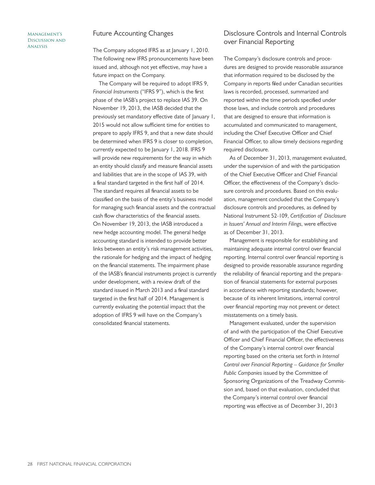## Future Accounting Changes

The Company adopted IFRS as at January 1, 2010. The following new IFRS pronouncements have been issued and, although not yet effective, may have a future impact on the Company.

The Company will be required to adopt IFRS 9, *Financial Instruments* ("IFRS 9"), which is the first phase of the IASB's project to replace IAS 39. On November 19, 2013, the IASB decided that the previously set mandatory effective date of January 1, 2015 would not allow sufficient time for entities to prepare to apply IFRS 9, and that a new date should be determined when IFRS 9 is closer to completion, currently expected to be January 1, 2018. IFRS 9 will provide new requirements for the way in which an entity should classify and measure financial assets and liabilities that are in the scope of IAS 39, with a final standard targeted in the first half of 2014. The standard requires all financial assets to be classified on the basis of the entity's business model for managing such financial assets and the contractual cash flow characteristics of the financial assets. On November 19, 2013, the IASB introduced a new hedge accounting model. The general hedge accounting standard is intended to provide better links between an entity's risk management activities, the rationale for hedging and the impact of hedging on the financial statements. The impairment phase of the IASB's financial instruments project is currently under development, with a review draft of the standard issued in March 2013 and a final standard targeted in the first half of 2014. Management is currently evaluating the potential impact that the adoption of IFRS 9 will have on the Company's consolidated financial statements.

# Disclosure Controls and Internal Controls over Financial Reporting

The Company's disclosure controls and procedures are designed to provide reasonable assurance that information required to be disclosed by the Company in reports filed under Canadian securities laws is recorded, processed, summarized and reported within the time periods specified under those laws, and include controls and procedures that are designed to ensure that information is accumulated and communicated to management, including the Chief Executive Officer and Chief Financial Officer, to allow timely decisions regarding required disclosure.

As of December 31, 2013, management evaluated, under the supervision of and with the participation of the Chief Executive Officer and Chief Financial Officer, the effectiveness of the Company's disclosure controls and procedures. Based on this evaluation, management concluded that the Company's disclosure controls and procedures, as defined by National Instrument 52-109, *Certification of Disclosure* in Issuers' Annual and Interim Filings, were effective as of December 31, 2013.

Management is responsible for establishing and maintaining adequate internal control over financial reporting. Internal control over financial reporting is designed to provide reasonable assurance regarding the reliability of financial reporting and the preparation of financial statements for external purposes in accordance with reporting standards; however, because of its inherent limitations, internal control over financial reporting may not prevent or detect misstatements on a timely basis.

Management evaluated, under the supervision of and with the participation of the Chief Executive Officer and Chief Financial Officer, the effectiveness of the Company's internal control over financial reporting based on the criteria set forth in *Internal Control over Financial Reporting – Guidance for Smaller Public Companies* issued by the Committee of Sponsoring Organizations of the Treadway Commission and, based on that evaluation, concluded that the Company's internal control over financial reporting was effective as of December 31, 2013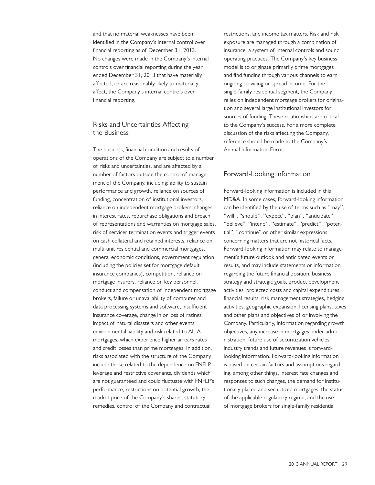and that no material weaknesses have been identified in the Company's internal control over financial reporting as of December 31, 2013. No changes were made in the Company's internal controls over financial reporting during the year ended December 31, 2013 that have materially affected, or are reasonably likely to materially affect, the Company's internal controls over financial reporting.

# Risks and Uncertainties Affecting the Business

The business, financial condition and results of operations of the Company are subject to a number of risks and uncertainties, and are affected by a number of factors outside the control of management of the Company, including: ability to sustain performance and growth, reliance on sources of funding, concentration of institutional investors, reliance on independent mortgage brokers, changes in interest rates, repurchase obligations and breach of representations and warranties on mortgage sales, risk of servicer termination events and trigger events on cash collateral and retained interests, reliance on multi-unit residential and commercial mortgages, general economic conditions, government regulation (including the policies set for mortgage default insurance companies), competition, reliance on mortgage insurers, reliance on key personnel, conduct and compensation of independent mortgage brokers, failure or unavailability of computer and data processing systems and software, insufficient insurance coverage, change in or loss of ratings, impact of natural disasters and other events, environmental liability and risk related to Alt-A mortgages, which experience higher arrears rates and credit losses than prime mortgages. In addition, risks associated with the structure of the Company include those related to the dependence on FNFLP, leverage and restrictive covenants, dividends which are not guaranteed and could fluctuate with FNFLP's performance, restrictions on potential growth, the market price of the Company's shares, statutory remedies, control of the Company and contractual

restrictions, and income tax matters. Risk and risk exposure are managed through a combination of insurance, a system of internal controls and sound operating practices. The Company's key business model is to originate primarily prime mortgages and find funding through various channels to earn ongoing servicing or spread income. For the single-family residential segment, the Company relies on independent mortgage brokers for origination and several large institutional investors for sources of funding. These relationships are critical to the Company's success. For a more complete discussion of the risks affecting the Company, reference should be made to the Company's Annual Information Form.

## Forward-Looking Information

Forward-looking information is included in this MD&A. In some cases, forward-looking information can be identified by the use of terms such as "may", ''will", ''should'', ''expect'', ''plan'', ''anticipate'', ''believe'', ''intend'', ''estimate'', ''predict'', ''potential'', ''continue'' or other similar expressions concerning matters that are not historical facts. Forward-looking information may relate to management's future outlook and anticipated events or results, and may include statements or information regarding the future financial position, business strategy and strategic goals, product development activities, projected costs and capital expenditures, financial results, risk management strategies, hedging activities, geographic expansion, licensing plans, taxes and other plans and objectives of or involving the Company. Particularly, information regarding growth objectives, any increase in mortgages under administration, future use of securitization vehicles, industry trends and future revenues is forwardlooking information. Forward-looking information is based on certain factors and assumptions regarding, among other things, interest rate changes and responses to such changes, the demand for institutionally placed and securitized mortgages, the status of the applicable regulatory regime, and the use of mortgage brokers for single-family residential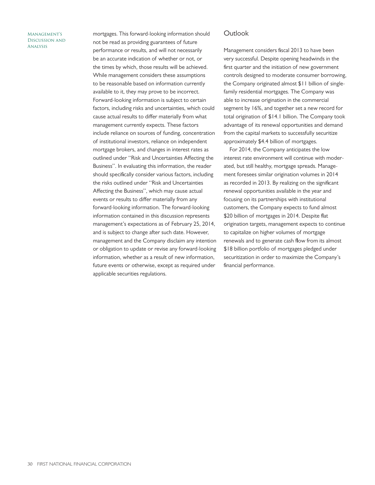mortgages. This forward-looking information should not be read as providing guarantees of future performance or results, and will not necessarily be an accurate indication of whether or not, or the times by which, those results will be achieved. While management considers these assumptions to be reasonable based on information currently available to it, they may prove to be incorrect. Forward-looking information is subject to certain factors, including risks and uncertainties, which could cause actual results to differ materially from what management currently expects. These factors include reliance on sources of funding, concentration of institutional investors, reliance on independent mortgage brokers, and changes in interest rates as outlined under "Risk and Uncertainties Affecting the Business''. In evaluating this information, the reader should specifically consider various factors, including the risks outlined under ''Risk and Uncertainties Affecting the Business", which may cause actual events or results to differ materially from any forward-looking information. The forward-looking information contained in this discussion represents management's expectations as of February 25, 2014, and is subject to change after such date. However, management and the Company disclaim any intention or obligation to update or revise any forward-looking information, whether as a result of new information, future events or otherwise, except as required under applicable securities regulations.

## **Outlook**

Management considers fiscal 2013 to have been very successful. Despite opening headwinds in the first quarter and the initiation of new government controls designed to moderate consumer borrowing, the Company originated almost \$11 billion of singlefamily residential mortgages. The Company was able to increase origination in the commercial segment by 16%, and together set a new record for total origination of \$14.1 billion. The Company took advantage of its renewal opportunities and demand from the capital markets to successfully securitize approximately \$4.4 billion of mortgages.

For 2014, the Company anticipates the low interest rate environment will continue with moderated, but still healthy, mortgage spreads. Management foresees similar origination volumes in 2014 as recorded in 2013. By realizing on the significant renewal opportunities available in the year and focusing on its partnerships with institutional customers, the Company expects to fund almost \$20 billion of mortgages in 2014. Despite flat origination targets, management expects to continue to capitalize on higher volumes of mortgage renewals and to generate cash flow from its almost \$18 billion portfolio of mortgages pledged under securitization in order to maximize the Company's financial performance.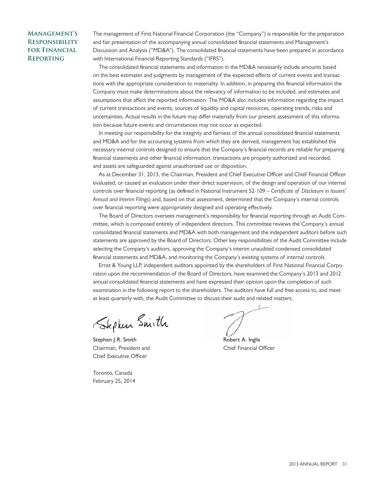# **Management's Responsibility for Financial Reporting**

The management of First National Financial Corporation (the "Company") is responsible for the preparation and fair presentation of the accompanying annual consolidated financial statements and Management's Discussion and Analysis ("MD&A"). The consolidated financial statements have been prepared in accordance with International Financial Reporting Standards ("IFRS").

The consolidated financial statements and information in the MD&A necessarily include amounts based on the best estimates and judgments by management of the expected effects of current events and transactions with the appropriate consideration to materiality. In addition, in preparing this financial information the Company must make determinations about the relevancy of information to be included, and estimates and assumptions that affect the reported information. The MD&A also includes information regarding the impact of current transactions and events, sources of liquidity and capital resources, operating trends, risks and uncertainties. Actual results in the future may differ materially from our present assessment of this information because future events and circumstances may not occur as expected.

In meeting our responsibility for the integrity and fairness of the annual consolidated financial statements and MD&A and for the accounting systems from which they are derived, management has established the necessary internal controls designed to ensure that the Company's financial records are reliable for preparing financial statements and other financial information, transactions are properly authorized and recorded, and assets are safeguarded against unauthorized use or disposition.

As at December 31, 2013, the Chairman, President and Chief Executive Officer and Chief Financial Officer evaluated, or caused an evaluation under their direct supervision, of the design and operation of our internal controls over financial reporting (as defined in National Instrument 52-109 – *Certificate of Disclosure in Issuers' Annual and Interim Filings*) and, based on that assessment, determined that the Company's internal controls over financial reporting were appropriately designed and operating effectively.

The Board of Directors oversees management's responsibility for financial reporting through an Audit Committee, which is composed entirely of independent directors. This committee reviews the Company's annual consolidated financial statements and MD&A with both management and the independent auditors before such statements are approved by the Board of Directors. Other key responsibilities of the Audit Committee include selecting the Company's auditors, approving the Company's interim unaudited condensed consolidated financial statements and MD&A, and monitoring the Company's existing systems of internal controls.

 Ernst & Young LLP, independent auditors appointed by the shareholders of First National Financial Corporation upon the recommendation of the Board of Directors, have examined the Company's 2013 and 2012 annual consolidated financial statements and have expressed their opinion upon the completion of such examination in the following report to the shareholders. The auditors have full and free access to, and meet at least quarterly with, the Audit Committee to discuss their audit and related matters.

Stephen Smith

Stephen J.R. Smith Robert A. Inglis Chairman, President and **Chief Financial Officer** Chairman, President and Chief Executive Officer

Toronto, Canada February 25, 2014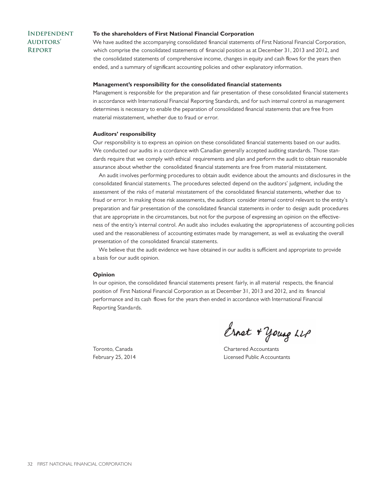# **Independent Auditors' Report**

#### **To the shareholders of First National Financial Corporation**

We have audited the accompanying consolidated financial statements of First National Financial Corporation, which comprise the consolidated statements of financial position as at December 31, 2013 and 2012, and the consolidated statements of comprehensive income, changes in equity and cash flows for the years then ended, and a summary of significant accounting policies and other explanatory information.

#### **Management's responsibility for the consolidated financial statements**

Management is responsible for the preparation and fair presentation of these consolidated financial statements in accordance with International Financial Reporting Standards, and for such internal control as management determines is necessary to enable the peparation of consolidated financial statements that are free from material misstatement, whether due to fraud or error.

#### **Auditors' responsibility**

Our responsibility is to express an opinion on these consolidated financial statements based on our audits. We conducted our audits in a ccordance with Canadian generally accepted auditing standards. Those standards require that we comply with ethical requirements and plan and perform the audit to obtain reasonable assurance about whether the consolidated financial statements are free from material misstatement.

that are appropriate in the circumstances, but not for the purpose of expressing an opinion on the effective-An audit involves performing procedures to obtain audit evidence about the amounts and disclosures in the consolidated financial statements. The procedures selected depend on the auditors' judgment, including the assessment of the risks of material misstatement of the consolidated financial statements, whether due to fraud or error. In making those risk assessments, the auditors consider internal control relevant to the entity's preparation and fair presentation of the consolidated financial statements in order to design audit procedures ness of the entity's internal control. An audit also includes evaluating the appropriateness of accounting poli cies used and the reasonableness of accounting estimates made by management, as well as evaluating the overall presentation of the consolidated financial statements.

a basis for our audit opinion. We believe that the audit evidence we have obtained in our audits is sufficient and appropriate to provide

#### **Opinion**

In our opinion, the consolidated financial statements present fairly, in all material respects, the financial position of First National Financial Corporation as at December 31, 2013 and 2012, and its financial performance and its cash flows for the years then ended in accordance with International Financial Reporting Standards.

Toronto, Canada February 25, 2014

Ernst + young LLP

Chartered Accountants Licensed Public Accountants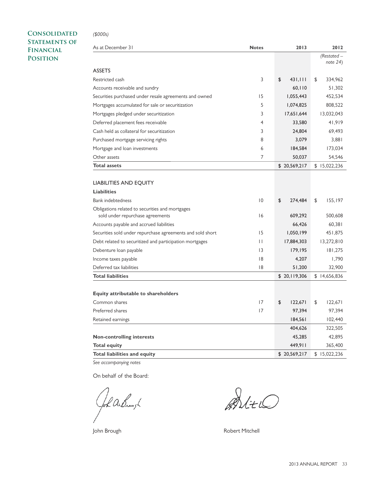# **Consolidated STATEMENTS OF Financial Position**

*(\$000s)*

| As at December 31                                          | <b>Notes</b> | 2013          | 2012                        |
|------------------------------------------------------------|--------------|---------------|-----------------------------|
|                                                            |              |               | $(Restated -$<br>note $24)$ |
| <b>ASSETS</b>                                              |              |               |                             |
| Restricted cash                                            | 3            | \$<br>431,111 | 334,962<br>\$               |
| Accounts receivable and sundry                             |              | 60, 110       | 51,302                      |
| Securities purchased under resale agreements and owned     | 15           | 1,055,443     | 452,534                     |
| Mortgages accumulated for sale or securitization           | 5            | 1,074,825     | 808,522                     |
| Mortgages pledged under securitization                     | 3            | 17,651,644    | 13,032,043                  |
| Deferred placement fees receivable                         | 4            | 33,580        | 41,919                      |
| Cash held as collateral for securitization                 | 3            | 24,804        | 69,493                      |
| Purchased mortgage servicing rights                        | 8            | 3,079         | 3,881                       |
| Mortgage and loan investments                              | 6            | 184,584       | 173,034                     |
| Other assets                                               | 7            | 50,037        | 54,546                      |
| <b>Total assets</b>                                        |              | \$20,569,217  | \$15,022,236                |
|                                                            |              |               |                             |
| LIABILITIES AND EQUITY                                     |              |               |                             |
| <b>Liabilities</b>                                         |              |               |                             |
| <b>Bank indebtedness</b>                                   | 10           | \$<br>274,484 | \$<br>155,197               |
| Obligations related to securities and mortgages            |              |               |                             |
| sold under repurchase agreements                           | 16           | 609,292       | 500,608                     |
| Accounts payable and accrued liabilities                   |              | 66,426        | 60,381                      |
| Securities sold under repurchase agreements and sold short | 15           | 1,050,199     | 451,875                     |
| Debt related to securitized and participation mortgages    | $\mathbf{H}$ | 17,884,303    | 13,272,810                  |
| Debenture loan payable                                     | 13           | 179,195       | 181,275                     |
| Income taxes payable                                       | 8            | 4,207         | 1,790                       |
| Deferred tax liabilities                                   | 18           | 51,200        | 32,900                      |
| <b>Total liabilities</b>                                   |              | \$20,119,306  | \$14,656,836                |
|                                                            |              |               |                             |
| <b>Equity attributable to shareholders</b>                 |              |               |                             |
| Common shares                                              | 17           | \$<br>122,671 | \$<br>122,671               |
| Preferred shares                                           | 17           | 97,394        | 97,394                      |
| Retained earnings                                          |              | 184,561       | 102,440                     |
|                                                            |              | 404,626       | 322,505                     |
| <b>Non-controlling interests</b>                           |              | 45,285        | 42,895                      |
| <b>Total equity</b>                                        |              | 449,911       | 365,400                     |
| <b>Total liabilities and equity</b>                        |              | \$20,569,217  | \$15,022,236                |

*See accompanying notes*

On behalf of the Board:

Joh a Brugh

AltiC

John Brough **Robert Mitchell**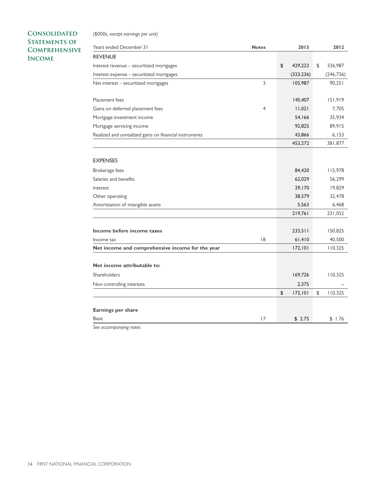# **Consolidated STATEMENTS OF Comprehensive Income**

*(\$000s, except earnings per unit)*

| Years ended December 31                                | <b>Notes</b>   |               | 2013  | 2012          |
|--------------------------------------------------------|----------------|---------------|-------|---------------|
| <b>REVENUE</b>                                         |                |               |       |               |
| Interest revenue - securitized mortgages               |                | \$<br>429,223 |       | \$<br>336,987 |
| Interest expense - securitized mortgages               |                | (323, 236)    |       | (246, 736)    |
| Net interest - securitized mortgages                   | $\mathbf{3}$   | 105,987       |       | 90,251        |
| Placement fees                                         |                | 145,407       |       | 151,919       |
| Gains on deferred placement fees                       | $\overline{4}$ | 11,021        |       | 7,705         |
| Mortgage investment income                             |                | 54,166        |       | 35,934        |
| Mortgage servicing income                              |                | 92,825        |       | 89,915        |
| Realized and unrealized gains on financial instruments |                | 43,866        |       | 6,153         |
|                                                        |                | 453,272       |       | 381,877       |
| <b>EXPENSES</b>                                        |                |               |       |               |
| Brokerage fees                                         |                | 84,420        |       | 115,978       |
| Salaries and benefits                                  |                | 62,029        |       | 56,299        |
| Interest                                               |                | 29,170        |       | 19,829        |
| Other operating                                        |                | 38,579        |       | 32,478        |
| Amortization of intangible assets                      |                |               | 5,563 | 6,468         |
|                                                        |                | 219,761       |       | 231,052       |
| Income before income taxes                             |                | 233,511       |       | 150,825       |
| Income tax                                             | 18             | 61,410        |       | 40,500        |
| Net income and comprehensive income for the year       |                | 172,101       |       | 110,325       |
| Net income attributable to:                            |                |               |       |               |
| Shareholders                                           |                | 169,726       |       | 110,325       |
| Non-controlling interests                              |                |               | 2,375 |               |
|                                                        |                | 172,101<br>\$ |       | \$<br>110,325 |
| <b>Earnings per share</b>                              |                |               |       |               |
| <b>Basic</b>                                           | 17             | \$2.75        |       | \$1.76        |

*See accompanying notes*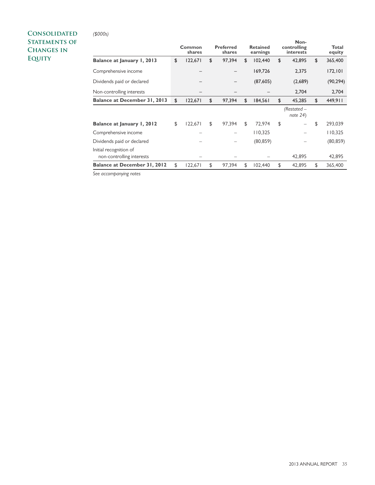## **Consolidated STATEMENTS OF Changes in Equity**

*(\$000s)*

|                                                     | Common<br>shares | <b>Preferred</b><br>shares | <b>Retained</b><br>earnings | Non-<br>controlling<br>interests | Total<br>equity |
|-----------------------------------------------------|------------------|----------------------------|-----------------------------|----------------------------------|-----------------|
| Balance at January 1, 2013                          | \$<br>122,671    | \$<br>97,394               | \$<br>102.440               | \$<br>42,895                     | \$<br>365,400   |
| Comprehensive income                                |                  |                            | 169,726                     | 2,375                            | 172,101         |
| Dividends paid or declared                          |                  |                            | (87,605)                    | (2,689)                          | (90, 294)       |
| Non-controlling interests                           |                  |                            |                             | 2,704                            | 2,704           |
| <b>Balance at December 31, 2013</b>                 | \$<br>122.671    | \$<br>97,394               | \$<br>184,561               | \$<br>45,285                     | \$<br>449,911   |
|                                                     |                  |                            |                             | (Restated –<br>note $24$ )       |                 |
| Balance at January 1, 2012                          | \$<br>122.671    | \$<br>97.394               | \$<br>72.974                | \$                               | \$<br>293,039   |
| Comprehensive income                                |                  |                            | 110,325                     |                                  | 110,325         |
| Dividends paid or declared                          |                  |                            | (80, 859)                   |                                  | (80, 859)       |
| Initial recognition of<br>non-controlling interests |                  |                            |                             | 42,895                           | 42,895          |
| <b>Balance at December 31, 2012</b>                 | \$<br>122.671    | \$<br>97.394               | \$<br>102.440               | \$<br>42,895                     | \$<br>365,400   |

*See accompanying notes*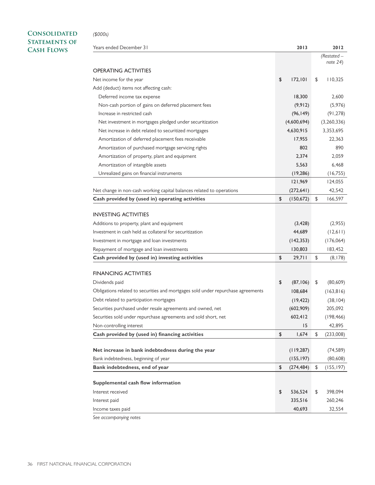# **Consolidated STATEMENTS OF Cash Flows**

*(\$000s)*

| Years ended December 31                                                          | 2013             | 2012             |
|----------------------------------------------------------------------------------|------------------|------------------|
|                                                                                  |                  | (Restated –      |
|                                                                                  |                  | note 24)         |
| <b>OPERATING ACTIVITIES</b>                                                      |                  |                  |
| Net income for the year                                                          | \$<br>172,101    | \$<br>110,325    |
| Add (deduct) items not affecting cash:                                           |                  |                  |
| Deferred income tax expense                                                      | 18,300           | 2,600            |
| Non-cash portion of gains on deferred placement fees                             | (9, 912)         | (5,976)          |
| Increase in restricted cash                                                      | (96, 149)        | (91, 278)        |
| Net investment in mortgages pledged under securitization                         | (4,600,694)      | (3,260,336)      |
| Net increase in debt related to securitized mortgages                            | 4,630,915        | 3,353,695        |
| Amortization of deferred placement fees receivable                               | 17,955           | 22,363           |
| Amortization of purchased mortgage servicing rights                              | 802              | 890              |
| Amortization of property, plant and equipment                                    | 2,374            | 2,059            |
| Amortization of intangible assets                                                | 5,563            | 6,468            |
| Unrealized gains on financial instruments                                        | (19, 286)        | (16, 755)        |
|                                                                                  | 121,969          | 124,055          |
| Net change in non-cash working capital balances related to operations            | (272, 641)       | 42,542           |
| Cash provided by (used in) operating activities                                  | \$<br>(150, 672) | \$<br>166,597    |
|                                                                                  |                  |                  |
| <b>INVESTING ACTIVITIES</b>                                                      |                  |                  |
| Additions to property, plant and equipment                                       | (3, 428)         | (2,955)          |
| Investment in cash held as collateral for securitization                         | 44,689           | (12,611)         |
| Investment in mortgage and loan investments                                      | (142, 353)       | (176,064)        |
| Repayment of mortgage and loan investments                                       | 130,803          | 183,452          |
| Cash provided by (used in) investing activities                                  | \$<br>29,711     | \$<br>(8,178)    |
|                                                                                  |                  |                  |
| <b>FINANCING ACTIVITIES</b>                                                      |                  |                  |
| Dividends paid                                                                   | \$<br>(87, 106)  | \$<br>(80,609)   |
| Obligations related to securities and mortgages sold under repurchase agreements | 108,684          | (163, 816)       |
| Debt related to participation mortgages                                          | (19, 422)        | (38, 104)        |
| Securities purchased under resale agreements and owned, net                      | (602,909)        | 205,092          |
| Securities sold under repurchase agreements and sold short, net                  | 602,412          | (198, 466)       |
| Non-controlling interest                                                         | 15               | 42,895           |
| Cash provided by (used in) financing activities                                  | \$<br>1,674      | \$<br>(233,008)  |
|                                                                                  |                  |                  |
| Net increase in bank indebtedness during the year                                | (119, 287)       | (74, 589)        |
| Bank indebtedness, beginning of year                                             | (155, 197)       | (80, 608)        |
| Bank indebtedness, end of year                                                   | \$<br>(274, 484) | \$<br>(155, 197) |
|                                                                                  |                  |                  |
| Supplemental cash flow information                                               |                  |                  |
| Interest received                                                                | \$<br>536,524    | \$<br>398,094    |
| Interest paid                                                                    | 335,516          | 260,246          |
| Income taxes paid                                                                | 40,693           | 32,554           |
| See accompanying notes                                                           |                  |                  |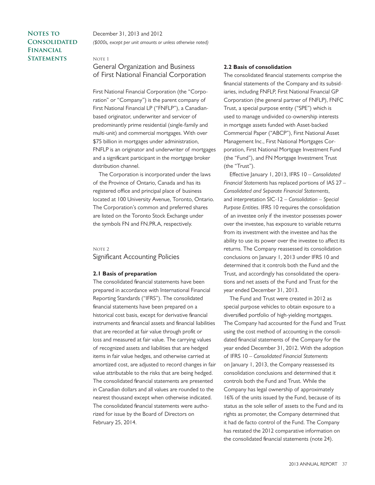#### December 31, 2013 and 2012

*(\$000s, except per unit amounts or unless otherwise noted)*

#### NOTE<sub>1</sub>

**NOTES TO Consolidated Financial STATEMENTS** 

### General Organization and Business of First National Financial Corporation

First National Financial Corporation (the "Corporation" or "Company") is the parent company of First National Financial LP ("FNFLP"), a Canadianbased originator, underwriter and servicer of predominantly prime residential (single-family and multi-unit) and commercial mortgages. With over \$75 billion in mortgages under administration, FNFLP is an originator and underwriter of mortgages and a significant participant in the mortgage broker distribution channel.

The Corporation is incorporated under the laws of the Province of Ontario, Canada and has its registered office and principal place of business located at 100 University Avenue, Toronto, Ontario. The Corporation's common and preferred shares are listed on the Toronto Stock Exchange under the symbols FN and FN.PR.A, respectively.

#### NOTE<sub>2</sub>

Significant Accounting Policies

#### **2.1 Basis of preparation**

The consolidated financial statements have been prepared in accordance with International Financial Reporting Standards ("IFRS"). The consolidated financial statements have been prepared on a historical cost basis, except for derivative financial instruments and financial assets and financial liabilities that are recorded at fair value through profit or loss and measured at fair value. The carrying values of recognized assets and liabilities that are hedged items in fair value hedges, and otherwise carried at amortized cost, are adjusted to record changes in fair value attributable to the risks that are being hedged. The consolidated financial statements are presented in Canadian dollars and all values are rounded to the nearest thousand except when otherwise indicated. The consolidated financial statements were authorized for issue by the Board of Directors on February 25, 2014.

#### **2.2 Basis of consolidation**

The consolidated financial statements comprise the financial statements of the Company and its subsidiaries, including FNFLP, First National Financial GP Corporation (the general partner of FNFLP), FNFC Trust, a special purpose entity ("SPE") which is used to manage undivided co-ownership interests in mortgage assets funded with Asset-backed Commercial Paper ("ABCP"), First National Asset Management Inc., First National Mortgages Corporation, First National Mortgage Investment Fund (the "Fund"), and FN Mortgage Investment Trust (the "Trust").

Eff ective January 1, 2013, IFRS 10 – *Consolidated Financial Statements* has replaced portions of IAS 27 – *Consolidated and Separate Financial Statements*, and interpretation SIC-12 – *Consolidation – Special Purpose Entities*. IFRS 10 requires the consolidation of an investee only if the investor possesses power over the investee, has exposure to variable returns from its investment with the investee and has the ability to use its power over the investee to affect its returns. The Company reassessed its consolidation conclusions on January 1, 2013 under IFRS 10 and determined that it controls both the Fund and the Trust, and accordingly has consolidated the operations and net assets of the Fund and Trust for the year ended December 31, 2013.

The Fund and Trust were created in 2012 as special purpose vehicles to obtain exposure to a diversified portfolio of high-yielding mortgages. The Company had accounted for the Fund and Trust using the cost method of accounting in the consolidated financial statements of the Company for the year ended December 31, 2012. With the adoption of IFRS 10 – *Consolidated Financial Statements* on January 1, 2013, the Company reassessed its consolidation conclusions and determined that it controls both the Fund and Trust. While the Company has legal ownership of approximately 16% of the units issued by the Fund, because of its status as the sole seller of assets to the Fund and its rights as promoter, the Company determined that it had de facto control of the Fund. The Company has restated the 2012 comparative information on the consolidated financial statements (note 24).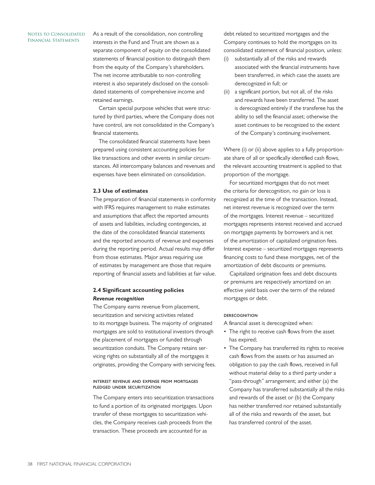As a result of the consolidation, non controlling interests in the Fund and Trust are shown as a separate component of equity on the consolidated statements of financial position to distinguish them from the equity of the Company's shareholders. The net income attributable to non-controlling interest is also separately disclosed on the consolidated statements of comprehensive income and retained earnings.

Certain special purpose vehicles that were structured by third parties, where the Company does not have control, are not consolidated in the Company's financial statements.

The consolidated financial statements have been prepared using consistent accounting policies for like transactions and other events in similar circumstances. All intercompany balances and revenues and expenses have been eliminated on consolidation.

#### **2.3 Use of estimates**

The preparation of financial statements in conformity with IFRS requires management to make estimates and assumptions that affect the reported amounts of assets and liabilities, including contingencies, at the date of the consolidated financial statements and the reported amounts of revenue and expenses during the reporting period. Actual results may differ from those estimates. Major areas requiring use of estimates by management are those that require reporting of financial assets and liabilities at fair value.

### **2.4 Significant accounting policies** *Revenue recognition*

The Company earns revenue from placement, securitization and servicing activities related to its mortgage business. The majority of originated mortgages are sold to institutional investors through the placement of mortgages or funded through securitization conduits. The Company retains servicing rights on substantially all of the mortgages it originates, providing the Company with servicing fees.

#### interest revenue and expense from mortgages pledged under securitization

The Company enters into securitization transactions to fund a portion of its originated mortgages. Upon transfer of these mortgages to securitization vehicles, the Company receives cash proceeds from the transaction. These proceeds are accounted for as

debt related to securitized mortgages and the Company continues to hold the mortgages on its consolidated statement of financial position, unless:

- (i) substantially all of the risks and rewards associated with the financial instruments have been transferred, in which case the assets are derecognized in full; or
- (ii) a significant portion, but not all, of the risks and rewards have been transferred. The asset is derecognized entirely if the transferee has the ability to sell the financial asset; otherwise the asset continues to be recognized to the extent of the Company's continuing involvement.

Where (i) or (ii) above applies to a fully proportionate share of all or specifically identified cash flows, the relevant accounting treatment is applied to that proportion of the mortgage.

For securitized mortgages that do not meet the criteria for derecognition, no gain or loss is recognized at the time of the transaction. Instead, net interest revenue is recognized over the term of the mortgages. Interest revenue – securitized mortgages represents interest received and accrued on mortgage payments by borrowers and is net of the amortization of capitalized origination fees. Interest expense – securitized mortgages represents financing costs to fund these mortgages, net of the amortization of debt discounts or premiums.

Capitalized origination fees and debt discounts or premiums are respectively amortized on an effective yield basis over the term of the related mortgages or debt.

#### **DERECOGNITION**

A financial asset is derecognized when:

- The right to receive cash flows from the asset has expired;
- The Company has transferred its rights to receive cash flows from the assets or has assumed an obligation to pay the cash flows, received in full without material delay to a third party under a "pass-through" arrangement; and either (a) the Company has transferred substantially all the risks and rewards of the asset or (b) the Company has neither transferred nor retained substantially all of the risks and rewards of the asset, but has transferred control of the asset.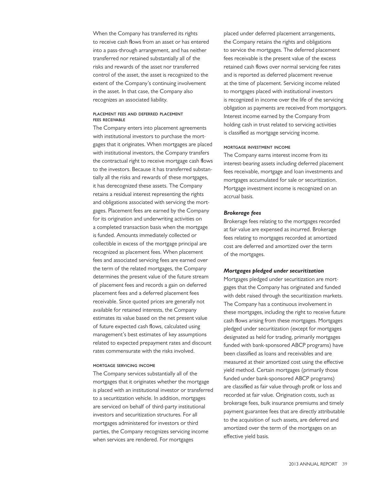When the Company has transferred its rights to receive cash flows from an asset or has entered into a pass-through arrangement, and has neither transferred nor retained substantially all of the risks and rewards of the asset nor transferred control of the asset, the asset is recognized to the extent of the Company's continuing involvement in the asset. In that case, the Company also recognizes an associated liability.

#### placement fees and deferred placement fees receivable

The Company enters into placement agreements with institutional investors to purchase the mortgages that it originates. When mortgages are placed with institutional investors, the Company transfers the contractual right to receive mortgage cash flows to the investors. Because it has transferred substantially all the risks and rewards of these mortgages, it has derecognized these assets. The Company retains a residual interest representing the rights and obligations associated with servicing the mortgages. Placement fees are earned by the Company for its origination and underwriting activities on a completed transaction basis when the mortgage is funded. Amounts immediately collected or collectible in excess of the mortgage principal are recognized as placement fees. When placement fees and associated servicing fees are earned over the term of the related mortgages, the Company determines the present value of the future stream of placement fees and records a gain on deferred placement fees and a deferred placement fees receivable. Since quoted prices are generally not available for retained interests, the Company estimates its value based on the net present value of future expected cash flows, calculated using management's best estimates of key assumptions related to expected prepayment rates and discount rates commensurate with the risks involved.

#### mortgage servicing income

The Company services substantially all of the mortgages that it originates whether the mortgage is placed with an institutional investor or transferred to a securitization vehicle. In addition, mortgages are serviced on behalf of third-party institutional investors and securitization structures. For all mortgages administered for investors or third parties, the Company recognizes servicing income when services are rendered. For mortgages

placed under deferred placement arrangements, the Company retains the rights and obligations to service the mortgages. The deferred placement fees receivable is the present value of the excess retained cash flows over normal servicing fee rates and is reported as deferred placement revenue at the time of placement. Servicing income related to mortgages placed with institutional investors is recognized in income over the life of the servicing obligation as payments are received from mortgagors. Interest income earned by the Company from holding cash in trust related to servicing activities is classified as mortgage servicing income.

#### mortgage investment income

The Company earns interest income from its interest-bearing assets including deferred placement fees receivable, mortgage and loan investments and mortgages accumulated for sale or securitization. Mortgage investment income is recognized on an accrual basis.

#### *Brokerage fees*

Brokerage fees relating to the mortgages recorded at fair value are expensed as incurred. Brokerage fees relating to mortgages recorded at amortized cost are deferred and amortized over the term of the mortgages.

#### *Mortgages pledged under securitization*

Mortgages pledged under securitization are mortgages that the Company has originated and funded with debt raised through the securitization markets. The Company has a continuous involvement in these mortgages, including the right to receive future cash flows arising from these mortgages. Mortgages pledged under securitization (except for mortgages designated as held for trading, primarily mortgages funded with bank-sponsored ABCP programs) have been classified as loans and receivables and are measured at their amortized cost using the effective yield method. Certain mortgages (primarily those funded under bank-sponsored ABCP programs) are classified as fair value through profit or loss and recorded at fair value. Origination costs, such as brokerage fees, bulk insurance premiums and timely payment guarantee fees that are directly attributable to the acquisition of such assets, are deferred and amortized over the term of the mortgages on an effective yield basis.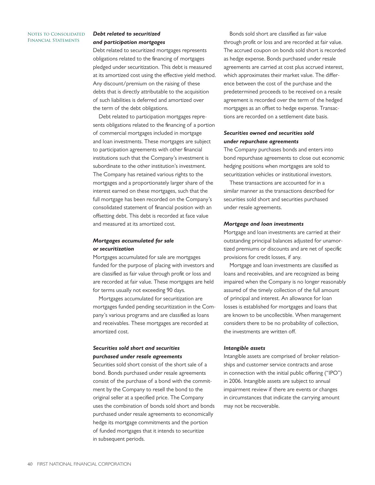### *Debt related to securitized and participation mortgages*

Debt related to securitized mortgages represents obligations related to the financing of mortgages pledged under securitization. This debt is measured at its amortized cost using the effective yield method. Any discount/premium on the raising of these debts that is directly attributable to the acquisition of such liabilities is deferred and amortized over the term of the debt obligations.

Debt related to participation mortgages represents obligations related to the financing of a portion of commercial mortgages included in mortgage and loan investments. These mortgages are subject to participation agreements with other financial institutions such that the Company's investment is subordinate to the other institution's investment. The Company has retained various rights to the mortgages and a proportionately larger share of the interest earned on these mortgages, such that the full mortgage has been recorded on the Company's consolidated statement of financial position with an offsetting debt. This debt is recorded at face value and measured at its amortized cost.

### *Mortgages accumulated for sale or securitization*

Mortgages accumulated for sale are mortgages funded for the purpose of placing with investors and are classified as fair value through profit or loss and are recorded at fair value. These mortgages are held for terms usually not exceeding 90 days.

Mortgages accumulated for securitization are mortgages funded pending securitization in the Company's various programs and are classified as loans and receivables. These mortgages are recorded at amortized cost.

### *Securities sold short and securities purchased under resale agreements*

Securities sold short consist of the short sale of a bond. Bonds purchased under resale agreements consist of the purchase of a bond with the commitment by the Company to resell the bond to the original seller at a specified price. The Company uses the combination of bonds sold short and bonds purchased under resale agreements to economically hedge its mortgage commitments and the portion of funded mortgages that it intends to securitize in subsequent periods.

Bonds sold short are classified as fair value through profit or loss and are recorded at fair value. The accrued coupon on bonds sold short is recorded as hedge expense. Bonds purchased under resale agreements are carried at cost plus accrued interest, which approximates their market value. The difference between the cost of the purchase and the predetermined proceeds to be received on a resale agreement is recorded over the term of the hedged mortgages as an offset to hedge expense. Transactions are recorded on a settlement date basis.

### *Securities owned and securities sold under repurchase agreements*

The Company purchases bonds and enters into bond repurchase agreements to close out economic hedging positions when mortgages are sold to securitization vehicles or institutional investors.

These transactions are accounted for in a similar manner as the transactions described for securities sold short and securities purchased under resale agreements.

#### *Mortgage and loan investments*

Mortgage and loan investments are carried at their outstanding principal balances adjusted for unamortized premiums or discounts and are net of specific provisions for credit losses, if any.

Mortgage and loan investments are classified as loans and receivables, and are recognized as being impaired when the Company is no longer reasonably assured of the timely collection of the full amount of principal and interest. An allowance for loan losses is established for mortgages and loans that are known to be uncollectible. When management considers there to be no probability of collection, the investments are written off.

#### *Intangible assets*

Intangible assets are comprised of broker relationships and customer service contracts and arose in connection with the initial public offering ("IPO") in 2006. Intangible assets are subject to annual impairment review if there are events or changes in circumstances that indicate the carrying amount may not be recoverable.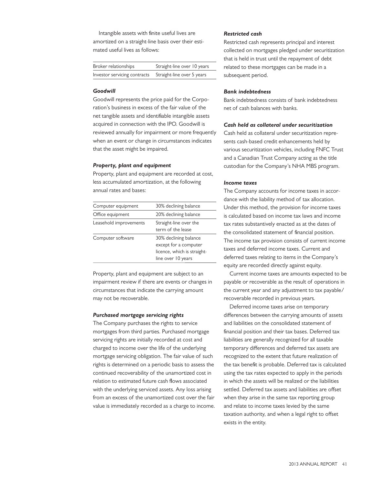Intangible assets with finite useful lives are amortized on a straight-line basis over their estimated useful lives as follows:

| Broker relationships         | Straight-line over 10 years |
|------------------------------|-----------------------------|
| Investor servicing contracts | Straight-line over 5 years  |

#### *Goodwill*

Goodwill represents the price paid for the Corporation's business in excess of the fair value of the net tangible assets and identifiable intangible assets acquired in connection with the IPO. Goodwill is reviewed annually for impairment or more frequently when an event or change in circumstances indicates that the asset might be impaired.

#### *Property, plant and equipment*

Property, plant and equipment are recorded at cost, less accumulated amortization, at the following annual rates and bases:

| Computer equipment     | 30% declining balance                                                                               |
|------------------------|-----------------------------------------------------------------------------------------------------|
| Office equipment       | 20% declining balance                                                                               |
| Leasehold improvements | Straight-line over the<br>term of the lease                                                         |
| Computer software      | 30% declining balance<br>except for a computer<br>licence, which is straight-<br>line over 10 years |

Property, plant and equipment are subject to an impairment review if there are events or changes in circumstances that indicate the carrying amount may not be recoverable.

#### *Purchased mortgage servicing rights*

The Company purchases the rights to service mortgages from third parties. Purchased mortgage servicing rights are initially recorded at cost and charged to income over the life of the underlying mortgage servicing obligation. The fair value of such rights is determined on a periodic basis to assess the continued recoverability of the unamortized cost in relation to estimated future cash flows associated with the underlying serviced assets. Any loss arising from an excess of the unamortized cost over the fair value is immediately recorded as a charge to income.

#### *Restricted cash*

Restricted cash represents principal and interest collected on mortgages pledged under securitization that is held in trust until the repayment of debt related to these mortgages can be made in a subsequent period.

#### *Bank indebtedness*

Bank indebtedness consists of bank indebtedness net of cash balances with banks.

### *Cash held as collateral under securitization*

Cash held as collateral under securitization represents cash-based credit enhancements held by various securitization vehicles, including FNFC Trust and a Canadian Trust Company acting as the title custodian for the Company's NHA MBS program.

#### *Income taxes*

The Company accounts for income taxes in accordance with the liability method of tax allocation. Under this method, the provision for income taxes is calculated based on income tax laws and income tax rates substantively enacted as at the dates of the consolidated statement of financial position. The income tax provision consists of current income taxes and deferred income taxes. Current and deferred taxes relating to items in the Company's equity are recorded directly against equity.

Current income taxes are amounts expected to be payable or recoverable as the result of operations in the current year and any adjustment to tax payable/ recoverable recorded in previous years.

Deferred income taxes arise on temporary differences between the carrying amounts of assets and liabilities on the consolidated statement of financial position and their tax bases. Deferred tax liabilities are generally recognized for all taxable temporary differences and deferred tax assets are recognized to the extent that future realization of the tax benefit is probable. Deferred tax is calculated using the tax rates expected to apply in the periods in which the assets will be realized or the liabilities settled. Deferred tax assets and liabilities are offset when they arise in the same tax reporting group and relate to income taxes levied by the same taxation authority, and when a legal right to offset exists in the entity.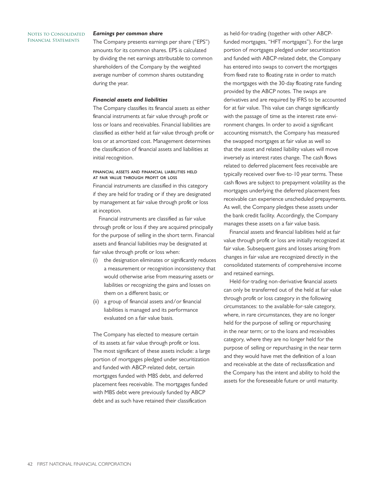shareholders of the Company by the weighted average number of common shares outstanding during the year.

#### *Financial assets and liabilities*

The Company classifies its financial assets as either financial instruments at fair value through profit or loss or loans and receivables. Financial liabilities are classified as either held at fair value through profit or loss or at amortized cost. Management determines the classification of financial assets and liabilities at initial recognition.

The Company presents earnings per share ("EPS") amounts for its common shares. EPS is calculated by dividing the net earnings attributable to common

### financial assets and financial liabilities held at fair value through profit or loss

Financial instruments are classified in this category if they are held for trading or if they are designated by management at fair value through profit or loss at inception.

Financial instruments are classified as fair value through profit or loss if they are acquired principally for the purpose of selling in the short term. Financial assets and financial liabilities may be designated at fair value through profit or loss when:

- (i) the designation eliminates or significantly reduces a measurement or recognition inconsistency that would otherwise arise from measuring assets or liabilities or recognizing the gains and losses on them on a different basis; or
- $(ii)$  a group of financial assets and/or financial liabilities is managed and its performance evaluated on a fair value basis.

The Company has elected to measure certain of its assets at fair value through profit or loss. The most significant of these assets include: a large portion of mortgages pledged under securitization and funded with ABCP-related debt, certain mortgages funded with MBS debt, and deferred placement fees receivable. The mortgages funded with MBS debt were previously funded by ABCP debt and as such have retained their classification

as held-for-trading (together with other ABCPfunded mortgages, "HFT mortgages"). For the large portion of mortgages pledged under securitization and funded with ABCP-related debt, the Company has entered into swaps to convert the mortgages from fixed rate to floating rate in order to match the mortgages with the 30-day floating rate funding provided by the ABCP notes. The swaps are derivatives and are required by IFRS to be accounted for at fair value. This value can change significantly with the passage of time as the interest rate environment changes. In order to avoid a significant accounting mismatch, the Company has measured the swapped mortgages at fair value as well so that the asset and related liability values will move inversely as interest rates change. The cash flows related to deferred placement fees receivable are typically received over five-to-10 year terms. These cash flows are subject to prepayment volatility as the mortgages underlying the deferred placement fees receivable can experience unscheduled prepayments. As well, the Company pledges these assets under the bank credit facility. Accordingly, the Company manages these assets on a fair value basis.

Financial assets and financial liabilities held at fair value through profit or loss are initially recognized at fair value. Subsequent gains and losses arising from changes in fair value are recognized directly in the consolidated statements of comprehensive income and retained earnings.

Held-for-trading non-derivative financial assets can only be transferred out of the held at fair value through profit or loss category in the following circumstances: to the available-for-sale category, where, in rare circumstances, they are no longer held for the purpose of selling or repurchasing in the near term; or to the loans and receivables category, where they are no longer held for the purpose of selling or repurchasing in the near term and they would have met the definition of a loan and receivable at the date of reclassification and the Company has the intent and ability to hold the assets for the foreseeable future or until maturity.

Notes to Consolidated

Financial Statements

#### *Earnings per common share*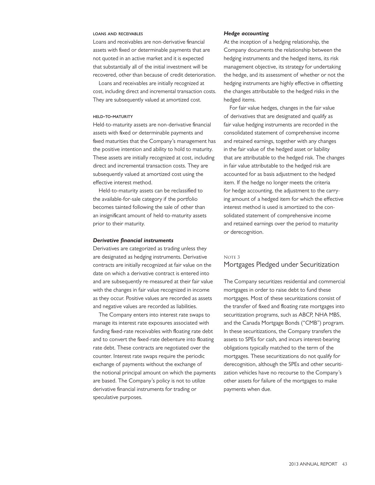#### loans and receivables

Loans and receivables are non-derivative financial assets with fixed or determinable payments that are not quoted in an active market and it is expected that substantially all of the initial investment will be recovered, other than because of credit deterioration.

Loans and receivables are initially recognized at cost, including direct and incremental transaction costs. They are subsequently valued at amortized cost.

#### held-to-maturity

Held-to-maturity assets are non-derivative financial assets with fixed or determinable payments and fixed maturities that the Company's management has the positive intention and ability to hold to maturity. These assets are initially recognized at cost, including direct and incremental transaction costs. They are subsequently valued at amortized cost using the effective interest method.

Held-to-maturity assets can be reclassified to the available-for-sale category if the portfolio becomes tainted following the sale of other than an insignificant amount of held-to-maturity assets prior to their maturity.

#### *Derivative fi nancial instruments*

Derivatives are categorized as trading unless they are designated as hedging instruments. Derivative contracts are initially recognized at fair value on the date on which a derivative contract is entered into and are subsequently re-measured at their fair value with the changes in fair value recognized in income as they occur. Positive values are recorded as assets and negative values are recorded as liabilities.

The Company enters into interest rate swaps to manage its interest rate exposures associated with funding fixed-rate receivables with floating rate debt and to convert the fixed-rate debenture into floating rate debt. These contracts are negotiated over the counter. Interest rate swaps require the periodic exchange of payments without the exchange of the notional principal amount on which the payments are based. The Company's policy is not to utilize derivative financial instruments for trading or speculative purposes.

#### *Hedge accounting*

At the inception of a hedging relationship, the Company documents the relationship between the hedging instruments and the hedged items, its risk management objective, its strategy for undertaking the hedge, and its assessment of whether or not the hedging instruments are highly effective in offsetting the changes attributable to the hedged risks in the hedged items.

For fair value hedges, changes in the fair value of derivatives that are designated and qualify as fair value hedging instruments are recorded in the consolidated statement of comprehensive income and retained earnings, together with any changes in the fair value of the hedged asset or liability that are attributable to the hedged risk. The changes in fair value attributable to the hedged risk are accounted for as basis adjustment to the hedged item. If the hedge no longer meets the criteria for hedge accounting, the adjustment to the carrying amount of a hedged item for which the effective interest method is used is amortized to the consolidated statement of comprehensive income and retained earnings over the period to maturity or derecognition.

### Note 3 Mortgages Pledged under Securitization

The Company securitizes residential and commercial mortgages in order to raise debt to fund these mortgages. Most of these securitizations consist of the transfer of fixed and floating rate mortgages into securitization programs, such as ABCP, NHA MBS, and the Canada Mortgage Bonds ("CMB") program. In these securitizations, the Company transfers the assets to SPEs for cash, and incurs interest-bearing obligations typically matched to the term of the mortgages. These securitizations do not qualify for derecognition, although the SPEs and other securitization vehicles have no recourse to the Company's other assets for failure of the mortgages to make payments when due.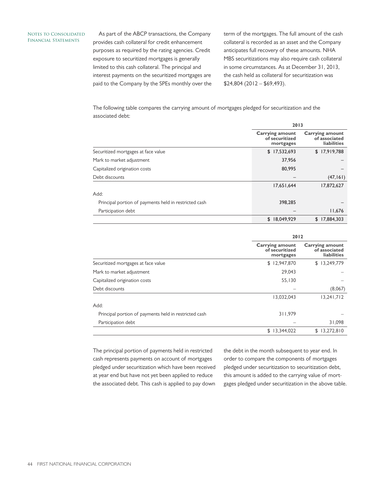As part of the ABCP transactions, the Company provides cash collateral for credit enhancement purposes as required by the rating agencies. Credit exposure to securitized mortgages is generally limited to this cash collateral. The principal and interest payments on the securitized mortgages are paid to the Company by the SPEs monthly over the term of the mortgages. The full amount of the cash collateral is recorded as an asset and the Company anticipates full recovery of these amounts. NHA MBS securitizations may also require cash collateral in some circumstances. As at December 31, 2013, the cash held as collateral for securitization was  $$24,804(2012 - $69,493).$ 

The following table compares the carrying amount of mortgages pledged for securitization and the associated debt:

|                                                       | 2013                                                  |                                                               |
|-------------------------------------------------------|-------------------------------------------------------|---------------------------------------------------------------|
|                                                       | <b>Carrying amount</b><br>of securitized<br>mortgages | <b>Carrying amount</b><br>of associated<br><b>liabilities</b> |
| Securitized mortgages at face value                   | \$17,532,693                                          | \$17,919,788                                                  |
| Mark to market adjustment                             | 37,956                                                |                                                               |
| Capitalized origination costs                         | 80,995                                                |                                                               |
| Debt discounts                                        |                                                       | (47, 161)                                                     |
|                                                       | 17,651,644                                            | 17,872,627                                                    |
| Add:                                                  |                                                       |                                                               |
| Principal portion of payments held in restricted cash | 398,285                                               |                                                               |
| Participation debt                                    |                                                       | 11,676                                                        |
|                                                       | \$18,049,929                                          | \$17,884,303                                                  |

|                                                       | 2012                                                  |                                                               |
|-------------------------------------------------------|-------------------------------------------------------|---------------------------------------------------------------|
|                                                       | <b>Carrying amount</b><br>of securitized<br>mortgages | <b>Carrying amount</b><br>of associated<br><b>liabilities</b> |
| Securitized mortgages at face value                   | \$12,947,870                                          | \$13,249,779                                                  |
| Mark to market adjustment                             | 29.043                                                |                                                               |
| Capitalized origination costs                         | 55,130                                                |                                                               |
| Debt discounts                                        |                                                       | (8,067)                                                       |
|                                                       | 13,032,043                                            | 13,241,712                                                    |
| Add:                                                  |                                                       |                                                               |
| Principal portion of payments held in restricted cash | 311,979                                               |                                                               |
| Participation debt                                    |                                                       | 31,098                                                        |
|                                                       | \$13.344.022                                          | \$13.272.810                                                  |

The principal portion of payments held in restricted cash represents payments on account of mortgages pledged under securitization which have been received at year end but have not yet been applied to reduce the associated debt. This cash is applied to pay down

the debt in the month subsequent to year end. In order to compare the components of mortgages pledged under securitization to securitization debt, this amount is added to the carrying value of mortgages pledged under securitization in the above table.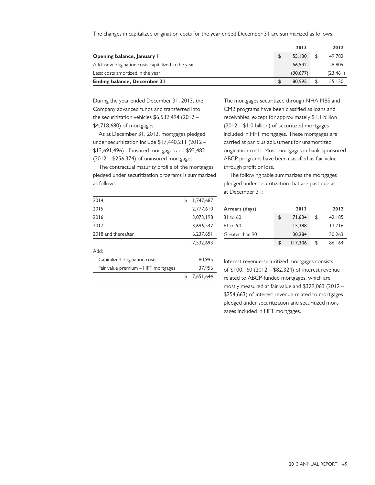The changes in capitalized origination costs for the year ended December 31 are summarized as follows:

|                                                    | 2013     |   | 2012      |
|----------------------------------------------------|----------|---|-----------|
| Opening balance, January I                         | 55.130   |   | 49.782    |
| Add: new origination costs capitalized in the year | 56.542   |   | 28,809    |
| Less: costs amortized in the year                  | (30.677) |   | (23, 461) |
| <b>Ending balance, December 31</b>                 | 80.995   | S | 55.130    |

During the year ended December 31, 2013, the Company advanced funds and transferred into the securitization vehicles \$6,532,494 (2012 – \$4,718,680) of mortgages.

As at December 31, 2013, mortgages pledged under securitization include \$17,440,211 (2012 – \$12,691,496) of insured mortgages and \$92,482 (2012 – \$256,374) of uninsured mortgages.

The contractual maturity profile of the mortgages pledged under securitization programs is summarized as follows:

| 2014                               | \$<br>1.747.687 |
|------------------------------------|-----------------|
| 2015                               | 2.777.610       |
| 2016                               | 3.073.198       |
| 2017                               | 3,696,547       |
| 2018 and thereafter                | 6.237.65        |
|                                    | 17.532.693      |
| Add:                               |                 |
| Capitalized origination costs      | 80.995          |
| Fair value premium - HFT mortgages | 37,956          |
|                                    | \$17.651.644    |

The mortgages securitized through NHA MBS and CMB programs have been classified as loans and receivables, except for approximately \$1.1 billion (2012 – \$1.0 billion) of securitized mortgages included in HFT mortgages. These mortgages are carried at par plus adjustment for unamortized origination costs. Most mortgages in bank-sponsored ABCP programs have been classified as fair value through profit or loss.

The following table summarizes the mortgages pledged under securitization that are past due as at December 31:

| Arrears (days)  |     | 2013    |     | 2012   |
|-----------------|-----|---------|-----|--------|
| $31$ to 60      | S   | 71.634  | \$. | 42,185 |
| $61$ to 90      |     | 15,388  |     | 13.716 |
| Greater than 90 |     | 30,284  |     | 30,263 |
|                 | \$. | 117.306 | \$  | 86,164 |

Interest revenue-securitized mortgages consists of \$100,160 (2012 – \$82,324) of interest revenue related to ABCP-funded mortgages, which are mostly measured at fair value and \$329,063 (2012 – \$254,663) of interest revenue related to mortgages pledged under securitization and securitized mortgages included in HFT mortgages.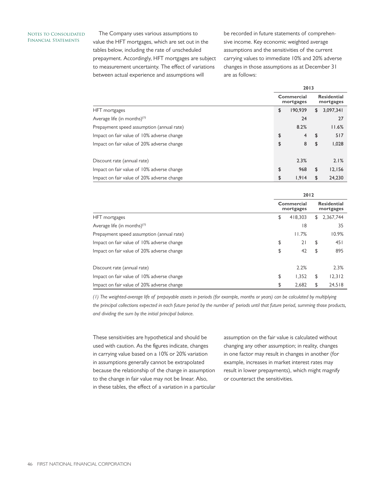The Company uses various assumptions to value the HFT mortgages, which are set out in the tables below, including the rate of unscheduled prepayment. Accordingly, HFT mortgages are subject to measurement uncertainty. The effect of variations between actual experience and assumptions will

be recorded in future statements of comprehensive income. Key economic weighted average assumptions and the sensitivities of the current carrying values to immediate 10% and 20% adverse changes in those assumptions as at December 31 are as follows:

**2013**

|                                            | ---                     |         |    |                                 |
|--------------------------------------------|-------------------------|---------|----|---------------------------------|
|                                            | Commercial<br>mortgages |         |    | <b>Residential</b><br>mortgages |
| HFT mortgages                              | \$                      | 190.939 | \$ | 3.097.341                       |
| Average life (in months) $(1)$             |                         | 24      |    | 27                              |
| Prepayment speed assumption (annual rate)  |                         | 8.2%    |    | 11.6%                           |
| Impact on fair value of 10% adverse change | \$                      | 4       | \$ | 517                             |
| Impact on fair value of 20% adverse change | \$                      | 8       | \$ | 1,028                           |
| Discount rate (annual rate)                |                         | 2.3%    |    | 2.1%                            |
| Impact on fair value of 10% adverse change | \$                      | 968     | \$ | 12,156                          |
| Impact on fair value of 20% adverse change | \$                      | 1,914   | \$ | 24.230                          |

|                                            |                         | 2012    |                                 |           |  |  |  |
|--------------------------------------------|-------------------------|---------|---------------------------------|-----------|--|--|--|
|                                            | Commercial<br>mortgages |         | <b>Residential</b><br>mortgages |           |  |  |  |
| HFT mortgages                              | \$                      | 418,303 | \$.                             | 2,367,744 |  |  |  |
| Average life (in months) <sup>(1)</sup>    |                         | 8       |                                 | 35        |  |  |  |
| Prepayment speed assumption (annual rate)  |                         | 11.7%   |                                 | 10.9%     |  |  |  |
| Impact on fair value of 10% adverse change | \$                      | 21      | \$                              | 451       |  |  |  |
| Impact on fair value of 20% adverse change | \$                      | 42      | \$                              | 895       |  |  |  |
| Discount rate (annual rate)                |                         | 2.2%    |                                 | 2.3%      |  |  |  |
| Impact on fair value of 10% adverse change | \$                      | 1,352   | \$                              | 12,312    |  |  |  |
| Impact on fair value of 20% adverse change | \$                      | 2,682   | \$                              | 24,518    |  |  |  |

*(1) The weighted-average life of prepayable assets in periods (for example, months or years) can be calculated by multiplying the principal collections expected in each future period by the number of periods until that future period, summing those products, and dividing the sum by the initial principal balance.*

These sensitivities are hypothetical and should be used with caution. As the figures indicate, changes in carrying value based on a 10% or 20% variation in assumptions generally cannot be extrapolated because the relationship of the change in assumption to the change in fair value may not be linear. Also, in these tables, the effect of a variation in a particular assumption on the fair value is calculated without changing any other assumption; in reality, changes in one factor may result in changes in another (for example, increases in market interest rates may result in lower prepayments), which might magnify or counteract the sensitivities.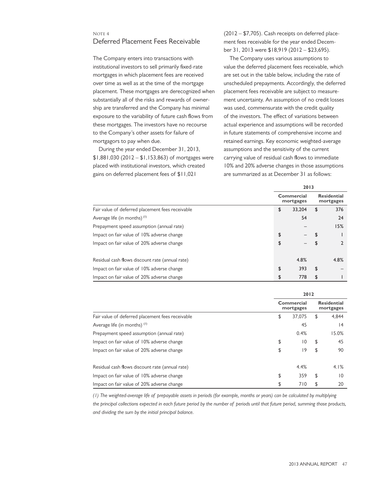### $NOTF<sub>4</sub>$ Deferred Placement Fees Receivable

The Company enters into transactions with institutional investors to sell primarily fixed-rate mortgages in which placement fees are received over time as well as at the time of the mortgage placement. These mortgages are derecognized when substantially all of the risks and rewards of ownership are transferred and the Company has minimal exposure to the variability of future cash flows from these mortgages. The investors have no recourse to the Company's other assets for failure of mortgagors to pay when due.

During the year ended December 31, 2013, \$1,881,030 (2012 – \$1,153,863) of mortgages were placed with institutional investors, which created gains on deferred placement fees of \$11,021

(2012 – \$7,705). Cash receipts on deferred placement fees receivable for the year ended December 31, 2013 were \$18,919 (2012 – \$23,695).

The Company uses various assumptions to value the deferred placement fees receivable, which are set out in the table below, including the rate of unscheduled prepayments. Accordingly, the deferred placement fees receivable are subject to measurement uncertainty. An assumption of no credit losses was used, commensurate with the credit quality of the investors. The effect of variations between actual experience and assumptions will be recorded in future statements of comprehensive income and retained earnings. Key economic weighted-average assumptions and the sensitivity of the current carrying value of residual cash flows to immediate 10% and 20% adverse changes in those assumptions are summarized as at December 31 as follows:

|                                                  |                         | 2013   |                                 |      |  |
|--------------------------------------------------|-------------------------|--------|---------------------------------|------|--|
|                                                  | Commercial<br>mortgages |        | <b>Residential</b><br>mortgages |      |  |
| Fair value of deferred placement fees receivable | \$                      | 33,204 | \$                              | 376  |  |
| Average life (in months) $(1)$                   |                         | 54     |                                 | 24   |  |
| Prepayment speed assumption (annual rate)        |                         |        |                                 | 15%  |  |
| Impact on fair value of 10% adverse change       | \$                      |        | \$                              |      |  |
| Impact on fair value of 20% adverse change       | \$                      |        | \$                              |      |  |
|                                                  |                         |        |                                 |      |  |
| Residual cash flows discount rate (annual rate)  |                         | 4.8%   |                                 | 4.8% |  |
| Impact on fair value of 10% adverse change       | \$                      | 393    | \$                              |      |  |
| Impact on fair value of 20% adverse change       | \$                      | 778    | \$                              |      |  |

|                                                  | 2012                    |                                 |
|--------------------------------------------------|-------------------------|---------------------------------|
|                                                  | Commercial<br>mortgages | <b>Residential</b><br>mortgages |
| Fair value of deferred placement fees receivable | \$<br>37.075            | \$<br>4,844                     |
| Average life (in months) (1)                     | 45                      | 4                               |
| Prepayment speed assumption (annual rate)        | 0.4%                    | 15.0%                           |
| Impact on fair value of 10% adverse change       | \$<br>10                | \$<br>45                        |
| Impact on fair value of 20% adverse change       | \$<br> 9                | \$<br>90                        |
| Residual cash flows discount rate (annual rate)  | 4.4%                    | 4.1%                            |
| Impact on fair value of 10% adverse change       | \$<br>359               | \$<br>10                        |
| Impact on fair value of 20% adverse change       | \$<br>710               | \$<br>20                        |

*(1) The weighted-average life of prepayable assets in periods (for example, months or years) can be calculated by multiplying the principal collections expected in each future period by the number of periods until that future period, summing those products, and dividing the sum by the initial principal balance.*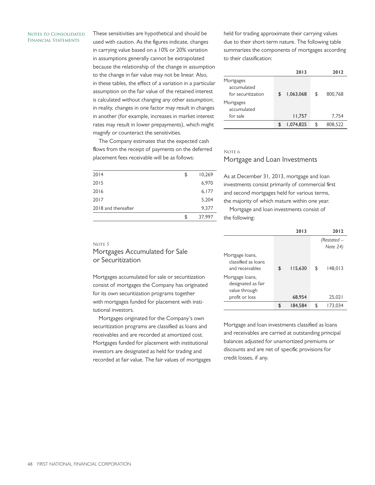These sensitivities are hypothetical and should be used with caution. As the figures indicate, changes in carrying value based on a 10% or 20% variation in assumptions generally cannot be extrapolated because the relationship of the change in assumption to the change in fair value may not be linear. Also, in these tables, the effect of a variation in a particular assumption on the fair value of the retained interest is calculated without changing any other assumption; in reality, changes in one factor may result in changes in another (for example, increases in market interest rates may result in lower prepayments), which might magnify or counteract the sensitivities.

The Company estimates that the expected cash flows from the receipt of payments on the deferred placement fees receivable will be as follows:

| 2014                | \$<br>10,269 |
|---------------------|--------------|
| 2015                | 6,970        |
| 2016                | 6,177        |
| 2017                | 5,204        |
| 2018 and thereafter | 9,377        |
|                     | \$<br>37,997 |

held for trading approximate their carrying values due to their short-term nature. The following table summarizes the components of mortgages according to their classification:

|                                                | 2013            | 2012          |
|------------------------------------------------|-----------------|---------------|
| Mortgages<br>accumulated<br>for securitization | \$<br>1.063.068 | \$<br>800,768 |
| Mortgages<br>accumulated                       |                 |               |
| for sale                                       | 11,757          | 7.754         |
|                                                | 1.074.825       | \$<br>808,522 |

#### NOTE<sub>6</sub>

### Mortgage and Loan Investments

As at December 31, 2013, mortgage and loan investments consist primarily of commercial first and second mortgages held for various terms, the majority of which mature within one year.

Mortgage and loan investments consist of the following:

|                                                                          | 2013          | 2012                    |
|--------------------------------------------------------------------------|---------------|-------------------------|
|                                                                          |               | (Restated –<br>Note 24) |
| Mortgage Ioans,<br>classified as loans<br>and receivables                | \$<br>115,630 | \$<br>148,013           |
| Mortgage Ioans,<br>designated as fair<br>value through<br>profit or loss | 68,954        | 25,021                  |
|                                                                          | \$<br>184.584 | \$<br>173.034           |

Mortgage and loan investments classified as loans and receivables are carried at outstanding principal balances adjusted for unamortized premiums or discounts and are net of specific provisions for credit losses, if any.

### NOTE<sub>5</sub>

### Mortgages Accumulated for Sale or Securitization

Mortgages accumulated for sale or securitization consist of mortgages the Company has originated for its own securitization programs together with mortgages funded for placement with institutional investors.

Mortgages originated for the Company's own securitization programs are classified as loans and receivables and are recorded at amortized cost. Mortgages funded for placement with institutional investors are designated as held for trading and recorded at fair value. The fair values of mortgages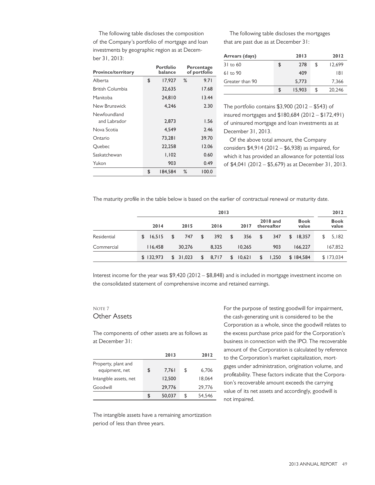The following table discloses the composition of the Company's portfolio of mortgage and loan investments by geographic region as at December 31, 2013:

| <b>Province/territory</b>    | Portfolio<br>balance |   | Percentage<br>of portfolio |
|------------------------------|----------------------|---|----------------------------|
| Alberta                      | \$<br>17,927         | % | 9.71                       |
| British Columbia             | 32,635               |   | 17.68                      |
| Manitoba                     | 24.810               |   | 13.44                      |
| New Brunswick                | 4.246                |   | 2.30                       |
| Newfoundland<br>and Labrador | 2.873                |   | 1.56                       |
| Nova Scotia                  | 4.549                |   | 2.46                       |
| Ontario                      | 73,281               |   | 39.70                      |
| Quebec                       | 22,258               |   | 12.06                      |
| Saskatchewan                 | 1,102                |   | 0.60                       |
| Yukon                        | 903                  |   | 0.49                       |
|                              | \$<br>184,584        | % | 100.0                      |

The following table discloses the mortgages that are past due as at December 31:

| Arrears (days)  |    | 2013   | 2012         |
|-----------------|----|--------|--------------|
| 31 to 60        | \$ | 278    | \$<br>12.699 |
| 61 to 90        |    | 409    | 8            |
| Greater than 90 |    | 5.773  | 7,366        |
|                 | S  | 15,903 | \$<br>20,246 |

The portfolio contains \$3,900 (2012 – \$543) of insured mortgages and \$180,684 (2012 – \$172,491) of uninsured mortgage and loan investments as at December 31, 2013.

Of the above total amount, the Company considers \$4,914 (2012 – \$6,938) as impaired, for which it has provided an allowance for potential loss of \$4,041 (2012 – \$5,679) as at December 31, 2013.

The maturity profile in the table below is based on the earlier of contractual renewal or maturity date.

|             | 2013 |           |    |          |    |       |    |        |    |                        |                      | 2012 |                      |
|-------------|------|-----------|----|----------|----|-------|----|--------|----|------------------------|----------------------|------|----------------------|
|             |      | 2014      |    | 2015     |    | 2016  |    | 2017   |    | 2018 and<br>thereafter | <b>Book</b><br>value |      | <b>Book</b><br>value |
| Residential |      | \$16.515  | \$ | 747      | \$ | 392   | \$ | 356    | \$ | 347                    | \$<br>18.357         | S.   | 5,182                |
| Commercial  |      | 116,458   |    | 30,276   |    | 8.325 |    | 10.265 |    | 903                    | 166,227              |      | 167,852              |
|             |      | \$132,973 |    | \$31,023 | \$ | 8,717 | \$ | 0,62   | \$ | 1.250                  | \$184,584            |      | \$173,034            |

Interest income for the year was \$9,420 (2012 – \$8,848) and is included in mortgage investment income on the consolidated statement of comprehensive income and retained earnings.

#### NOTE<sub>7</sub> Other Assets

The components of other assets are as follows as at December 31:

|                                       | 2013         | 2012         |
|---------------------------------------|--------------|--------------|
| Property, plant and<br>equipment, net | \$<br>7.761  | \$<br>6.706  |
| Intangible assets, net                | 12.500       | 18,064       |
| Goodwill                              | 29,776       | 29,776       |
|                                       | \$<br>50,037 | \$<br>54.546 |

For the purpose of testing goodwill for impairment, the cash-generating unit is considered to be the Corporation as a whole, since the goodwill relates to the excess purchase price paid for the Corporation's business in connection with the IPO. The recoverable amount of the Corporation is calculated by reference to the Corporation's market capitalization, mortgages under administration, origination volume, and profitability. These factors indicate that the Corporation's recoverable amount exceeds the carrying value of its net assets and accordingly, goodwill is not impaired.

The intangible assets have a remaining amortization period of less than three years.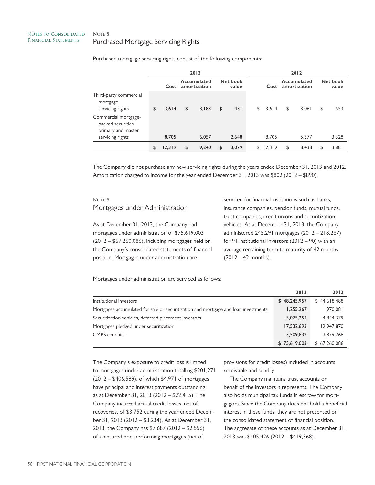### NOTE 8 Purchased Mortgage Servicing Rights

|                                                                 |              | 2013 |                                    |    | 2012                     |    |        |    |                             |    |                          |
|-----------------------------------------------------------------|--------------|------|------------------------------------|----|--------------------------|----|--------|----|-----------------------------|----|--------------------------|
|                                                                 | Cost         |      | <b>Accumulated</b><br>amortization |    | <b>Net book</b><br>value |    | Cost   |    | Accumulated<br>amortization |    | <b>Net book</b><br>value |
| Third-party commercial<br>mortgage<br>servicing rights          | \$<br>3.614  | \$   | 3,183                              | \$ | 431                      | \$ | 3.614  | \$ | 3.061                       | \$ | 553                      |
| Commercial mortgage-<br>backed securities<br>primary and master |              |      |                                    |    |                          |    |        |    |                             |    |                          |
| servicing rights                                                | 8,705        |      | 6,057                              |    | 2,648                    |    | 8,705  |    | 5,377                       |    | 3,328                    |
|                                                                 | \$<br>12.319 | \$   | 9,240                              | \$ | 3,079                    | \$ | 12,319 | \$ | 8,438                       |    | 3,881                    |

Purchased mortgage servicing rights consist of the following components:

The Company did not purchase any new servicing rights during the years ended December 31, 2013 and 2012. Amortization charged to income for the year ended December 31, 2013 was \$802 (2012 – \$890).

### NOTE<sub>9</sub> Mortgages under Administration

As at December 31, 2013, the Company had mortgages under administration of \$75,619,003 (2012 – \$67,260,086), including mortgages held on the Company's consolidated statements of financial position. Mortgages under administration are

serviced for financial institutions such as banks, insurance companies, pension funds, mutual funds, trust companies, credit unions and securitization vehicles. As at December 31, 2013, the Company administered 245,291 mortgages (2012 – 218,267) for 91 institutional investors (2012 – 90) with an average remaining term to maturity of 42 months  $(2012 - 42$  months).

Mortgages under administration are serviced as follows:

|                                                                                    | 2013         | 2012         |
|------------------------------------------------------------------------------------|--------------|--------------|
| Institutional investors                                                            | \$48,245,957 | \$44,618,488 |
| Mortgages accumulated for sale or securitization and mortgage and loan investments | 1,255,267    | 970.081      |
| Securitization vehicles, deferred placement investors                              | 5,075,254    | 4.844.379    |
| Mortgages pledged under securitization                                             | 17,532,693   | 12,947,870   |
| <b>CMBS</b> conduits                                                               | 3.509.832    | 3.879.268    |
|                                                                                    | \$75,619,003 | \$67,260,086 |

The Company's exposure to credit loss is limited to mortgages under administration totalling \$201,271 (2012 – \$406,589), of which \$4,971 of mortgages have principal and interest payments outstanding as at December 31, 2013 (2012 – \$22,415). The Company incurred actual credit losses, net of recoveries, of \$3,752 during the year ended December 31, 2013 (2012 – \$3,234). As at December 31, 2013, the Company has \$7,687 (2012 – \$2,556) of uninsured non-performing mortgages (net of

provisions for credit losses) included in accounts receivable and sundry.

The Company maintains trust accounts on behalf of the investors it represents. The Company also holds municipal tax funds in escrow for mortgagors. Since the Company does not hold a beneficial interest in these funds, they are not presented on the consolidated statement of financial position. The aggregate of these accounts as at December 31, 2013 was \$405,426 (2012 – \$419,368).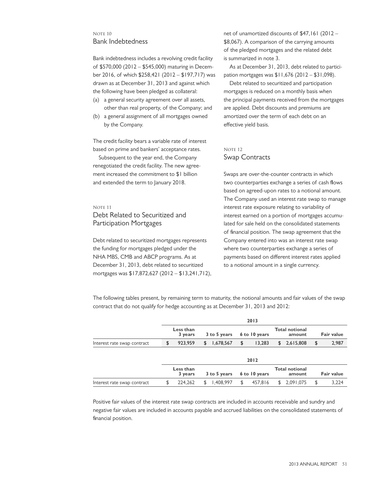### Note 10 Bank Indebtedness

Bank indebtedness includes a revolving credit facility of \$570,000 (2012 – \$545,000) maturing in December 2016, of which \$258,421 (2012 – \$197,717) was drawn as at December 31, 2013 and against which the following have been pledged as collateral:

- (a) a general security agreement over all assets, other than real property, of the Company; and
- (b) a general assignment of all mortgages owned by the Company.

The credit facility bears a variable rate of interest based on prime and bankers' acceptance rates.

Subsequent to the year end, the Company renegotiated the credit facility. The new agreement increased the commitment to \$1 billion and extended the term to January 2018.

#### NOTE<sub>11</sub>

### Debt Related to Securitized and Participation Mortgages

Debt related to securitized mortgages represents the funding for mortgages pledged under the NHA MBS, CMB and ABCP programs. As at December 31, 2013, debt related to securitized mortgages was \$17,872,627 (2012 – \$13,241,712), net of unamortized discounts of \$47,161 (2012 – \$8,067). A comparison of the carrying amounts of the pledged mortgages and the related debt is summarized in note 3.

As at December 31, 2013, debt related to participation mortgages was \$11,676 (2012 – \$31,098).

Debt related to securitized and participation mortgages is reduced on a monthly basis when the principal payments received from the mortgages are applied. Debt discounts and premiums are amortized over the term of each debt on an effective yield basis.

### NOTE<sub>12</sub> Swap Contracts

Swaps are over-the-counter contracts in which two counterparties exchange a series of cash flows based on agreed-upon rates to a notional amount. The Company used an interest rate swap to manage interest rate exposure relating to variability of interest earned on a portion of mortgages accumulated for sale held on the consolidated statements of financial position. The swap agreement that the Company entered into was an interest rate swap where two counterparties exchange a series of payments based on different interest rates applied to a notional amount in a single currency.

|                             |                      |    |              | 2013          |     |                                 |                   |
|-----------------------------|----------------------|----|--------------|---------------|-----|---------------------------------|-------------------|
|                             | Less than<br>3 years |    | 3 to 5 years | 6 to 10 years |     | <b>Total notional</b><br>amount | <b>Fair value</b> |
| Interest rate swap contract | \$<br>923.959        | \$ | 1,678,567    | \$<br>13,283  | \$  | 2,615,808                       | \$<br>2,987       |
|                             |                      |    |              |               |     |                                 |                   |
|                             |                      |    |              | 2012          |     |                                 |                   |
|                             | Less than<br>3 years |    | 3 to 5 years | 6 to 10 years |     | <b>Total notional</b><br>amount | <b>Fair value</b> |
| Interest rate swap contract | \$<br>224.262        | S  | 1.408.997    | \$<br>457.816 | \$. | 2.091.075                       | \$<br>3.224       |

The following tables present, by remaining term to maturity, the notional amounts and fair values of the swap contract that do not qualify for hedge accounting as at December 31, 2013 and 2012:

Positive fair values of the interest rate swap contracts are included in accounts receivable and sundry and negative fair values are included in accounts payable and accrued liabilities on the consolidated statements of financial position.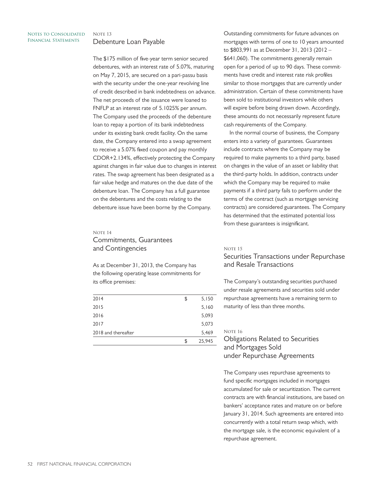NOTE 13 Debenture Loan Payable

The \$175 million of five-year term senior secured debentures, with an interest rate of 5.07%, maturing on May 7, 2015, are secured on a pari-passu basis with the security under the one-year revolving line of credit described in bank indebtedness on advance. The net proceeds of the issuance were loaned to FNFLP at an interest rate of 5.1025% per annum. The Company used the proceeds of the debenture loan to repay a portion of its bank indebtedness under its existing bank credit facility. On the same date, the Company entered into a swap agreement to receive a 5.07% fixed coupon and pay monthly CDOR+2.134%, effectively protecting the Company against changes in fair value due to changes in interest rates. The swap agreement has been designated as a fair value hedge and matures on the due date of the debenture loan. The Company has a full guarantee on the debentures and the costs relating to the debenture issue have been borne by the Company.

#### NOTE 14

Commitments, Guarantees and Contingencies

As at December 31, 2013, the Company has the following operating lease commitments for its office premises:

| 2014                | \$<br>5,150  |
|---------------------|--------------|
| 2015                | 5,160        |
| 2016                | 5,093        |
| 2017                | 5,073        |
| 2018 and thereafter | 5,469        |
|                     | \$<br>25,945 |

Outstanding commitments for future advances on mortgages with terms of one to 10 years amounted to \$803,991 as at December 31, 2013 (2012 – \$641,060). The commitments generally remain open for a period of up to 90 days. These commitments have credit and interest rate risk profiles similar to those mortgages that are currently under administration. Certain of these commitments have been sold to institutional investors while others will expire before being drawn down. Accordingly, these amounts do not necessarily represent future cash requirements of the Company.

In the normal course of business, the Company enters into a variety of guarantees. Guarantees include contracts where the Company may be required to make payments to a third party, based on changes in the value of an asset or liability that the third-party holds. In addition, contracts under which the Company may be required to make payments if a third party fails to perform under the terms of the contract (such as mortgage servicing contracts) are considered guarantees. The Company has determined that the estimated potential loss from these guarantees is insignificant.

#### Note 15

### Securities Transactions under Repurchase and Resale Transactions

The Company's outstanding securities purchased under resale agreements and securities sold under repurchase agreements have a remaining term to maturity of less than three months.

### NOTE 16

### Obligations Related to Securities and Mortgages Sold under Repurchase Agreements

The Company uses repurchase agreements to fund specific mortgages included in mortgages accumulated for sale or securitization. The current contracts are with financial institutions, are based on bankers' acceptance rates and mature on or before January 31, 2014. Such agreements are entered into concurrently with a total return swap which, with the mortgage sale, is the economic equivalent of a repurchase agreement.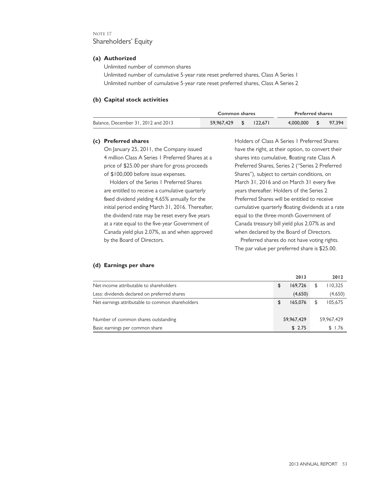### NOTE 17 Shareholders' Equity

### **(a) Authorized**

Unlimited number of common shares

Unlimited number of cumulative 5-year rate reset preferred shares, Class A Series 1 Unlimited number of cumulative 5-year rate reset preferred shares, Class A Series 2

### **(b) Capital stock activities**

|                                     | <b>Common shares</b> |         |           | <b>Preferred shares</b> |        |  |  |  |  |
|-------------------------------------|----------------------|---------|-----------|-------------------------|--------|--|--|--|--|
| Balance, December 31, 2012 and 2013 | 59.967.429 \$        | 122.671 | 4.000.000 | S                       | 97.394 |  |  |  |  |

### **(c) Preferred shares**

On January 25, 2011, the Company issued 4 million Class A Series 1 Preferred Shares at a price of \$25.00 per share for gross proceeds of \$100,000 before issue expenses.

Holders of the Series 1 Preferred Shares are entitled to receive a cumulative quarterly fixed dividend yielding 4.65% annually for the initial period ending March 31, 2016. Thereafter, the dividend rate may be reset every five years at a rate equal to the five-year Government of Canada yield plus 2.07%, as and when approved by the Board of Directors.

Holders of Class A Series 1 Preferred Shares have the right, at their option, to convert their shares into cumulative, floating rate Class A Preferred Shares, Series 2 ("Series 2 Preferred Shares"), subject to certain conditions, on March 31, 2016 and on March 31 every five years thereafter. Holders of the Series 2 Preferred Shares will be entitled to receive cumulative quarterly floating dividends at a rate equal to the three-month Government of Canada treasury bill yield plus 2.07% as and when declared by the Board of Directors.

Preferred shares do not have voting rights. The par value per preferred share is \$25.00.

### **(d) Earnings per share**

|                                                  | 2013       | 2012          |
|--------------------------------------------------|------------|---------------|
| Net income attributable to shareholders          | 169,726    | \$<br>110,325 |
| Less: dividends declared on preferred shares     | (4,650)    | (4,650)       |
| Net earnings attributable to common shareholders | 165,076    | \$<br>105.675 |
| Number of common shares outstanding              | 59,967,429 | 59.967.429    |
| Basic earnings per common share                  | \$2.75     | \$1.76        |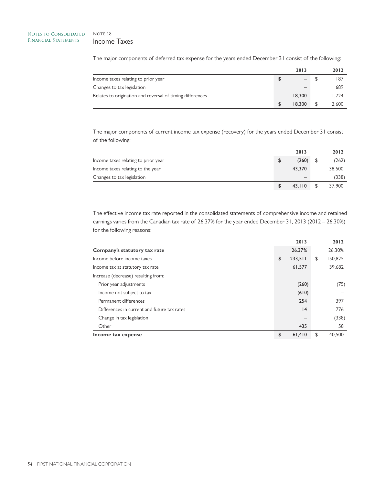# Income Taxes

The major components of deferred tax expense for the years ended December 31 consist of the following:

|                                                           | 2013   | 2012   |
|-----------------------------------------------------------|--------|--------|
| Income taxes relating to prior year                       |        | 187    |
| Changes to tax legislation                                |        | 689    |
| Relates to origination and reversal of timing differences | 18,300 | 724. ا |
|                                                           | 18.300 | 2.600  |

The major components of current income tax expense (recovery) for the years ended December 31 consist of the following:

|                                     |     | 2013                     |     | 2012   |
|-------------------------------------|-----|--------------------------|-----|--------|
| Income taxes relating to prior year | \$. | (260)                    | -\$ | (262)  |
| Income taxes relating to the year   |     | 43,370                   |     | 38,500 |
| Changes to tax legislation          |     | $\overline{\phantom{a}}$ |     | (338)  |
|                                     |     | 43.110                   | \$  | 37,900 |

The effective income tax rate reported in the consolidated statements of comprehensive income and retained earnings varies from the Canadian tax rate of 26.37% for the year ended December 31, 2013 (2012 – 26.30%) for the following reasons:

|                                             | 2013          | 2012          |
|---------------------------------------------|---------------|---------------|
| Company's statutory tax rate                | 26.37%        | 26.30%        |
| Income before income taxes                  | \$<br>233,511 | \$<br>150,825 |
| Income tax at statutory tax rate            | 61,577        | 39,682        |
| Increase (decrease) resulting from:         |               |               |
| Prior year adjustments                      | (260)         | (75)          |
| Income not subject to tax                   | (610)         |               |
| Permanent differences                       | 254           | 397           |
| Differences in current and future tax rates | 4             | 776           |
| Change in tax legislation                   |               | (338)         |
| Other                                       | 435           | 58            |
| Income tax expense                          | \$<br>61,410  | \$<br>40,500  |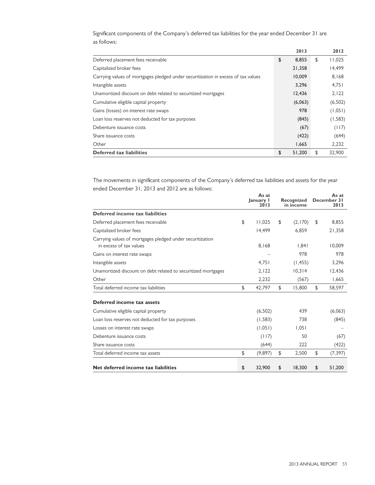Significant components of the Company's deferred tax liabilities for the year ended December 31 are as follows:

|                                                                                   | 2013         | 2012         |
|-----------------------------------------------------------------------------------|--------------|--------------|
| Deferred placement fees receivable                                                | \$<br>8,855  | \$<br>11,025 |
| Capitalized broker fees                                                           | 21,358       | 14,499       |
| Carrying values of mortgages pledged under securitization in excess of tax values | 10.009       | 8,168        |
| Intangible assets                                                                 | 3.296        | 4,751        |
| Unamortized discount on debt related to securitized mortgages                     | 12.436       | 2,122        |
| Cumulative eligible capital property                                              | (6,063)      | (6, 502)     |
| Gains (losses) on interest rate swaps                                             | 978          | (1,051)      |
| Loan loss reserves not deducted for tax purposes                                  | (845)        | (1,583)      |
| Debenture issuance costs                                                          | (67)         | (117)        |
| Share issuance costs                                                              | (422)        | (644)        |
| Other                                                                             | 1,665        | 2,232        |
| <b>Deferred tax liabilities</b>                                                   | \$<br>51,200 | \$<br>32.900 |

The movements in significant components of the Company's deferred tax liabilities and assets for the year ended December 31, 2013 and 2012 are as follows:

|                                                                                      | As at<br>January I<br>2013 | Recognized<br>in income | As at<br>December 31<br>2013 |
|--------------------------------------------------------------------------------------|----------------------------|-------------------------|------------------------------|
| Deferred income tax liabilities                                                      |                            |                         |                              |
| Deferred placement fees receivable                                                   | \$<br>11.025               | \$<br>(2,170)           | \$<br>8,855                  |
| Capitalized broker fees                                                              | 14.499                     | 6.859                   | 21,358                       |
| Carrying values of mortgages pledged under securitization<br>in excess of tax values | 8,168                      | 1,841                   | 10,009                       |
| Gains on interest rate swaps                                                         |                            | 978                     | 978                          |
| Intangible assets                                                                    | 4,751                      | (1, 455)                | 3.296                        |
| Unamortized discount on debt related to securitized mortgages                        | 2,122                      | 10,314                  | 12,436                       |
| Other                                                                                | 2,232                      | (567)                   | 1,665                        |
| Total deferred income tax liabilities                                                | \$<br>42,797               | \$<br>15,800            | \$<br>58,597                 |
| Deferred income tax assets                                                           |                            |                         |                              |
| Cumulative eligible capital property                                                 | (6, 502)                   | 439                     | (6,063)                      |
| Loan loss reserves not deducted for tax purposes                                     | (1, 583)                   | 738                     | (845)                        |
| Losses on interest rate swaps                                                        | (1,051)                    | 1,051                   |                              |
| Debenture issuance costs                                                             | (117)                      | 50                      | (67)                         |
| Share issuance costs                                                                 | (644)                      | 222                     | (422)                        |
| Total deferred income tax assets                                                     | \$<br>(9,897)              | \$<br>2,500             | \$<br>(7, 397)               |
| Net deferred income tax liabilities                                                  | \$<br>32,900               | \$<br>18,300            | \$<br>51,200                 |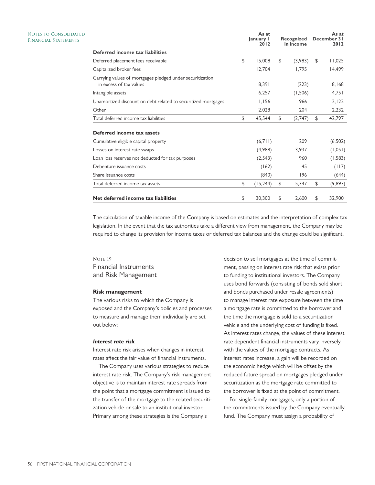| NOTES TO CONSOLIDATED<br><b>FINANCIAL STATEMENTS</b> |                                                                                      | As at<br>January I<br>2012 | Recognized<br>in income |         | As at<br>December 31<br>2012 |          |
|------------------------------------------------------|--------------------------------------------------------------------------------------|----------------------------|-------------------------|---------|------------------------------|----------|
|                                                      | Deferred income tax liabilities                                                      |                            |                         |         |                              |          |
|                                                      | Deferred placement fees receivable                                                   | \$<br>15,008               | \$                      | (3,983) | \$                           | 11,025   |
|                                                      | Capitalized broker fees                                                              | 12,704                     |                         | 1.795   |                              | 14,499   |
|                                                      | Carrying values of mortgages pledged under securitization<br>in excess of tax values | 8,391                      |                         | (223)   |                              | 8,168    |
|                                                      | Intangible assets                                                                    | 6,257                      |                         | (1,506) |                              | 4,751    |
|                                                      | Unamortized discount on debt related to securitized mortgages                        | 1,156                      |                         | 966     |                              | 2,122    |
|                                                      | Other                                                                                | 2,028                      |                         | 204     |                              | 2,232    |
|                                                      | Total deferred income tax liabilities                                                | \$<br>45,544               | \$                      | (2,747) | \$                           | 42,797   |
|                                                      | Deferred income tax assets                                                           |                            |                         |         |                              |          |
|                                                      | Cumulative eligible capital property                                                 | (6,711)                    |                         | 209     |                              | (6, 502) |
|                                                      | Losses on interest rate swaps                                                        | (4,988)                    |                         | 3,937   |                              | (1,051)  |
|                                                      | Loan loss reserves not deducted for tax purposes                                     | (2, 543)                   |                         | 960     |                              | (1, 583) |
|                                                      | Debenture issuance costs                                                             | (162)                      |                         | 45      |                              | (117)    |
|                                                      | Share issuance costs                                                                 | (840)                      |                         | 196     |                              | (644)    |
|                                                      | Total deferred income tax assets                                                     | \$<br>(15, 244)            | \$                      | 5,347   | \$                           | (9,897)  |
|                                                      | Net deferred income tax liabilities                                                  | \$<br>30.300               | \$                      | 2.600   | S                            | 32.900   |

The calculation of taxable income of the Company is based on estimates and the interpretation of complex tax legislation. In the event that the tax authorities take a different view from management, the Company may be required to change its provision for income taxes or deferred tax balances and the change could be significant.

Note 19 Financial Instruments and Risk Management

#### **Risk management**

The various risks to which the Company is exposed and the Company's policies and processes to measure and manage them individually are set out below:

#### *Interest rate risk*

Interest rate risk arises when changes in interest rates affect the fair value of financial instruments.

The Company uses various strategies to reduce interest rate risk. The Company's risk management objective is to maintain interest rate spreads from the point that a mortgage commitment is issued to the transfer of the mortgage to the related securitization vehicle or sale to an institutional investor. Primary among these strategies is the Company's

decision to sell mortgages at the time of commitment, passing on interest rate risk that exists prior to funding to institutional investors. The Company uses bond forwards (consisting of bonds sold short and bonds purchased under resale agreements) to manage interest rate exposure between the time a mortgage rate is committed to the borrower and the time the mortgage is sold to a securitization vehicle and the underlying cost of funding is fixed. As interest rates change, the values of these interest rate dependent financial instruments vary inversely with the values of the mortgage contracts. As interest rates increase, a gain will be recorded on the economic hedge which will be offset by the reduced future spread on mortgages pledged under securitization as the mortgage rate committed to the borrower is fixed at the point of commitment.

For single-family mortgages, only a portion of the commitments issued by the Company eventually fund. The Company must assign a probability of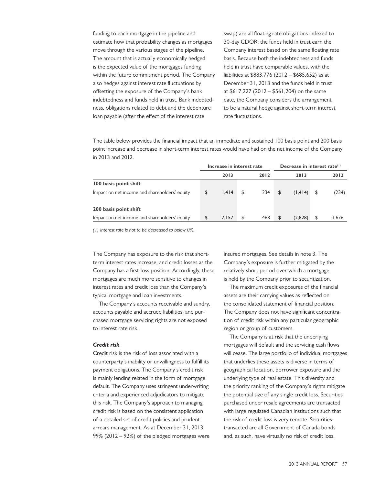funding to each mortgage in the pipeline and estimate how that probability changes as mortgages move through the various stages of the pipeline. The amount that is actually economically hedged is the expected value of the mortgages funding within the future commitment period. The Company also hedges against interest rate fluctuations by offsetting the exposure of the Company's bank indebtedness and funds held in trust. Bank indebtedness, obligations related to debt and the debenture loan payable (after the effect of the interest rate

swap) are all floating rate obligations indexed to 30-day CDOR; the funds held in trust earn the Company interest based on the same floating rate basis. Because both the indebtedness and funds held in trust have comparable values, with the liabilities at \$883,776 (2012 – \$685,652) as at December 31, 2013 and the funds held in trust at \$617,227 (2012 – \$561,204) on the same date, the Company considers the arrangement to be a natural hedge against short-term interest rate fluctuations.

The table below provides the financial impact that an immediate and sustained 100 basis point and 200 basis point increase and decrease in short-term interest rates would have had on the net income of the Company in 2013 and 2012.

|                                               | Increase in interest rate |       |    |      | Decrease in interest rate <sup>(1)</sup> |         |    |       |  |
|-----------------------------------------------|---------------------------|-------|----|------|------------------------------------------|---------|----|-------|--|
|                                               |                           | 2013  |    | 2012 |                                          | 2013    |    | 2012  |  |
| 100 basis point shift                         |                           |       |    |      |                                          |         |    |       |  |
| Impact on net income and shareholders' equity | \$                        | 1,414 | S  | 234  | S                                        | (1.414) | \$ | (234) |  |
| 200 basis point shift                         |                           |       |    |      |                                          |         |    |       |  |
| Impact on net income and shareholders' equity | \$                        | 7.157 | \$ | 468  | S                                        | (2,828) | \$ | 3.676 |  |

*(1) Interest rate is not to be decreased to below 0%.*

The Company has exposure to the risk that shortterm interest rates increase, and credit losses as the Company has a first-loss position. Accordingly, these mortgages are much more sensitive to changes in interest rates and credit loss than the Company's typical mortgage and loan investments.

The Company's accounts receivable and sundry, accounts payable and accrued liabilities, and purchased mortgage servicing rights are not exposed to interest rate risk.

#### *Credit risk*

Credit risk is the risk of loss associated with a counterparty's inability or unwillingness to fulfill its payment obligations. The Company's credit risk is mainly lending related in the form of mortgage default. The Company uses stringent underwriting criteria and experienced adjudicators to mitigate this risk. The Company's approach to managing credit risk is based on the consistent application of a detailed set of credit policies and prudent arrears management. As at December 31, 2013, 99% (2012 – 92%) of the pledged mortgages were insured mortgages. See details in note 3. The Company's exposure is further mitigated by the relatively short period over which a mortgage is held by the Company prior to securitization.

The maximum credit exposures of the financial assets are their carrying values as reflected on the consolidated statement of financial position. The Company does not have significant concentration of credit risk within any particular geographic region or group of customers.

The Company is at risk that the underlying mortgages will default and the servicing cash flows will cease. The large portfolio of individual mortgages that underlies these assets is diverse in terms of geographical location, borrower exposure and the underlying type of real estate. This diversity and the priority ranking of the Company's rights mitigate the potential size of any single credit loss. Securities purchased under resale agreements are transacted with large regulated Canadian institutions such that the risk of credit loss is very remote. Securities transacted are all Government of Canada bonds and, as such, have virtually no risk of credit loss.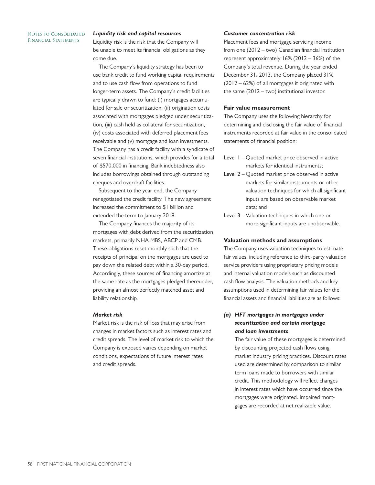#### *Liquidity risk and capital resources*

Liquidity risk is the risk that the Company will be unable to meet its financial obligations as they come due.

The Company's liquidity strategy has been to use bank credit to fund working capital requirements and to use cash flow from operations to fund longer-term assets. The Company's credit facilities are typically drawn to fund: (i) mortgages accumulated for sale or securitization, (ii) origination costs associated with mortgages pledged under securitization, (iii) cash held as collateral for securitization, (iv) costs associated with deferred placement fees receivable and (v) mortgage and loan investments. The Company has a credit facility with a syndicate of seven financial institutions, which provides for a total of \$570,000 in financing. Bank indebtedness also includes borrowings obtained through outstanding cheques and overdraft facilities.

Subsequent to the year end, the Company renegotiated the credit facility. The new agreement increased the commitment to \$1 billion and extended the term to January 2018.

The Company finances the majority of its mortgages with debt derived from the securitization markets, primarily NHA MBS, ABCP and CMB. These obligations reset monthly such that the receipts of principal on the mortgages are used to pay down the related debt within a 30-day period. Accordingly, these sources of financing amortize at the same rate as the mortgages pledged thereunder, providing an almost perfectly matched asset and liability relationship.

#### *Market risk*

Market risk is the risk of loss that may arise from changes in market factors such as interest rates and credit spreads. The level of market risk to which the Company is exposed varies depending on market conditions, expectations of future interest rates and credit spreads.

#### *Customer concentration risk*

Placement fees and mortgage servicing income from one  $(2012 - two)$  Canadian financial institution represent approximately 16% (2012 – 36%) of the Company's total revenue. During the year ended December 31, 2013, the Company placed 31% (2012 – 62%) of all mortgages it originated with the same  $(2012 - two)$  institutional investor.

#### **Fair value measurement**

The Company uses the following hierarchy for determining and disclosing the fair value of financial instruments recorded at fair value in the consolidated statements of financial position:

- Level 1 Quoted market price observed in active markets for identical instruments;
- Level 2 Quoted market price observed in active markets for similar instruments or other valuation techniques for which all significant inputs are based on observable market data; and
- Level 3 Valuation techniques in which one or more significant inputs are unobservable.

#### **Valuation methods and assumptions**

The Company uses valuation techniques to estimate fair values, including reference to third-party valuation service providers using proprietary pricing models and internal valuation models such as discounted cash flow analysis. The valuation methods and key assumptions used in determining fair values for the financial assets and financial liabilities are as follows:

### *(a) HFT mortgages in mortgages under securitization and certain mortgage and loan investments*

The fair value of these mortgages is determined by discounting projected cash flows using market industry pricing practices. Discount rates used are determined by comparison to similar term loans made to borrowers with similar credit. This methodology will reflect changes in interest rates which have occurred since the mortgages were originated. Impaired mortgages are recorded at net realizable value.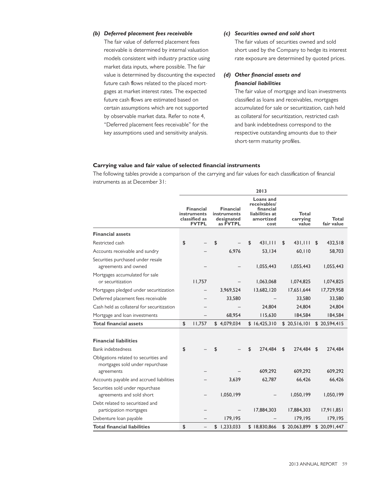#### *(b) Deferred placement fees receivable*

The fair value of deferred placement fees receivable is determined by internal valuation models consistent with industry practice using market data inputs, where possible. The fair value is determined by discounting the expected future cash flows related to the placed mortgages at market interest rates. The expected future cash flows are estimated based on certain assumptions which are not supported by observable market data. Refer to note 4, "Deferred placement fees receivable" for the key assumptions used and sensitivity analysis.

#### *(c) Securities owned and sold short*

The fair values of securities owned and sold short used by the Company to hedge its interest rate exposure are determined by quoted prices.

### (d) Other financial assets and *fi nancial liabilities*

The fair value of mortgage and loan investments classified as loans and receivables, mortgages accumulated for sale or securitization, cash held as collateral for securitization, restricted cash and bank indebtedness correspond to the respective outstanding amounts due to their short-term maturity profiles.

### **Carrying value and fair value of selected financial instruments**

The following tables provide a comparison of the carrying and fair values for each classification of financial instruments as at December 31:

|                                                                          |                                                                  |                                                           | 2013                                                                          |            |                            |                     |
|--------------------------------------------------------------------------|------------------------------------------------------------------|-----------------------------------------------------------|-------------------------------------------------------------------------------|------------|----------------------------|---------------------|
|                                                                          | <b>Financial</b><br>instruments<br>classified as<br><b>FVTPL</b> | <b>Financial</b><br>instruments<br>designated<br>as FVTPL | Loans and<br>receivables/<br>financial<br>liabilities at<br>amortized<br>cost |            | Total<br>carrying<br>value | Total<br>fair value |
| <b>Financial assets</b>                                                  |                                                                  |                                                           |                                                                               |            |                            |                     |
| Restricted cash                                                          | \$                                                               | \$                                                        | \$<br>431,111                                                                 | \$         | 431,111                    | \$<br>432,518       |
| Accounts receivable and sundry                                           |                                                                  | 6,976                                                     | 53,134                                                                        |            | 60,110                     | 58,703              |
| Securities purchased under resale<br>agreements and owned                |                                                                  |                                                           | 1,055,443                                                                     |            | 1,055,443                  | 1,055,443           |
| Mortgages accumulated for sale<br>or securitization                      | 11,757                                                           |                                                           | 1,063,068                                                                     |            | 1,074,825                  | 1,074,825           |
| Mortgages pledged under securitization                                   |                                                                  | 3,969,524                                                 | 13,682,120                                                                    |            | 17,651,644                 | 17,729,958          |
| Deferred placement fees receivable                                       |                                                                  | 33,580                                                    |                                                                               |            | 33,580                     | 33,580              |
| Cash held as collateral for securitization                               |                                                                  |                                                           | 24,804                                                                        |            | 24,804                     | 24,804              |
| Mortgage and loan investments                                            |                                                                  | 68,954                                                    | 115,630                                                                       |            | 184,584                    | 184,584             |
| <b>Total financial assets</b>                                            | \$<br>11,757                                                     | \$4,079,034                                               | \$16,425,310                                                                  |            | \$20,516,101               | \$20,594,415        |
| <b>Financial liabilities</b>                                             |                                                                  |                                                           |                                                                               |            |                            |                     |
| <b>Bank indebtedness</b>                                                 | \$                                                               | \$                                                        | \$<br>274,484                                                                 | $\sqrt{3}$ | 274,484 \$                 | 274,484             |
| Obligations related to securities and<br>mortgages sold under repurchase |                                                                  |                                                           | 609,292                                                                       |            | 609,292                    | 609,292             |
| agreements                                                               |                                                                  | 3,639                                                     | 62,787                                                                        |            | 66,426                     | 66,426              |
| Accounts payable and accrued liabilities                                 |                                                                  |                                                           |                                                                               |            |                            |                     |
| Securities sold under repurchase<br>agreements and sold short            |                                                                  | 1,050,199                                                 |                                                                               |            | 1,050,199                  | 1,050,199           |
| Debt related to securitized and<br>participation mortgages               |                                                                  |                                                           | 17,884,303                                                                    |            | 17,884,303                 | 17,911,851          |
| Debenture loan payable                                                   |                                                                  | 179,195                                                   |                                                                               |            | 179,195                    | 179,195             |
| <b>Total financial liabilities</b>                                       | \$<br>$\overline{\phantom{0}}$                                   | \$1,233,033                                               | \$18,830,866                                                                  |            | \$20,063,899               | \$20,091,447        |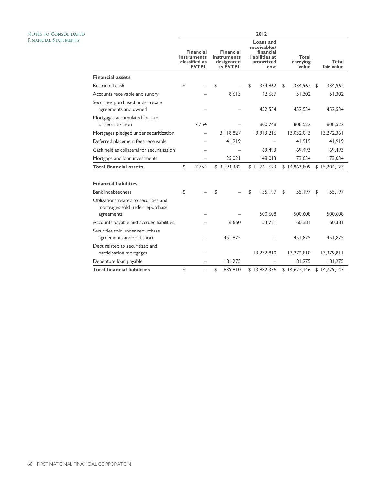|                                                                          | <b>Financial</b><br>instruments<br>classified as<br><b>FVTPL</b> | <b>Financial</b><br>instruments<br>designated<br>as FVTPL | Loans and<br>receivables/<br>financial<br>liabilities at<br>amortized<br>cost | Total<br>carrying<br>value | Total<br>fair value |
|--------------------------------------------------------------------------|------------------------------------------------------------------|-----------------------------------------------------------|-------------------------------------------------------------------------------|----------------------------|---------------------|
| <b>Financial assets</b>                                                  |                                                                  |                                                           |                                                                               |                            |                     |
| Restricted cash                                                          | \$                                                               | \$                                                        | \$<br>334,962                                                                 | \$<br>334,962 \$           | 334,962             |
| Accounts receivable and sundry                                           |                                                                  | 8,615                                                     | 42,687                                                                        | 51,302                     | 51,302              |
| Securities purchased under resale<br>agreements and owned                |                                                                  |                                                           | 452,534                                                                       | 452,534                    | 452,534             |
| Mortgages accumulated for sale<br>or securitization                      | 7,754                                                            |                                                           | 800,768                                                                       | 808,522                    | 808,522             |
| Mortgages pledged under securitization                                   |                                                                  | 3,118,827                                                 | 9,913,216                                                                     | 13,032,043                 | 13,272,361          |
| Deferred placement fees receivable                                       |                                                                  | 41,919                                                    |                                                                               | 41.919                     | 41,919              |
| Cash held as collateral for securitization                               |                                                                  |                                                           | 69.493                                                                        | 69.493                     | 69,493              |
| Mortgage and loan investments                                            |                                                                  | 25,021                                                    | 148,013                                                                       | 173,034                    | 173,034             |
| <b>Total financial assets</b>                                            | \$<br>7,754                                                      | \$3,194,382                                               | \$11,761,673                                                                  | \$14,963,809               | \$15,204,127        |
| <b>Financial liabilities</b>                                             |                                                                  |                                                           |                                                                               |                            |                     |
| <b>Bank indebtedness</b>                                                 | \$                                                               | \$                                                        | \$<br>155, 197                                                                | \$<br>$155, 197$ \$        | 155,197             |
| Obligations related to securities and<br>mortgages sold under repurchase |                                                                  |                                                           |                                                                               |                            |                     |
| agreements                                                               |                                                                  |                                                           | 500,608                                                                       | 500,608                    | 500,608             |
| Accounts payable and accrued liabilities                                 |                                                                  | 6,660                                                     | 53,721                                                                        | 60,381                     | 60,381              |
| Securities sold under repurchase<br>agreements and sold short            |                                                                  | 451,875                                                   |                                                                               | 451,875                    | 451,875             |
| Debt related to securitized and<br>participation mortgages               |                                                                  |                                                           | 13,272,810                                                                    | 13,272,810                 | 13,379,811          |
| Debenture loan payable                                                   |                                                                  | 181,275                                                   |                                                                               | 181,275                    | 181,275             |
| <b>Total financial liabilities</b>                                       | \$                                                               | \$<br>639,810                                             | \$13,982,336                                                                  | \$14,622,146 \$14,729,147  |                     |

**2012**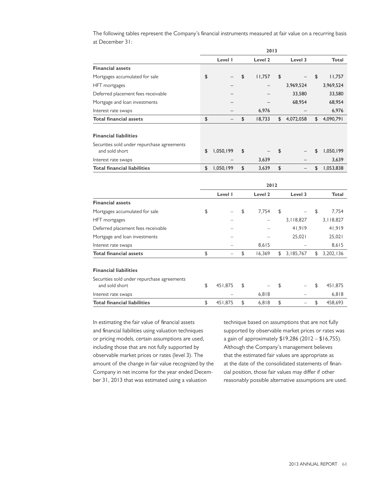|                                             |                 | 2013               |                 |    |              |
|---------------------------------------------|-----------------|--------------------|-----------------|----|--------------|
|                                             | Level I         | Level <sub>2</sub> | Level 3         |    | <b>Total</b> |
| <b>Financial assets</b>                     |                 |                    |                 |    |              |
| Mortgages accumulated for sale              | \$              | \$<br>11,757       | \$              | \$ | 11,757       |
| HFT mortgages                               |                 |                    | 3,969,524       |    | 3,969,524    |
| Deferred placement fees receivable          |                 |                    | 33,580          |    | 33,580       |
| Mortgage and loan investments               |                 |                    | 68,954          |    | 68,954       |
| Interest rate swaps                         |                 | 6,976              |                 |    | 6,976        |
| <b>Total financial assets</b>               | \$              | \$<br>18,733       | \$<br>4,072,058 | \$ | 4,090,791    |
|                                             |                 |                    |                 |    |              |
| <b>Financial liabilities</b>                |                 |                    |                 |    |              |
| Securities sold under repurchase agreements |                 |                    |                 |    |              |
| and sold short                              | \$<br>1,050,199 | \$                 | \$              | \$ | 1,050,199    |
| Interest rate swaps                         |                 | 3,639              |                 |    | 3,639        |
| <b>Total financial liabilities</b>          | \$<br>1,050,199 | \$<br>3,639        | \$              | \$ | 1,053,838    |
|                                             |                 |                    |                 |    |              |
|                                             |                 | 2012               |                 |    |              |
|                                             | Level I         | Level <sub>2</sub> | Level 3         |    | <b>Total</b> |
| <b>Financial assets</b>                     |                 |                    |                 |    |              |
| Mortgages accumulated for sale              | \$              | \$<br>7,754        | \$              | \$ | 7,754        |
| HFT mortgages                               |                 |                    | 3,118,827       |    | 3,118,827    |
| Deferred placement fees receivable          |                 |                    | 41,919          |    | 41,919       |
| Mortgage and loan investments               |                 |                    | 25,021          |    | 25,021       |

Interest rate swaps – 8,615 – 8,615 **Total financial assets**  $\begin{array}{ccccccc} 16,369 & \text{ } 5 & 3,185,767 & \text{ } 5 & 3,202,136 \end{array}$ 

and sold short  $$ 451,875 \quad $ 5 \quad - \quad $ 451,875$ Interest rate swaps – 6,818 – 6,818 **Total fi nancial liabilities** \$ 451,875 \$ 6,818 \$ – \$ 458,693

The following tables represent the Company's financial instruments measured at fair value on a recurring basis at December 31:

In estimating the fair value of financial assets and financial liabilities using valuation techniques or pricing models, certain assumptions are used, including those that are not fully supported by observable market prices or rates (level 3). The amount of the change in fair value recognized by the Company in net income for the year ended December 31, 2013 that was estimated using a valuation

**Financial liabilities**

Securities sold under repurchase agreements

technique based on assumptions that are not fully supported by observable market prices or rates was a gain of approximately \$19,286 (2012 – \$16,755). Although the Company's management believes that the estimated fair values are appropriate as at the date of the consolidated statements of financial position, those fair values may differ if other reasonably possible alternative assumptions are used.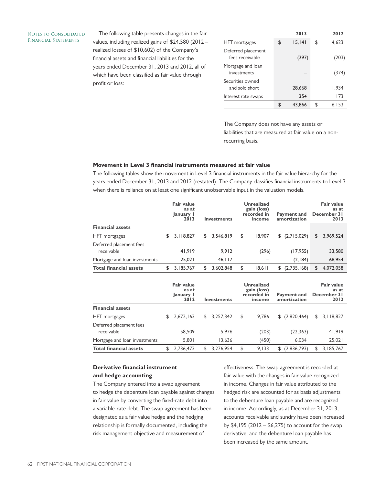The following table presents changes in the fair values, including realized gains of \$24,580 (2012 – realized losses of \$10,602) of the Company's financial assets and financial liabilities for the years ended December 31, 2013 and 2012, all of which have been classified as fair value through profit or loss:

|                                       |    | 2013   | 2012        |
|---------------------------------------|----|--------|-------------|
| HFT mortgages                         | \$ | 15,141 | \$<br>4,623 |
| Deferred placement<br>fees receivable |    | (297)  | (203)       |
| Mortgage and loan<br>investments      |    |        | (374)       |
| Securities owned<br>and sold short    |    | 28,668 | 1,934       |
| Interest rate swaps                   |    | 354    | 173         |
|                                       | S  | 43.866 | \$<br>6.153 |

The Company does not have any assets or liabilities that are measured at fair value on a nonrecurring basis.

### **Movement in Level 3 financial instruments measured at fair value**

The following tables show the movement in Level 3 financial instruments in the fair value hierarchy for the years ended December 31, 2013 and 2012 (restated). The Company classifies financial instruments to Level 3 when there is reliance on at least one significant unobservable input in the valuation models.

|                                       | <b>Fair value</b><br>as at<br>January I<br>2013 | <b>Investments</b> |                                                           | <b>Unrealized</b><br>gain (loss)<br>recorded in<br>income | Payment and<br>amortization | <b>Fair value</b><br>as at<br>December 31<br>2013 |
|---------------------------------------|-------------------------------------------------|--------------------|-----------------------------------------------------------|-----------------------------------------------------------|-----------------------------|---------------------------------------------------|
| <b>Financial assets</b>               |                                                 |                    |                                                           |                                                           |                             |                                                   |
| HFT mortgages                         | \$<br>3,118,827                                 | \$<br>3,546,819    | \$                                                        | 18,907                                                    | (2,715,029)<br>\$           | \$<br>3,969,524                                   |
| Deferred placement fees<br>receivable | 41,919                                          | 9,912              |                                                           | (296)                                                     | (17, 955)                   | 33,580                                            |
| Mortgage and loan investments         | 25,021                                          | 46, 117            |                                                           |                                                           | (2, 184)                    | 68,954                                            |
| <b>Total financial assets</b>         | \$<br>3,185,767                                 | \$<br>3,602,848    | \$                                                        | 18,611                                                    | (2,735,168)<br>\$           | \$<br>4,072,058                                   |
|                                       | <b>Fair value</b><br>as at<br>January I<br>2012 | <b>Investments</b> | <b>Unrealized</b><br>gain (loss)<br>recorded in<br>income |                                                           | Payment and<br>amortization | <b>Fair value</b><br>as at<br>December 31<br>2012 |
| <b>Financial assets</b>               |                                                 |                    |                                                           |                                                           |                             |                                                   |
| HFT mortgages                         | \$<br>2,672,163                                 | \$<br>3,257,342    | \$                                                        | 9,786                                                     | (2,820,464)                 | \$<br>3,118,827                                   |
| Deferred placement fees<br>receivable | 58,509                                          | 5,976              |                                                           | (203)                                                     | (22, 363)                   | 41,919                                            |
| Mortgage and loan investments         | 5,801                                           | 13,636             |                                                           | (450)                                                     | 6,034                       | 25,021                                            |
| <b>Total financial assets</b>         | \$<br>2,736,473                                 | \$<br>3,276,954    | \$                                                        | 9,133                                                     | \$<br>(2,836,793)           | \$<br>3,185,767                                   |

### **Derivative financial instrument and hedge accounting**

The Company entered into a swap agreement to hedge the debenture loan payable against changes in fair value by converting the fixed-rate debt into a variable-rate debt. The swap agreement has been designated as a fair value hedge and the hedging relationship is formally documented, including the risk management objective and measurement of

effectiveness. The swap agreement is recorded at fair value with the changes in fair value recognized in income. Changes in fair value attributed to the hedged risk are accounted for as basis adjustments to the debenture loan payable and are recognized in income. Accordingly, as at December 31, 2013, accounts receivable and sundry have been increased by  $$4,195$  (2012 –  $$6,275$ ) to account for the swap derivative, and the debenture loan payable has been increased by the same amount.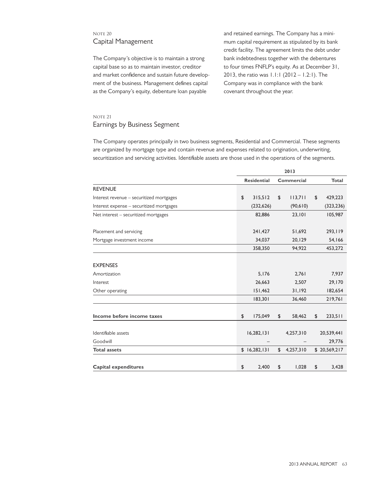### NOTE 20 Capital Management

The Company's objective is to maintain a strong capital base so as to maintain investor, creditor and market confidence and sustain future development of the business. Management defines capital as the Company's equity, debenture loan payable

and retained earnings. The Company has a minimum capital requirement as stipulated by its bank credit facility. The agreement limits the debt under bank indebtedness together with the debentures to four times FNFLP's equity. As at December 31, 2013, the ratio was 1.1:1 (2012 – 1.2:1). The Company was in compliance with the bank covenant throughout the year.

### NOTE<sub>21</sub> Earnings by Business Segment

The Company operates principally in two business segments, Residential and Commercial. These segments are organized by mortgage type and contain revenue and expenses related to origination, underwriting, securitization and servicing activities. Identifiable assets are those used in the operations of the segments.

|                                          | 2013 |                    |    |            |    |              |
|------------------------------------------|------|--------------------|----|------------|----|--------------|
|                                          |      | <b>Residential</b> |    | Commercial |    | <b>Total</b> |
| <b>REVENUE</b>                           |      |                    |    |            |    |              |
| Interest revenue - securitized mortgages | \$   | 315,512            | \$ | 113,711    | \$ | 429,223      |
| Interest expense - securitized mortgages |      | (232, 626)         |    | (90, 610)  |    | (323, 236)   |
| Net interest - securitized mortgages     |      | 82,886             |    | 23,101     |    | 105,987      |
| Placement and servicing                  |      | 241,427            |    | 51,692     |    | 293,119      |
| Mortgage investment income               |      | 34,037             |    | 20,129     |    | 54,166       |
|                                          |      | 358,350            |    | 94,922     |    | 453,272      |
| <b>EXPENSES</b>                          |      |                    |    |            |    |              |
| Amortization                             |      | 5,176              |    | 2,761      |    | 7,937        |
| Interest                                 |      | 26,663             |    | 2,507      |    | 29,170       |
| Other operating                          |      | 151,462            |    | 31,192     |    | 182,654      |
|                                          |      | 183,301            |    | 36,460     |    | 219,761      |
| Income before income taxes               | \$   | 175,049            | \$ | 58,462     | \$ | 233,511      |
| Identifiable assets                      |      | 16,282,131         |    | 4,257,310  |    | 20,539,441   |
| Goodwill                                 |      |                    |    |            |    | 29,776       |
| <b>Total assets</b>                      |      | \$16,282,131       | \$ | 4,257,310  |    | \$20,569,217 |
| <b>Capital expenditures</b>              | \$   | 2,400              | \$ | 1.028      | \$ | 3,428        |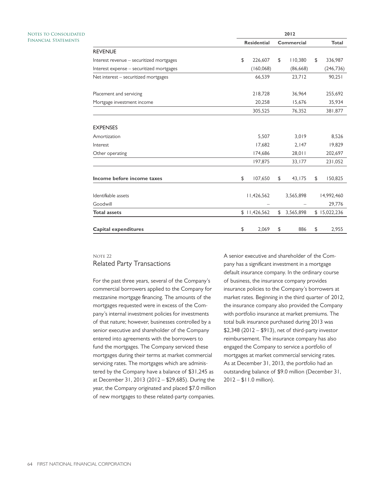|                                          | 2012               |              |    |                   |    |              |  |
|------------------------------------------|--------------------|--------------|----|-------------------|----|--------------|--|
|                                          | <b>Residential</b> |              |    | <b>Commercial</b> |    | <b>Total</b> |  |
| <b>REVENUE</b>                           |                    |              |    |                   |    |              |  |
| Interest revenue - securitized mortgages | \$                 | 226,607      | \$ | 110,380           | \$ | 336,987      |  |
| Interest expense - securitized mortgages |                    | (160,068)    |    | (86, 668)         |    | (246, 736)   |  |
| Net interest - securitized mortgages     |                    | 66,539       |    | 23,712            |    | 90,251       |  |
| Placement and servicing                  |                    | 218,728      |    | 36,964            |    | 255,692      |  |
| Mortgage investment income               |                    | 20,258       |    | 15,676            |    | 35,934       |  |
|                                          |                    | 305,525      |    | 76,352            |    | 381,877      |  |
| <b>EXPENSES</b>                          |                    |              |    |                   |    |              |  |
| Amortization                             |                    | 5,507        |    | 3.019             |    | 8,526        |  |
| Interest                                 |                    | 17,682       |    | 2,147             |    | 19,829       |  |
| Other operating                          |                    | 174,686      |    | 28,011            |    | 202,697      |  |
|                                          |                    | 197,875      |    | 33,177            |    | 231,052      |  |
| Income before income taxes               | \$                 | 107,650      | \$ | 43,175            | \$ | 150,825      |  |
| Identifiable assets                      |                    |              |    |                   |    | 14,992,460   |  |
|                                          |                    | 11,426,562   |    | 3,565,898         |    |              |  |
| Goodwill                                 |                    |              |    |                   |    | 29,776       |  |
| <b>Total assets</b>                      |                    | \$11,426,562 | \$ | 3,565,898         |    | \$15,022,236 |  |
| <b>Capital expenditures</b>              | \$                 | 2,069        | \$ | 886               | \$ | 2,955        |  |

### NOTE<sub>22</sub> Related Party Transactions

For the past three years, several of the Company's commercial borrowers applied to the Company for mezzanine mortgage financing. The amounts of the mortgages requested were in excess of the Company's internal investment policies for investments of that nature; however, businesses controlled by a senior executive and shareholder of the Company entered into agreements with the borrowers to fund the mortgages. The Company serviced these mortgages during their terms at market commercial servicing rates. The mortgages which are administered by the Company have a balance of \$31,245 as at December 31, 2013 (2012 – \$29,685). During the year, the Company originated and placed \$7.0 million of new mortgages to these related-party companies.

A senior executive and shareholder of the Company has a significant investment in a mortgage default insurance company. In the ordinary course of business, the insurance company provides insurance policies to the Company's borrowers at market rates. Beginning in the third quarter of 2012, the insurance company also provided the Company with portfolio insurance at market premiums. The total bulk insurance purchased during 2013 was \$2,348 (2012 – \$913), net of third-party investor reimbursement. The insurance company has also engaged the Company to service a portfolio of mortgages at market commercial servicing rates. As at December 31, 2013, the portfolio had an outstanding balance of \$9.0 million (December 31, 2012 – \$11.0 million).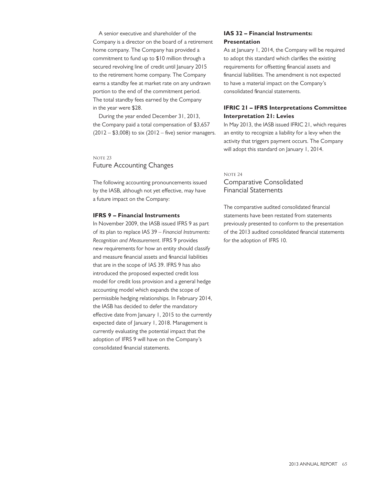A senior executive and shareholder of the Company is a director on the board of a retirement home company. The Company has provided a commitment to fund up to \$10 million through a secured revolving line of credit until January 2015 to the retirement home company. The Company earns a standby fee at market rate on any undrawn portion to the end of the commitment period. The total standby fees earned by the Company in the year were \$28.

During the year ended December 31, 2013, the Company paid a total compensation of \$3,657  $(2012 - $3,008)$  to six  $(2012 -$  five) senior managers.

### $N$ OTE 23 Future Accounting Changes

The following accounting pronouncements issued by the IASB, although not yet effective, may have a future impact on the Company:

### **IFRS 9 – Financial Instruments**

In November 2009, the IASB issued IFRS 9 as part of its plan to replace IAS 39 – *Financial Instruments: Recognition and Measurement*. IFRS 9 provides new requirements for how an entity should classify and measure financial assets and financial liabilities that are in the scope of IAS 39. IFRS 9 has also introduced the proposed expected credit loss model for credit loss provision and a general hedge accounting model which expands the scope of permissible hedging relationships. In February 2014, the IASB has decided to defer the mandatory effective date from January 1, 2015 to the currently expected date of January 1, 2018. Management is currently evaluating the potential impact that the adoption of IFRS 9 will have on the Company's consolidated financial statements.

### **IAS 32 – Financial Instruments: Presentation**

As at January 1, 2014, the Company will be required to adopt this standard which clarifies the existing requirements for offsetting financial assets and financial liabilities. The amendment is not expected to have a material impact on the Company's consolidated financial statements.

### **IFRIC 21 – IFRS Interpretations Committee Interpretation 21: Levies**

In May 2013, the IASB issued IFRIC 21, which requires an entity to recognize a liability for a levy when the activity that triggers payment occurs. The Company will adopt this standard on January 1, 2014.

### $N$ OTE  $24$ Comparative Consolidated Financial Statements

The comparative audited consolidated financial statements have been restated from statements previously presented to conform to the presentation of the 2013 audited consolidated financial statements for the adoption of IFRS 10.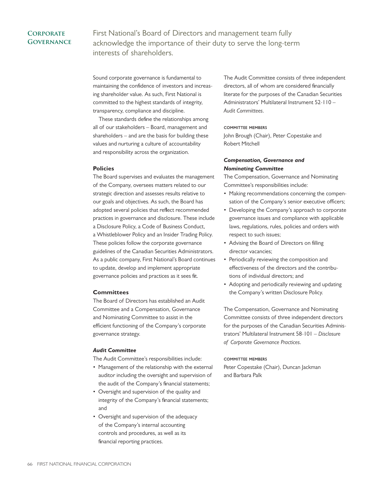### **Corporate Governance**

First National's Board of Directors and management team fully acknowledge the importance of their duty to serve the long-term interests of shareholders.

Sound corporate governance is fundamental to maintaining the confidence of investors and increasing shareholder value. As such, First National is committed to the highest standards of integrity, transparency, compliance and discipline.

These standards define the relationships among all of our stakeholders – Board, management and shareholders – and are the basis for building these values and nurturing a culture of accountability and responsibility across the organization.

#### **Policies**

The Board supervises and evaluates the management of the Company, oversees matters related to our strategic direction and assesses results relative to our goals and objectives. As such, the Board has adopted several policies that reflect recommended practices in governance and disclosure. These include a Disclosure Policy, a Code of Business Conduct, a Whistleblower Policy and an Insider Trading Policy. These policies follow the corporate governance guidelines of the Canadian Securities Administrators. As a public company, First National's Board continues to update, develop and implement appropriate governance policies and practices as it sees fit.

### **Committees**

The Board of Directors has established an Audit Committee and a Compensation, Governance and Nominating Committee to assist in the efficient functioning of the Company's corporate governance strategy.

#### *Audit Committee*

The Audit Committee's responsibilities include:

- Management of the relationship with the external auditor including the oversight and supervision of the audit of the Company's financial statements;
- Oversight and supervision of the quality and integrity of the Company's financial statements; and
- Oversight and supervision of the adequacy of the Company's internal accounting controls and procedures, as well as its financial reporting practices.

The Audit Committee consists of three independent directors, all of whom are considered financially literate for the purposes of the Canadian Securities Administrators' Multilateral Instrument 52-110 – *Audit Committees*.

#### committee members

John Brough (Chair), Peter Copestake and Robert Mitchell

### *Compensation, Governance and Nominating Committee*

The Compensation, Governance and Nominating Committee's responsibilities include:

- Making recommendations concerning the compensation of the Company's senior executive officers;
- Developing the Company's approach to corporate governance issues and compliance with applicable laws, regulations, rules, policies and orders with respect to such issues;
- Advising the Board of Directors on filling director vacancies;
- Periodically reviewing the composition and effectiveness of the directors and the contributions of individual directors; and
- Adopting and periodically reviewing and updating the Company's written Disclosure Policy.

The Compensation, Governance and Nominating Committee consists of three independent directors for the purposes of the Canadian Securities Administrators' Multilateral Instrument 58-101 – *Disclosure of Corporate Governance Practices*.

#### committee members

Peter Copestake (Chair), Duncan Jackman and Barbara Palk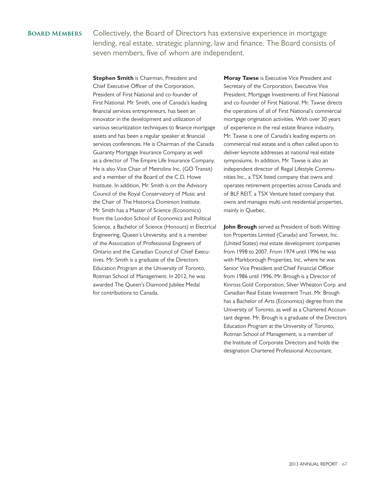**Board Members** Collectively, the Board of Directors has extensive experience in mortgage lending, real estate, strategic planning, law and finance. The Board consists of seven members, five of whom are independent.

> **Stephen Smith** is Chairman, President and Chief Executive Officer of the Corporation, President of First National and co-founder of First National. Mr. Smith, one of Canada's leading financial services entrepreneurs, has been an innovator in the development and utilization of various securitization techniques to finance mortgage assets and has been a regular speaker at financial services conferences. He is Chairman of the Canada Guaranty Mortgage Insurance Company as well as a director of The Empire Life Insurance Company. He is also Vice Chair of Metrolinx Inc. (GO Transit) and a member of the Board of the C.D. Howe Institute. In addition, Mr. Smith is on the Advisory Council of the Royal Conservatory of Music and the Chair of The Historica-Dominion Institute. Mr. Smith has a Master of Science (Economics) from the London School of Economics and Political Science, a Bachelor of Science (Honours) in Electrical Engineering, Queen's University, and is a member of the Association of Professional Engineers of Ontario and the Canadian Council of Chief Executives. Mr. Smith is a graduate of the Directors Education Program at the University of Toronto, Rotman School of Management. In 2012, he was awarded The Queen's Diamond Jubilee Medal for contributions to Canada.

**Moray Tawse** is Executive Vice President and Secretary of the Corporation, Executive Vice President, Mortgage Investments of First National and co-founder of First National. Mr. Tawse directs the operations of all of First National's commercial mortgage origination activities. With over 30 years of experience in the real estate finance industry, Mr. Tawse is one of Canada's leading experts on commercial real estate and is often called upon to deliver keynote addresses at national real estate symposiums. In addition, Mr. Tawse is also an independent director of Regal Lifestyle Communities Inc., a TSX listed company that owns and operates retirement properties across Canada and of BLF REIT, a TSX Venture listed company that owns and manages multi-unit residential properties, mainly in Quebec.

**John Brough** served as President of both Wittington Properties Limited (Canada) and Torwest, Inc. (United States) real estate development companies from 1998 to 2007. From 1974 until 1996 he was with Markborough Properties, Inc, where he was Senior Vice President and Chief Financial Officer from 1986 until 1996. Mr. Brough is a Director of Kinross Gold Corporation, Silver Wheaton Corp. and Canadian Real Estate Investment Trust. Mr. Brough has a Bachelor of Arts (Economics) degree from the University of Toronto, as well as a Chartered Accountant degree. Mr. Brough is a graduate of the Directors Education Program at the University of Toronto, Rotman School of Management, is a member of the Institute of Corporate Directors and holds the designation Chartered Professional Accountant.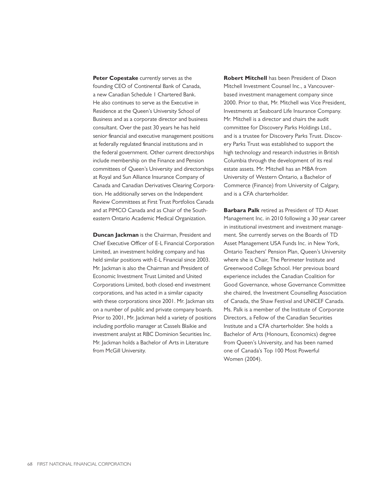**Peter Copestake** currently serves as the founding CEO of Continental Bank of Canada, a new Canadian Schedule 1 Chartered Bank. He also continues to serve as the Executive in Residence at the Queen's University School of Business and as a corporate director and business consultant. Over the past 30 years he has held senior financial and executive management positions at federally regulated financial institutions and in the federal government. Other current directorships include membership on the Finance and Pension committees of Queen's University and directorships at Royal and Sun Alliance Insurance Company of Canada and Canadian Derivatives Clearing Corporation. He additionally serves on the Independent Review Committees at First Trust Portfolios Canada and at PIMCO Canada and as Chair of the Southeastern Ontario Academic Medical Organization.

**Duncan Jackman** is the Chairman, President and Chief Executive Officer of E-L Financial Corporation Limited, an investment holding company and has held similar positions with E-L Financial since 2003. Mr. Jackman is also the Chairman and President of Economic Investment Trust Limited and United Corporations Limited, both closed-end investment corporations, and has acted in a similar capacity with these corporations since 2001. Mr. Jackman sits on a number of public and private company boards. Prior to 2001, Mr. Jackman held a variety of positions including portfolio manager at Cassels Blaikie and investment analyst at RBC Dominion Securities Inc. Mr. Jackman holds a Bachelor of Arts in Literature from McGill University.

**Robert Mitchell** has been President of Dixon Mitchell Investment Counsel Inc., a Vancouverbased investment management company since 2000. Prior to that, Mr. Mitchell was Vice President, Investments at Seaboard Life Insurance Company. Mr. Mitchell is a director and chairs the audit committee for Discovery Parks Holdings Ltd., and is a trustee for Discovery Parks Trust. Discovery Parks Trust was established to support the high technology and research industries in British Columbia through the development of its real estate assets. Mr. Mitchell has an MBA from University of Western Ontario, a Bachelor of Commerce (Finance) from University of Calgary, and is a CFA charterholder.

**Barbara Palk** retired as President of TD Asset Management Inc. in 2010 following a 30 year career in institutional investment and investment management. She currently serves on the Boards of TD Asset Management USA Funds Inc. in New York, Ontario Teachers' Pension Plan, Queen's University where she is Chair, The Perimeter Institute and Greenwood College School. Her previous board experience includes the Canadian Coalition for Good Governance, whose Governance Committee she chaired, the Investment Counselling Association of Canada, the Shaw Festival and UNICEF Canada. Ms. Palk is a member of the Institute of Corporate Directors, a Fellow of the Canadian Securities Institute and a CFA charterholder. She holds a Bachelor of Arts (Honours, Economics) degree from Queen's University, and has been named one of Canada's Top 100 Most Powerful Women (2004).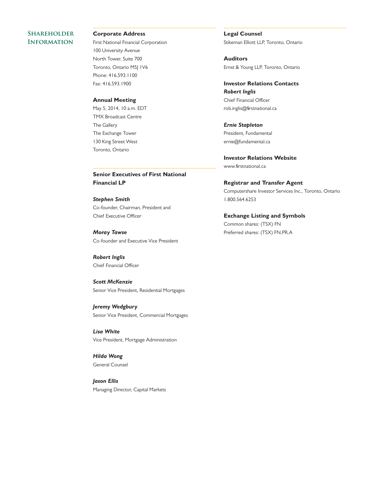### **Shareholder Information**

**Corporate Address**

First National Financial Corporation 100 University Avenue North Tower, Suite 700 Toronto, Ontario M5J 1V6 Phone: 416.593.1100 Fax: 416.593.1900

#### **Annual Meeting**

May 5, 2014, 10 a.m. EDT TMX Broadcast Centre The Gallery The Exchange Tower 130 King Street West Toronto, Ontario

### **Senior Executives of First National Financial LP**

*Stephen Smith* Co-founder, Chairman, President and Chief Executive Officer

*Moray Tawse* Co-founder and Executive Vice President

*Robert Inglis* Chief Financial Officer

*Scott McKenzie* Senior Vice President, Residential Mortgages

*Jeremy Wedgbury* Senior Vice President, Commercial Mortgages

*Lisa White* Vice President, Mortgage Administration

*Hilda Wong* General Counsel

*Jason Ellis* Managing Director, Capital Markets **Legal Counsel** Stikeman Elliott LLP, Toronto, Ontario

**Auditors** Ernst & Young LLP, Toronto, Ontario

**Investor Relations Contacts** *Robert Inglis* Chief Financial Officer rob.inglis@firstnational.ca

*Ernie Stapleton* President, Fundamental ernie@fundamental.ca

**Investor Relations Website** www.firstnational.ca

**Registrar and Transfer Agent** Computershare Investor Services Inc., Toronto, Ontario 1.800.564.6253

**Exchange Listing and Symbols** Common shares: (TSX) FN Preferred shares: (TSX) FN.PR.A